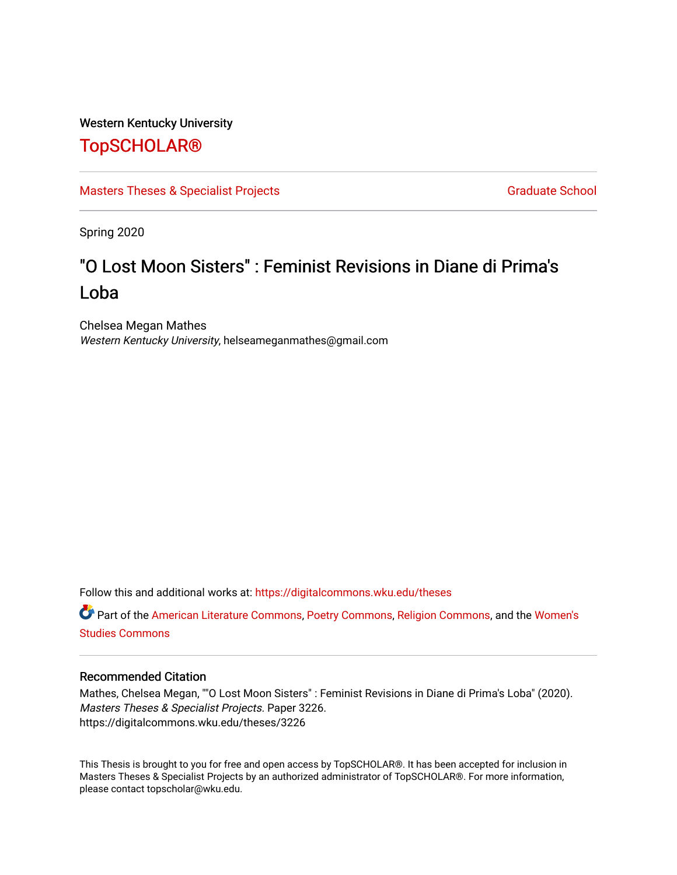## Western Kentucky University

## [TopSCHOLAR®](https://digitalcommons.wku.edu/)

[Masters Theses & Specialist Projects](https://digitalcommons.wku.edu/theses) [Graduate School](https://digitalcommons.wku.edu/Graduate) Graduate School

Spring 2020

# "O Lost Moon Sisters" : Feminist Revisions in Diane di Prima's Loba

Chelsea Megan Mathes Western Kentucky University, helseameganmathes@gmail.com

Follow this and additional works at: [https://digitalcommons.wku.edu/theses](https://digitalcommons.wku.edu/theses?utm_source=digitalcommons.wku.edu%2Ftheses%2F3226&utm_medium=PDF&utm_campaign=PDFCoverPages) 

Part of the [American Literature Commons](http://network.bepress.com/hgg/discipline/441?utm_source=digitalcommons.wku.edu%2Ftheses%2F3226&utm_medium=PDF&utm_campaign=PDFCoverPages), [Poetry Commons](http://network.bepress.com/hgg/discipline/1153?utm_source=digitalcommons.wku.edu%2Ftheses%2F3226&utm_medium=PDF&utm_campaign=PDFCoverPages), [Religion Commons,](http://network.bepress.com/hgg/discipline/538?utm_source=digitalcommons.wku.edu%2Ftheses%2F3226&utm_medium=PDF&utm_campaign=PDFCoverPages) and the [Women's](http://network.bepress.com/hgg/discipline/561?utm_source=digitalcommons.wku.edu%2Ftheses%2F3226&utm_medium=PDF&utm_campaign=PDFCoverPages)  [Studies Commons](http://network.bepress.com/hgg/discipline/561?utm_source=digitalcommons.wku.edu%2Ftheses%2F3226&utm_medium=PDF&utm_campaign=PDFCoverPages) 

## Recommended Citation

Mathes, Chelsea Megan, ""O Lost Moon Sisters" : Feminist Revisions in Diane di Prima's Loba" (2020). Masters Theses & Specialist Projects. Paper 3226. https://digitalcommons.wku.edu/theses/3226

This Thesis is brought to you for free and open access by TopSCHOLAR®. It has been accepted for inclusion in Masters Theses & Specialist Projects by an authorized administrator of TopSCHOLAR®. For more information, please contact topscholar@wku.edu.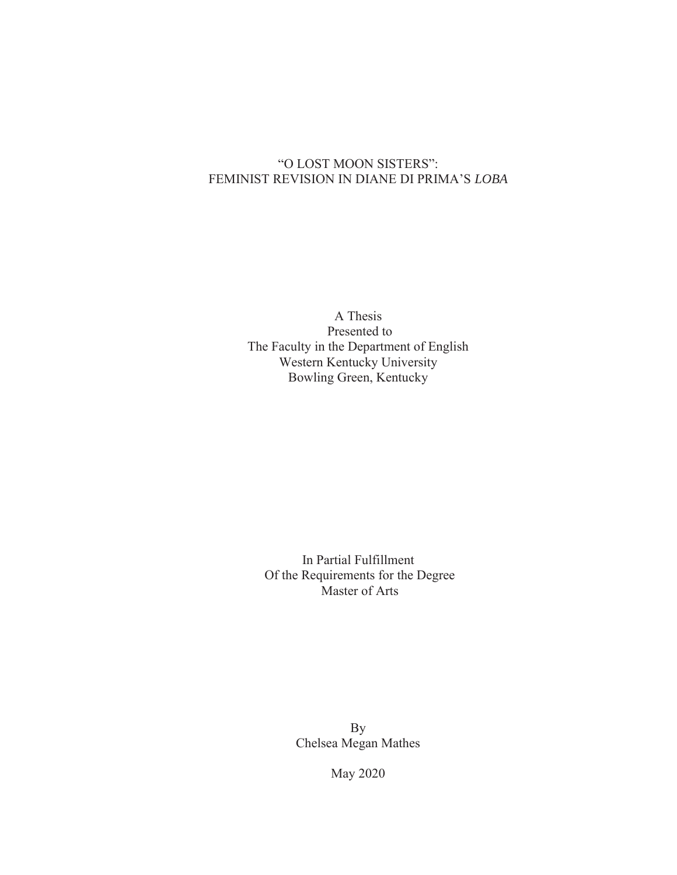## "O LOST MOON SISTERS": FEMINIST REVISION IN DIANE DI PRIMA'S *LOBA*

A Thesis Presented to The Faculty in the Department of English Western Kentucky University Bowling Green, Kentucky

In Partial Fulfillment Of the Requirements for the Degree Master of Arts

> By Chelsea Megan Mathes

> > May 2020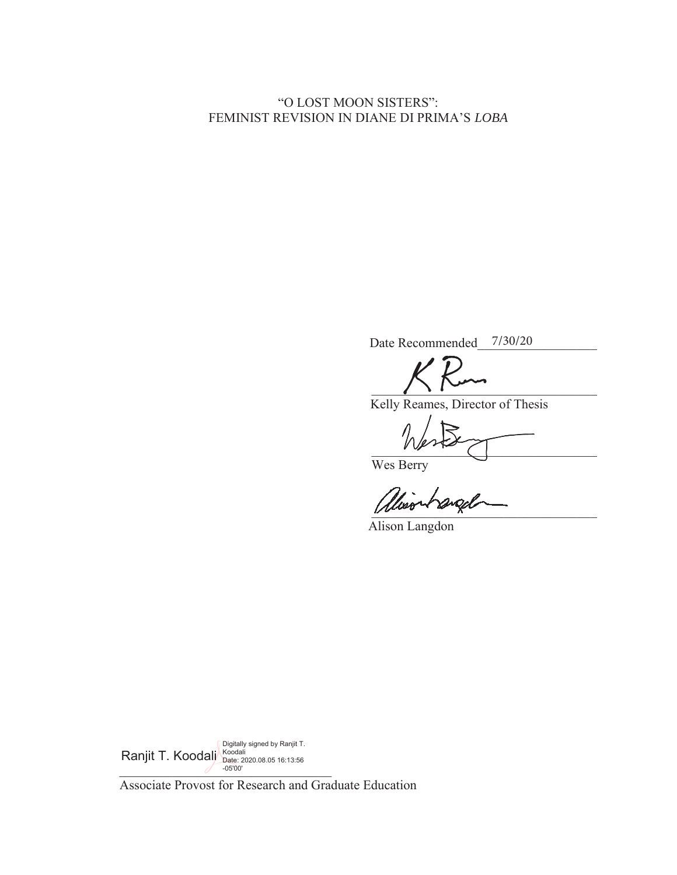## "O LOST MOON SISTERS": **FEMINIST REVISION IN DIANE DI PRIMA'S LOBA**

Date Recommended 7/30/20

 $\bigcup$ 

Kelly Reames, Director of Thesis

BBBBBBBBBBBBBBBBBBBBBBBBBBBBBBBBBB

Wes Berry

Wood ~ origin

Alison Langdon

 $-05'00'$ Ranjit T. Koodali Digitally signed by Ranjit T. Koodali Date: 2020.08.05 16:13:56 -05'00'

Associate Provost for Research and Graduate Education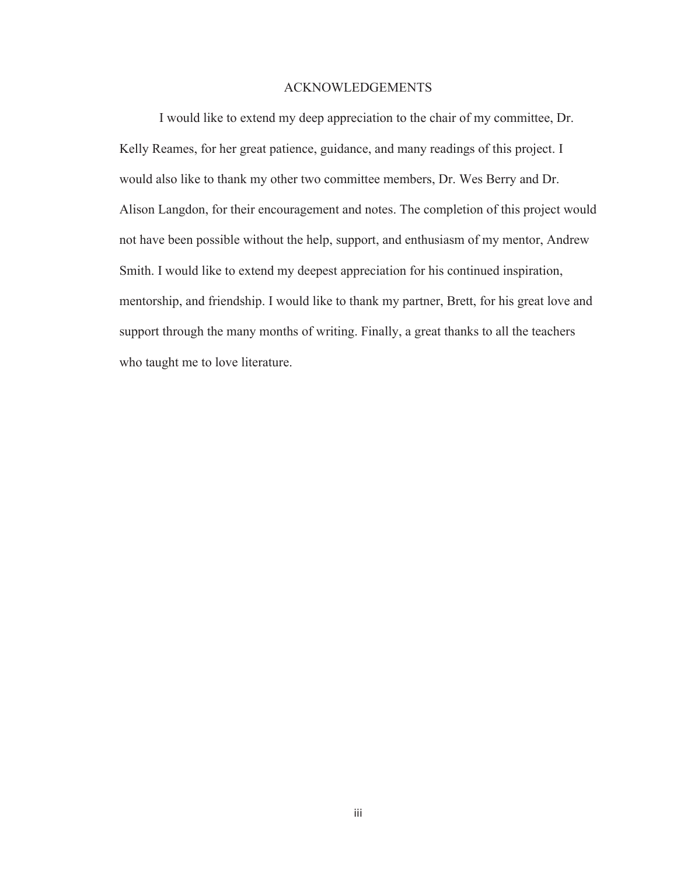## ACKNOWLEDGEMENTS

I would like to extend my deep appreciation to the chair of my committee, Dr. Kelly Reames, for her great patience, guidance, and many readings of this project. I would also like to thank my other two committee members, Dr. Wes Berry and Dr. Alison Langdon, for their encouragement and notes. The completion of this project would not have been possible without the help, support, and enthusiasm of my mentor, Andrew Smith. I would like to extend my deepest appreciation for his continued inspiration, mentorship, and friendship. I would like to thank my partner, Brett, for his great love and support through the many months of writing. Finally, a great thanks to all the teachers who taught me to love literature.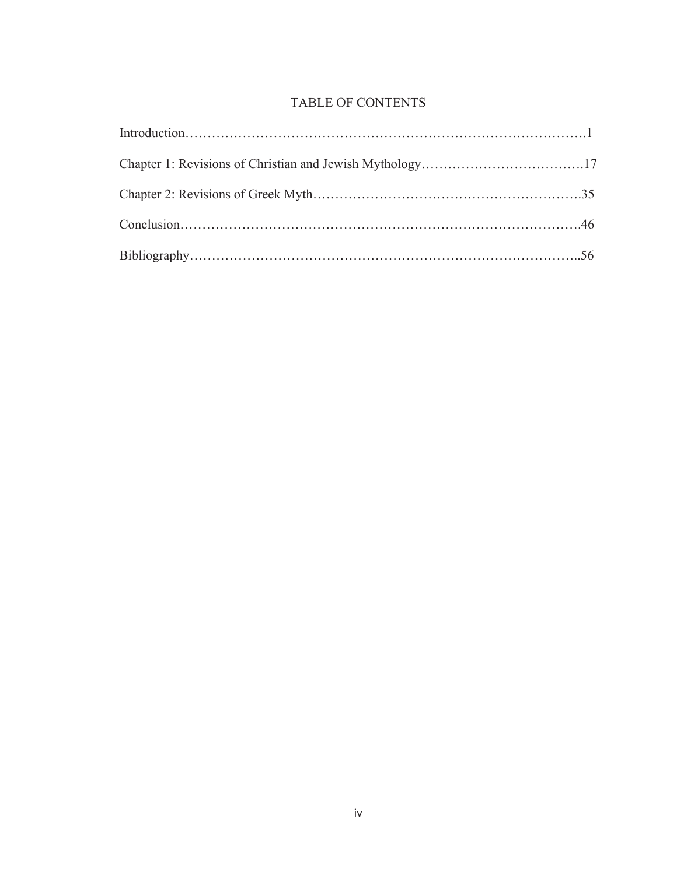## TABLE OF CONTENTS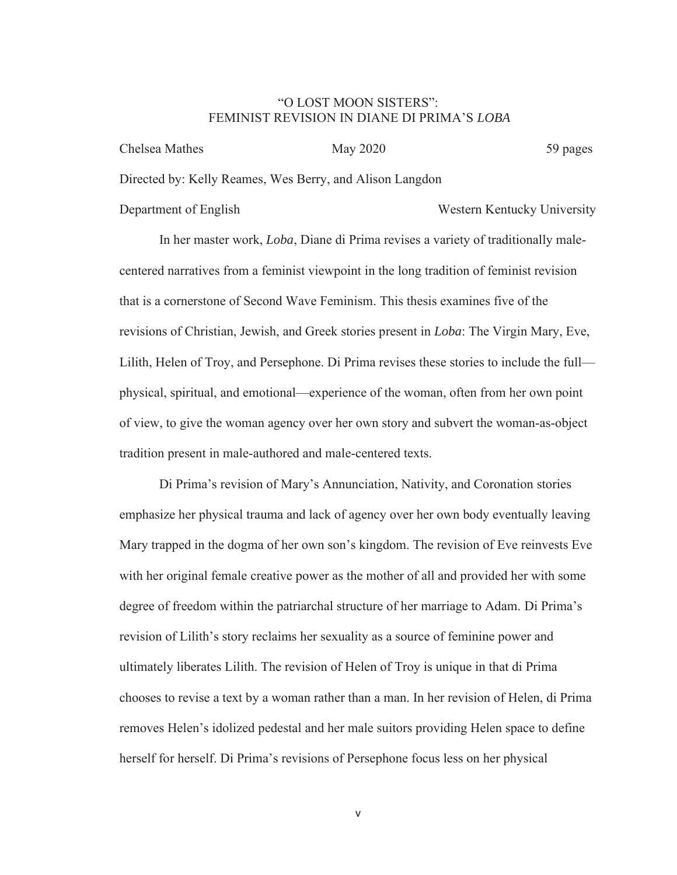## "O LOST MOON SISTERS": FEMINIST REVISION IN DIANE DI PRIMA'S *LOBA*

| Chelsea Mathes                                           | May 2020 | 59 pages |
|----------------------------------------------------------|----------|----------|
| Directed by: Kelly Reames, Wes Berry, and Alison Langdon |          |          |

Department of English Western Kentucky University

In her master work, *Loba*, Diane di Prima revises a variety of traditionally malecentered narratives from a feminist viewpoint in the long tradition of feminist revision that is a cornerstone of Second Wave Feminism. This thesis examines five of the revisions of Christian, Jewish, and Greek stories present in *Loba*: The Virgin Mary, Eve, Lilith, Helen of Troy, and Persephone. Di Prima revises these stories to include the full physical, spiritual, and emotional—experience of the woman, often from her own point of view, to give the woman agency over her own story and subvert the woman-as-object tradition present in male-authored and male-centered texts.

Di Prima's revision of Mary's Annunciation, Nativity, and Coronation stories emphasize her physical trauma and lack of agency over her own body eventually leaving Mary trapped in the dogma of her own son's kingdom. The revision of Eve reinvests Eve with her original female creative power as the mother of all and provided her with some degree of freedom within the patriarchal structure of her marriage to Adam. Di Prima's revision of Lilith's story reclaims her sexuality as a source of feminine power and ultimately liberates Lilith. The revision of Helen of Troy is unique in that di Prima chooses to revise a text by a woman rather than a man. In her revision of Helen, di Prima removes Helen's idolized pedestal and her male suitors providing Helen space to define herself for herself. Di Prima's revisions of Persephone focus less on her physical

v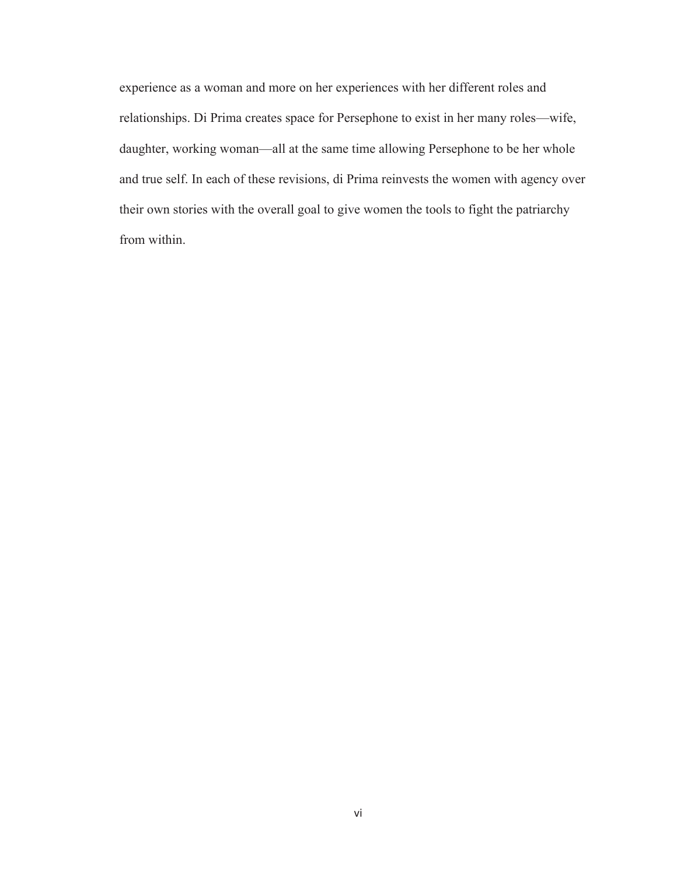experience as a woman and more on her experiences with her different roles and relationships. Di Prima creates space for Persephone to exist in her many roles—wife, daughter, working woman—all at the same time allowing Persephone to be her whole and true self. In each of these revisions, di Prima reinvests the women with agency over their own stories with the overall goal to give women the tools to fight the patriarchy from within.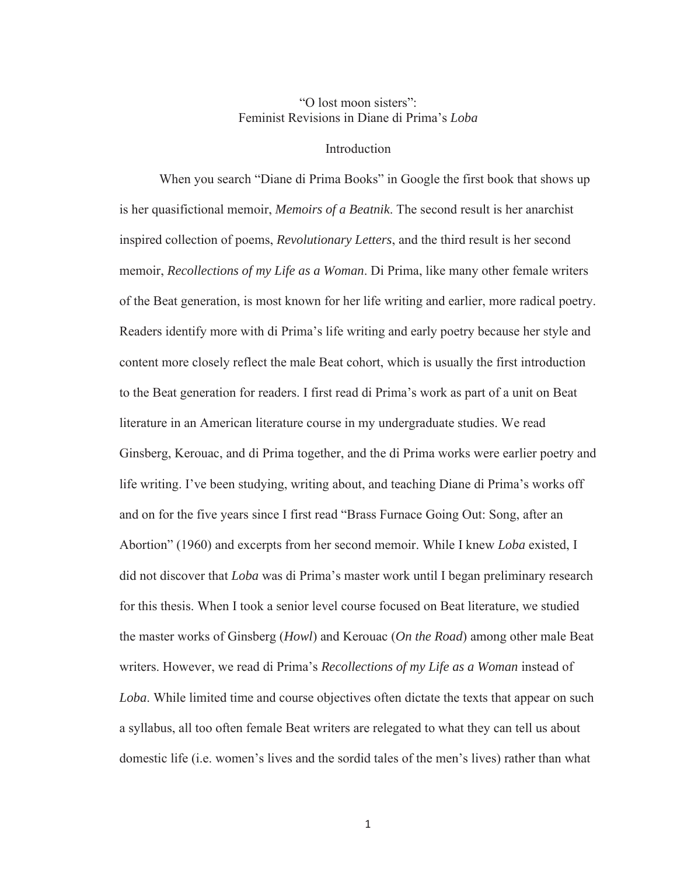## "O lost moon sisters": Feminist Revisions in Diane di Prima's *Loba*

#### Introduction

When you search "Diane di Prima Books" in Google the first book that shows up is her quasifictional memoir, *Memoirs of a Beatnik*. The second result is her anarchist inspired collection of poems, *Revolutionary Letters*, and the third result is her second memoir, *Recollections of my Life as a Woman*. Di Prima, like many other female writers of the Beat generation, is most known for her life writing and earlier, more radical poetry. Readers identify more with di Prima's life writing and early poetry because her style and content more closely reflect the male Beat cohort, which is usually the first introduction to the Beat generation for readers. I first read di Prima's work as part of a unit on Beat literature in an American literature course in my undergraduate studies. We read Ginsberg, Kerouac, and di Prima together, and the di Prima works were earlier poetry and life writing. I've been studying, writing about, and teaching Diane di Prima's works off and on for the five years since I first read "Brass Furnace Going Out: Song, after an Abortion" (1960) and excerpts from her second memoir. While I knew *Loba* existed, I did not discover that *Loba* was di Prima's master work until I began preliminary research for this thesis. When I took a senior level course focused on Beat literature, we studied the master works of Ginsberg (*Howl*) and Kerouac (*On the Road*) among other male Beat writers. However, we read di Prima's *Recollections of my Life as a Woman* instead of *Loba*. While limited time and course objectives often dictate the texts that appear on such a syllabus, all too often female Beat writers are relegated to what they can tell us about domestic life (i.e. women's lives and the sordid tales of the men's lives) rather than what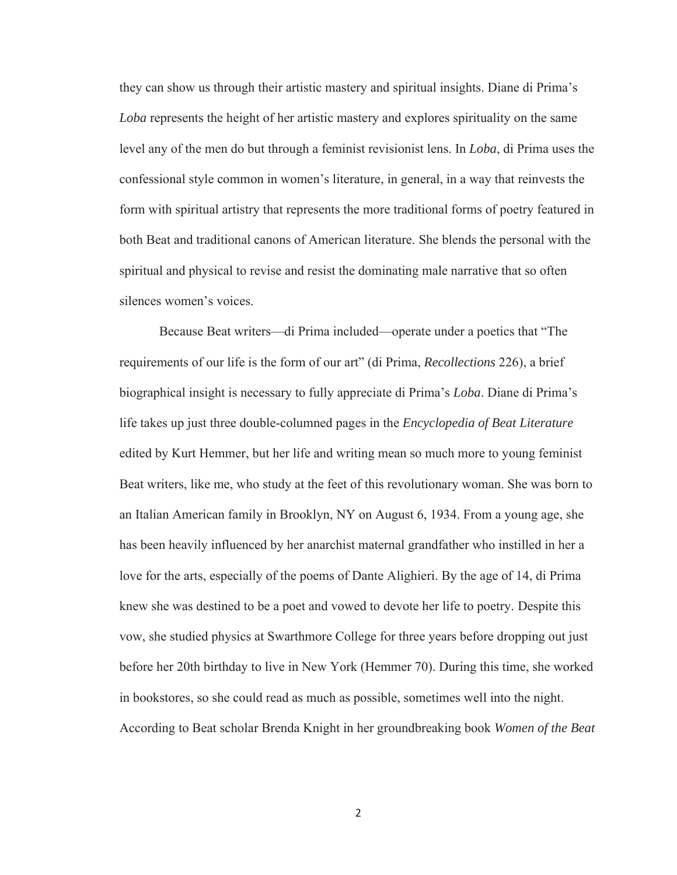they can show us through their artistic mastery and spiritual insights. Diane di Prima's *Loba* represents the height of her artistic mastery and explores spirituality on the same level any of the men do but through a feminist revisionist lens. In *Loba*, di Prima uses the confessional style common in women's literature, in general, in a way that reinvests the form with spiritual artistry that represents the more traditional forms of poetry featured in both Beat and traditional canons of American literature. She blends the personal with the spiritual and physical to revise and resist the dominating male narrative that so often silences women's voices.

Because Beat writers—di Prima included—operate under a poetics that "The requirements of our life is the form of our art" (di Prima, *Recollections* 226), a brief biographical insight is necessary to fully appreciate di Prima's *Loba*. Diane di Prima's life takes up just three double-columned pages in the *Encyclopedia of Beat Literature* edited by Kurt Hemmer, but her life and writing mean so much more to young feminist Beat writers, like me, who study at the feet of this revolutionary woman. She was born to an Italian American family in Brooklyn, NY on August 6, 1934. From a young age, she has been heavily influenced by her anarchist maternal grandfather who instilled in her a love for the arts, especially of the poems of Dante Alighieri. By the age of 14, di Prima knew she was destined to be a poet and vowed to devote her life to poetry. Despite this vow, she studied physics at Swarthmore College for three years before dropping out just before her 20th birthday to live in New York (Hemmer 70). During this time, she worked in bookstores, so she could read as much as possible, sometimes well into the night. According to Beat scholar Brenda Knight in her groundbreaking book *Women of the Beat*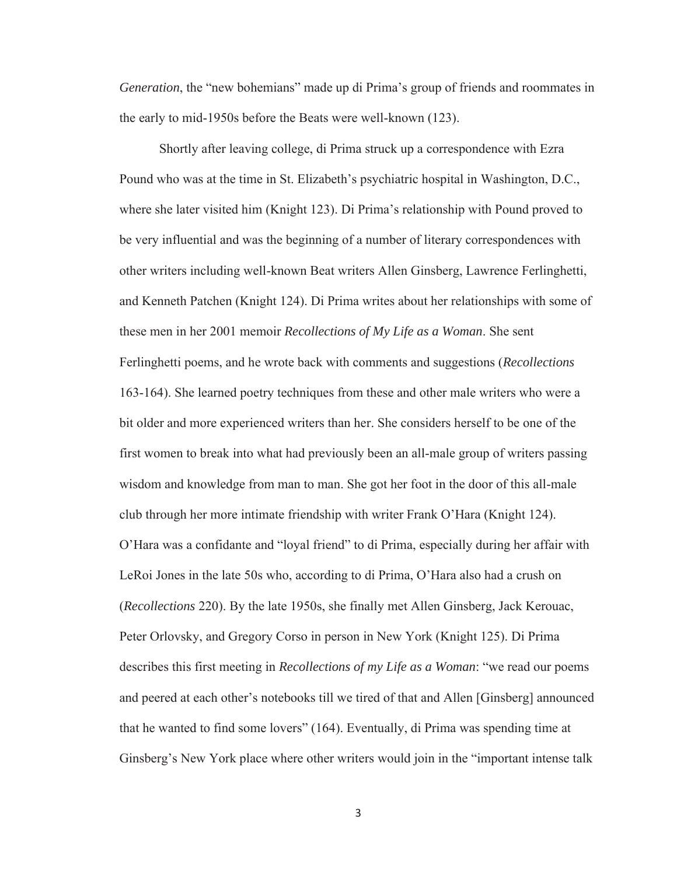*Generation*, the "new bohemians" made up di Prima's group of friends and roommates in the early to mid-1950s before the Beats were well-known (123).

Shortly after leaving college, di Prima struck up a correspondence with Ezra Pound who was at the time in St. Elizabeth's psychiatric hospital in Washington, D.C., where she later visited him (Knight 123). Di Prima's relationship with Pound proved to be very influential and was the beginning of a number of literary correspondences with other writers including well-known Beat writers Allen Ginsberg, Lawrence Ferlinghetti, and Kenneth Patchen (Knight 124). Di Prima writes about her relationships with some of these men in her 2001 memoir *Recollections of My Life as a Woman*. She sent Ferlinghetti poems, and he wrote back with comments and suggestions (*Recollections* 163-164). She learned poetry techniques from these and other male writers who were a bit older and more experienced writers than her. She considers herself to be one of the first women to break into what had previously been an all-male group of writers passing wisdom and knowledge from man to man. She got her foot in the door of this all-male club through her more intimate friendship with writer Frank O'Hara (Knight 124). O'Hara was a confidante and "loyal friend" to di Prima, especially during her affair with LeRoi Jones in the late 50s who, according to di Prima, O'Hara also had a crush on (*Recollections* 220). By the late 1950s, she finally met Allen Ginsberg, Jack Kerouac, Peter Orlovsky, and Gregory Corso in person in New York (Knight 125). Di Prima describes this first meeting in *Recollections of my Life as a Woman*: "we read our poems and peered at each other's notebooks till we tired of that and Allen [Ginsberg] announced that he wanted to find some lovers" (164). Eventually, di Prima was spending time at Ginsberg's New York place where other writers would join in the "important intense talk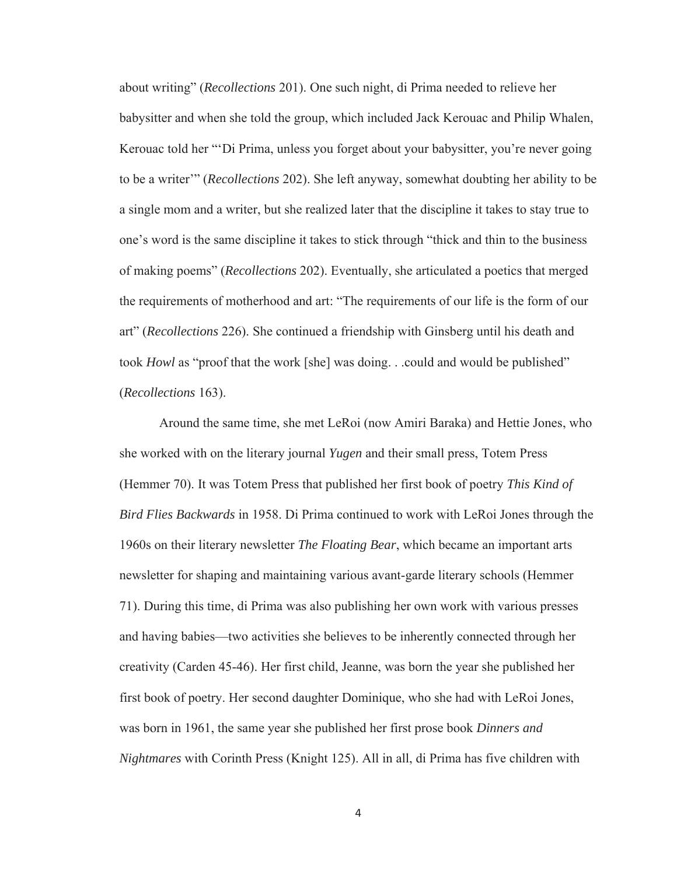about writing" (*Recollections* 201). One such night, di Prima needed to relieve her babysitter and when she told the group, which included Jack Kerouac and Philip Whalen, Kerouac told her "'Di Prima, unless you forget about your babysitter, you're never going to be a writer'" (*Recollections* 202). She left anyway, somewhat doubting her ability to be a single mom and a writer, but she realized later that the discipline it takes to stay true to one's word is the same discipline it takes to stick through "thick and thin to the business of making poems" (*Recollections* 202). Eventually, she articulated a poetics that merged the requirements of motherhood and art: "The requirements of our life is the form of our art" (*Recollections* 226). She continued a friendship with Ginsberg until his death and took *Howl* as "proof that the work [she] was doing. . .could and would be published" (*Recollections* 163).

Around the same time, she met LeRoi (now Amiri Baraka) and Hettie Jones, who she worked with on the literary journal *Yugen* and their small press, Totem Press (Hemmer 70). It was Totem Press that published her first book of poetry *This Kind of Bird Flies Backwards* in 1958. Di Prima continued to work with LeRoi Jones through the 1960s on their literary newsletter *The Floating Bear*, which became an important arts newsletter for shaping and maintaining various avant-garde literary schools (Hemmer 71). During this time, di Prima was also publishing her own work with various presses and having babies—two activities she believes to be inherently connected through her creativity (Carden 45-46). Her first child, Jeanne, was born the year she published her first book of poetry. Her second daughter Dominique, who she had with LeRoi Jones, was born in 1961, the same year she published her first prose book *Dinners and Nightmares* with Corinth Press (Knight 125). All in all, di Prima has five children with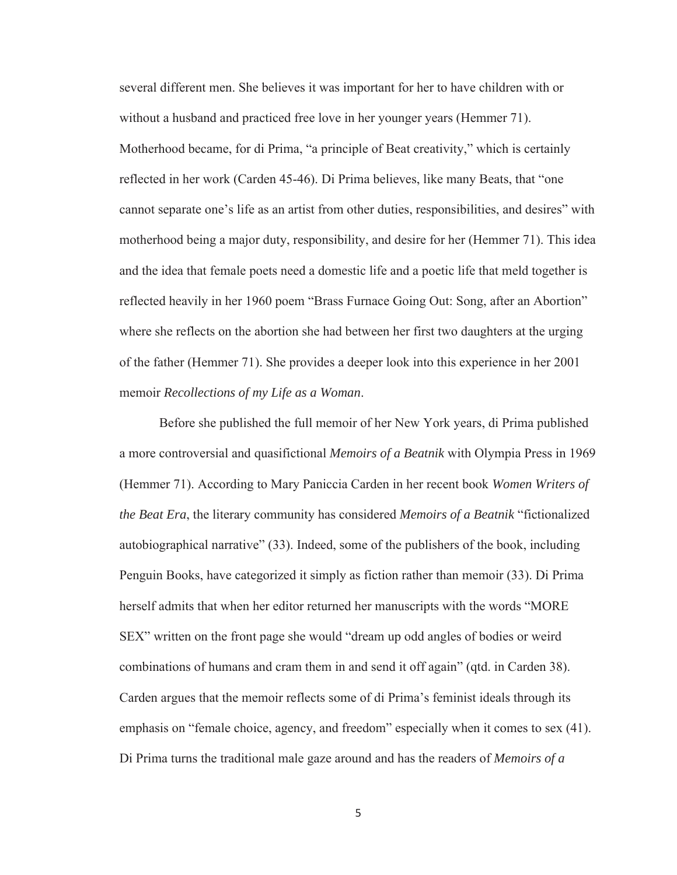several different men. She believes it was important for her to have children with or without a husband and practiced free love in her younger years (Hemmer 71). Motherhood became, for di Prima, "a principle of Beat creativity," which is certainly reflected in her work (Carden 45-46). Di Prima believes, like many Beats, that "one cannot separate one's life as an artist from other duties, responsibilities, and desires" with motherhood being a major duty, responsibility, and desire for her (Hemmer 71). This idea and the idea that female poets need a domestic life and a poetic life that meld together is reflected heavily in her 1960 poem "Brass Furnace Going Out: Song, after an Abortion" where she reflects on the abortion she had between her first two daughters at the urging of the father (Hemmer 71). She provides a deeper look into this experience in her 2001 memoir *Recollections of my Life as a Woman*.

Before she published the full memoir of her New York years, di Prima published a more controversial and quasifictional *Memoirs of a Beatnik* with Olympia Press in 1969 (Hemmer 71). According to Mary Paniccia Carden in her recent book *Women Writers of the Beat Era*, the literary community has considered *Memoirs of a Beatnik* "fictionalized autobiographical narrative" (33). Indeed, some of the publishers of the book, including Penguin Books, have categorized it simply as fiction rather than memoir (33). Di Prima herself admits that when her editor returned her manuscripts with the words "MORE SEX" written on the front page she would "dream up odd angles of bodies or weird combinations of humans and cram them in and send it off again" (qtd. in Carden 38). Carden argues that the memoir reflects some of di Prima's feminist ideals through its emphasis on "female choice, agency, and freedom" especially when it comes to sex (41). Di Prima turns the traditional male gaze around and has the readers of *Memoirs of a*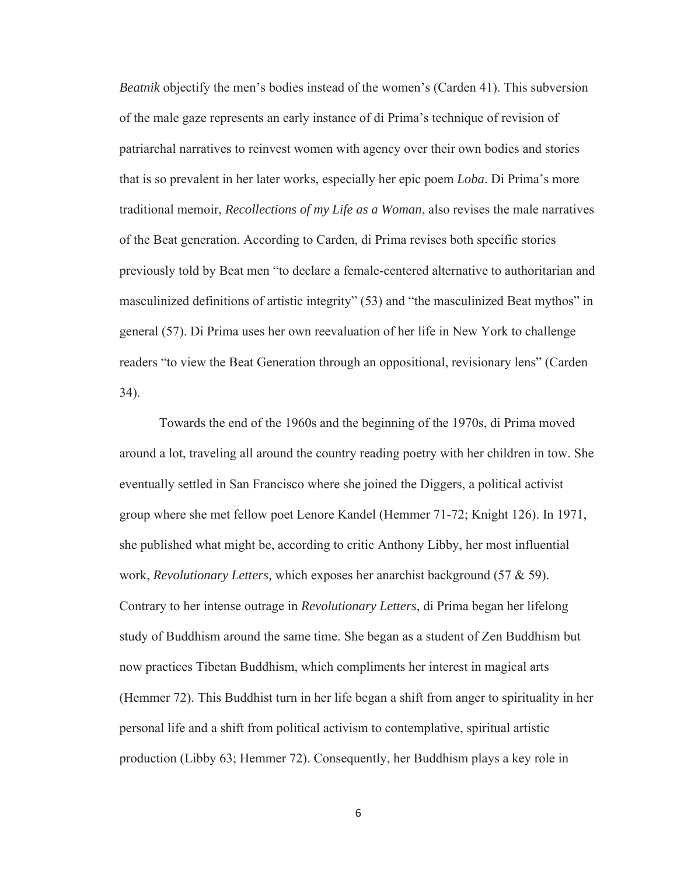*Beatnik* objectify the men's bodies instead of the women's (Carden 41). This subversion of the male gaze represents an early instance of di Prima's technique of revision of patriarchal narratives to reinvest women with agency over their own bodies and stories that is so prevalent in her later works, especially her epic poem *Loba*. Di Prima's more traditional memoir, *Recollections of my Life as a Woman*, also revises the male narratives of the Beat generation. According to Carden, di Prima revises both specific stories previously told by Beat men "to declare a female-centered alternative to authoritarian and masculinized definitions of artistic integrity" (53) and "the masculinized Beat mythos" in general (57). Di Prima uses her own reevaluation of her life in New York to challenge readers "to view the Beat Generation through an oppositional, revisionary lens" (Carden 34).

Towards the end of the 1960s and the beginning of the 1970s, di Prima moved around a lot, traveling all around the country reading poetry with her children in tow. She eventually settled in San Francisco where she joined the Diggers, a political activist group where she met fellow poet Lenore Kandel (Hemmer 71-72; Knight 126). In 1971, she published what might be, according to critic Anthony Libby, her most influential work, *Revolutionary Letters,* which exposes her anarchist background (57 & 59). Contrary to her intense outrage in *Revolutionary Letters*, di Prima began her lifelong study of Buddhism around the same time. She began as a student of Zen Buddhism but now practices Tibetan Buddhism, which compliments her interest in magical arts (Hemmer 72). This Buddhist turn in her life began a shift from anger to spirituality in her personal life and a shift from political activism to contemplative, spiritual artistic production (Libby 63; Hemmer 72). Consequently, her Buddhism plays a key role in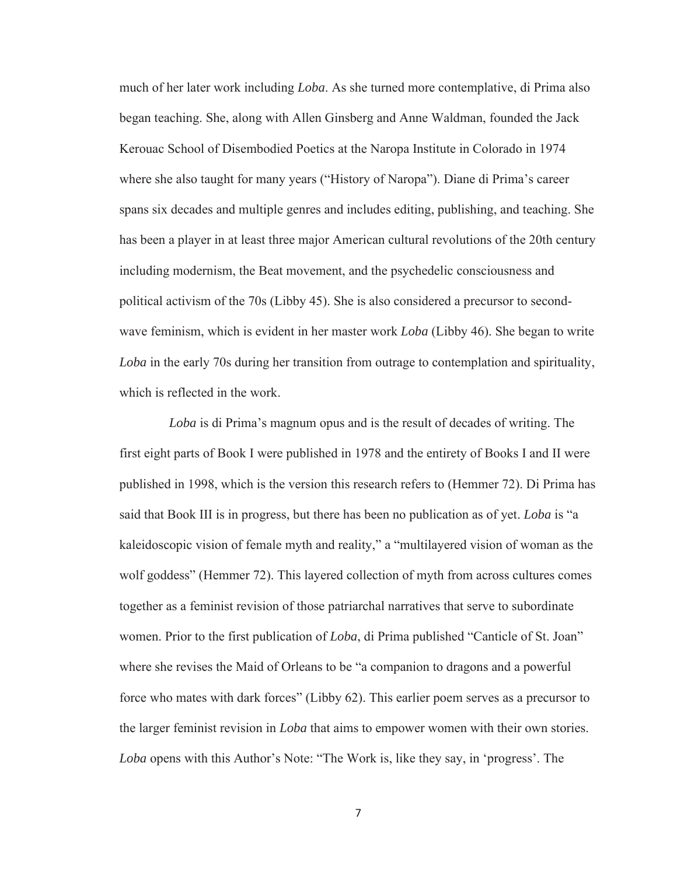much of her later work including *Loba*. As she turned more contemplative, di Prima also began teaching. She, along with Allen Ginsberg and Anne Waldman, founded the Jack Kerouac School of Disembodied Poetics at the Naropa Institute in Colorado in 1974 where she also taught for many years ("History of Naropa"). Diane di Prima's career spans six decades and multiple genres and includes editing, publishing, and teaching. She has been a player in at least three major American cultural revolutions of the 20th century including modernism, the Beat movement, and the psychedelic consciousness and political activism of the 70s (Libby 45). She is also considered a precursor to secondwave feminism, which is evident in her master work *Loba* (Libby 46). She began to write *Loba* in the early 70s during her transition from outrage to contemplation and spirituality, which is reflected in the work.

 *Loba* is di Prima's magnum opus and is the result of decades of writing. The first eight parts of Book I were published in 1978 and the entirety of Books I and II were published in 1998, which is the version this research refers to (Hemmer 72). Di Prima has said that Book III is in progress, but there has been no publication as of yet. *Loba* is "a kaleidoscopic vision of female myth and reality," a "multilayered vision of woman as the wolf goddess" (Hemmer 72). This layered collection of myth from across cultures comes together as a feminist revision of those patriarchal narratives that serve to subordinate women. Prior to the first publication of *Loba*, di Prima published "Canticle of St. Joan" where she revises the Maid of Orleans to be "a companion to dragons and a powerful force who mates with dark forces" (Libby 62). This earlier poem serves as a precursor to the larger feminist revision in *Loba* that aims to empower women with their own stories. *Loba* opens with this Author's Note: "The Work is, like they say, in 'progress'. The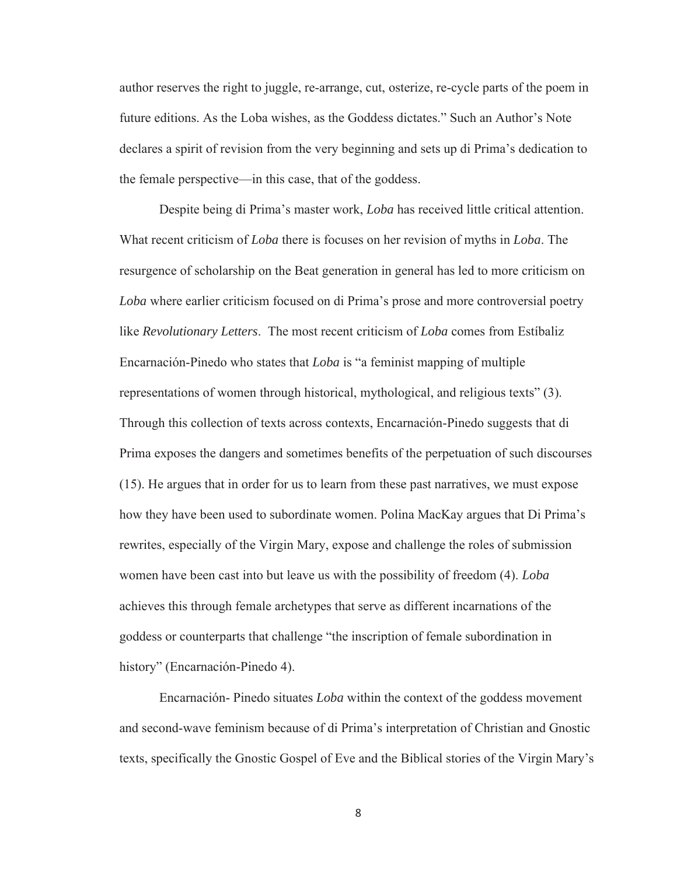author reserves the right to juggle, re-arrange, cut, osterize, re-cycle parts of the poem in future editions. As the Loba wishes, as the Goddess dictates." Such an Author's Note declares a spirit of revision from the very beginning and sets up di Prima's dedication to the female perspective—in this case, that of the goddess.

Despite being di Prima's master work, *Loba* has received little critical attention. What recent criticism of *Loba* there is focuses on her revision of myths in *Loba*. The resurgence of scholarship on the Beat generation in general has led to more criticism on *Loba* where earlier criticism focused on di Prima's prose and more controversial poetry like *Revolutionary Letters*. The most recent criticism of *Loba* comes from Estíbaliz Encarnación-Pinedo who states that *Loba* is "a feminist mapping of multiple representations of women through historical, mythological, and religious texts" (3). Through this collection of texts across contexts, Encarnación-Pinedo suggests that di Prima exposes the dangers and sometimes benefits of the perpetuation of such discourses (15). He argues that in order for us to learn from these past narratives, we must expose how they have been used to subordinate women. Polina MacKay argues that Di Prima's rewrites, especially of the Virgin Mary, expose and challenge the roles of submission women have been cast into but leave us with the possibility of freedom (4). *Loba* achieves this through female archetypes that serve as different incarnations of the goddess or counterparts that challenge "the inscription of female subordination in history" (Encarnación-Pinedo 4).

Encarnación- Pinedo situates *Loba* within the context of the goddess movement and second-wave feminism because of di Prima's interpretation of Christian and Gnostic texts, specifically the Gnostic Gospel of Eve and the Biblical stories of the Virgin Mary's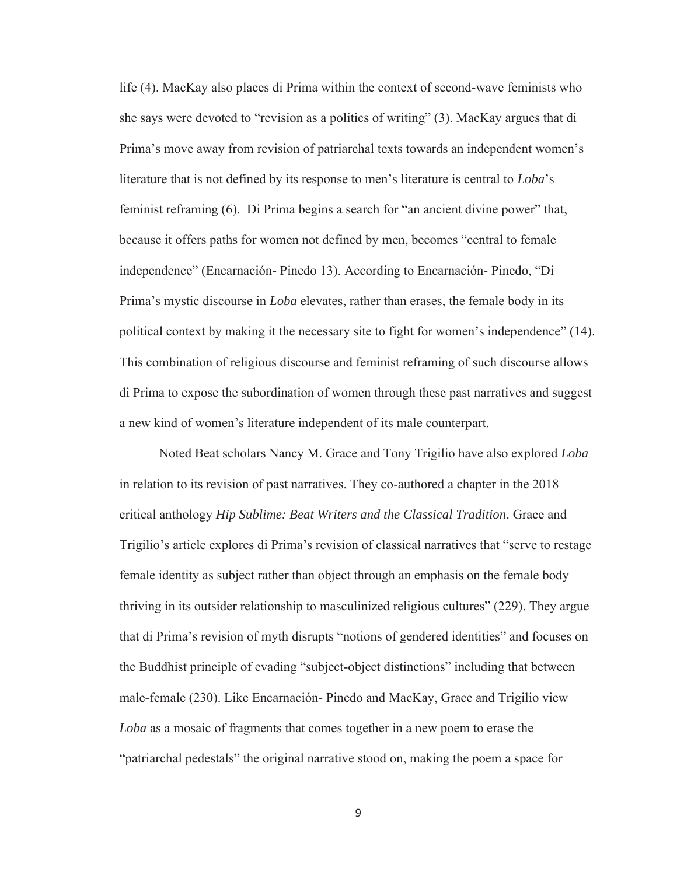life (4). MacKay also places di Prima within the context of second-wave feminists who she says were devoted to "revision as a politics of writing" (3). MacKay argues that di Prima's move away from revision of patriarchal texts towards an independent women's literature that is not defined by its response to men's literature is central to *Loba*'s feminist reframing (6). Di Prima begins a search for "an ancient divine power" that, because it offers paths for women not defined by men, becomes "central to female independence" (Encarnación- Pinedo 13). According to Encarnación- Pinedo, "Di Prima's mystic discourse in *Loba* elevates, rather than erases, the female body in its political context by making it the necessary site to fight for women's independence" (14). This combination of religious discourse and feminist reframing of such discourse allows di Prima to expose the subordination of women through these past narratives and suggest a new kind of women's literature independent of its male counterpart.

Noted Beat scholars Nancy M. Grace and Tony Trigilio have also explored *Loba* in relation to its revision of past narratives. They co-authored a chapter in the 2018 critical anthology *Hip Sublime: Beat Writers and the Classical Tradition*. Grace and Trigilio's article explores di Prima's revision of classical narratives that "serve to restage female identity as subject rather than object through an emphasis on the female body thriving in its outsider relationship to masculinized religious cultures" (229). They argue that di Prima's revision of myth disrupts "notions of gendered identities" and focuses on the Buddhist principle of evading "subject-object distinctions" including that between male-female (230). Like Encarnación- Pinedo and MacKay, Grace and Trigilio view *Loba* as a mosaic of fragments that comes together in a new poem to erase the "patriarchal pedestals" the original narrative stood on, making the poem a space for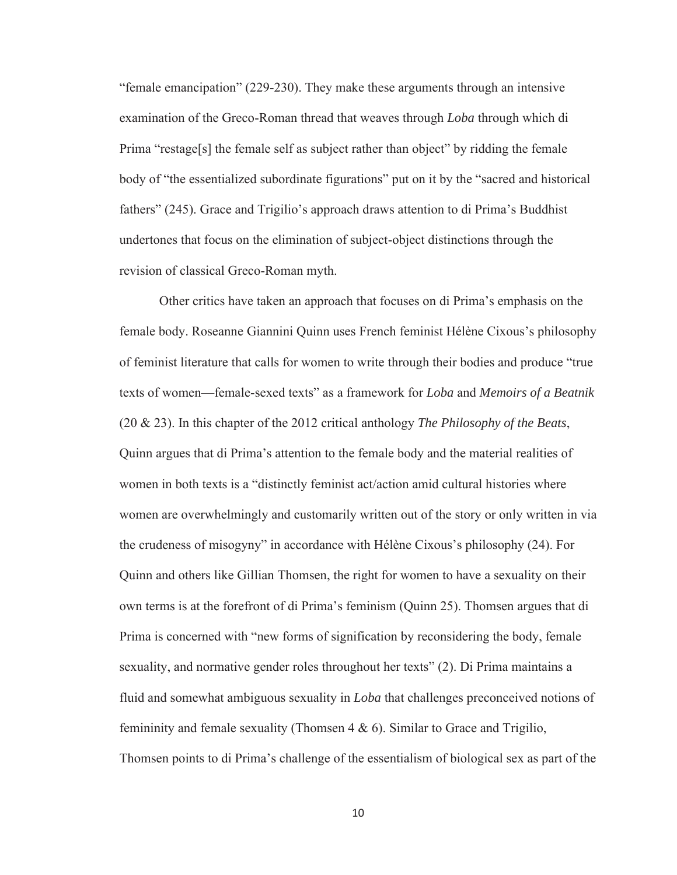"female emancipation" (229-230). They make these arguments through an intensive examination of the Greco-Roman thread that weaves through *Loba* through which di Prima "restage[s] the female self as subject rather than object" by ridding the female body of "the essentialized subordinate figurations" put on it by the "sacred and historical fathers" (245). Grace and Trigilio's approach draws attention to di Prima's Buddhist undertones that focus on the elimination of subject-object distinctions through the revision of classical Greco-Roman myth.

Other critics have taken an approach that focuses on di Prima's emphasis on the female body. Roseanne Giannini Quinn uses French feminist Hélène Cixous's philosophy of feminist literature that calls for women to write through their bodies and produce "true texts of women—female-sexed texts" as a framework for *Loba* and *Memoirs of a Beatnik* (20 & 23). In this chapter of the 2012 critical anthology *The Philosophy of the Beats*, Quinn argues that di Prima's attention to the female body and the material realities of women in both texts is a "distinctly feminist act/action amid cultural histories where women are overwhelmingly and customarily written out of the story or only written in via the crudeness of misogyny" in accordance with Hélène Cixous's philosophy (24). For Quinn and others like Gillian Thomsen, the right for women to have a sexuality on their own terms is at the forefront of di Prima's feminism (Quinn 25). Thomsen argues that di Prima is concerned with "new forms of signification by reconsidering the body, female sexuality, and normative gender roles throughout her texts" (2). Di Prima maintains a fluid and somewhat ambiguous sexuality in *Loba* that challenges preconceived notions of femininity and female sexuality (Thomsen 4 & 6). Similar to Grace and Trigilio, Thomsen points to di Prima's challenge of the essentialism of biological sex as part of the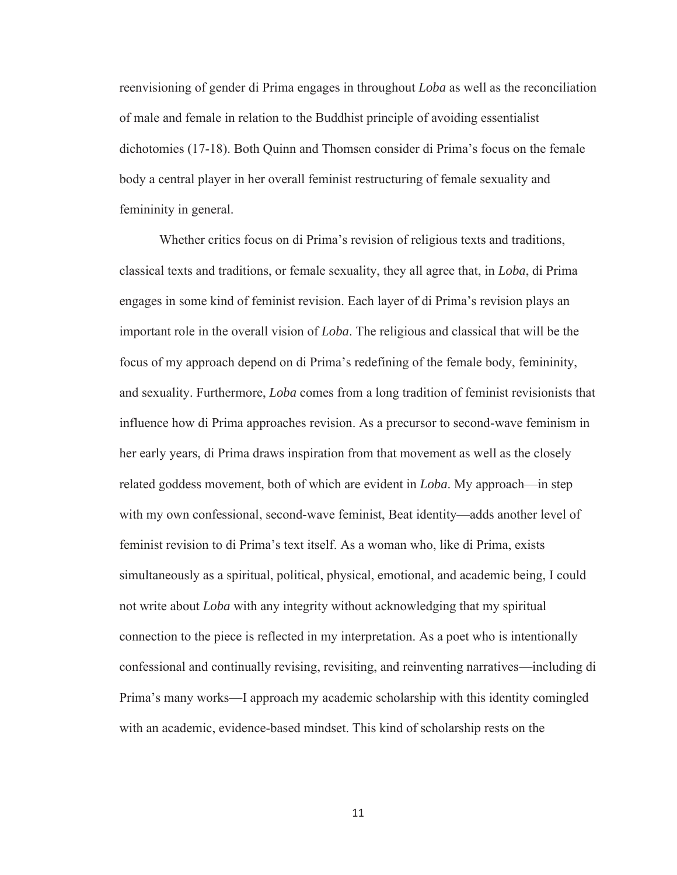reenvisioning of gender di Prima engages in throughout *Loba* as well as the reconciliation of male and female in relation to the Buddhist principle of avoiding essentialist dichotomies (17-18). Both Quinn and Thomsen consider di Prima's focus on the female body a central player in her overall feminist restructuring of female sexuality and femininity in general.

Whether critics focus on di Prima's revision of religious texts and traditions, classical texts and traditions, or female sexuality, they all agree that, in *Loba*, di Prima engages in some kind of feminist revision. Each layer of di Prima's revision plays an important role in the overall vision of *Loba*. The religious and classical that will be the focus of my approach depend on di Prima's redefining of the female body, femininity, and sexuality. Furthermore, *Loba* comes from a long tradition of feminist revisionists that influence how di Prima approaches revision. As a precursor to second-wave feminism in her early years, di Prima draws inspiration from that movement as well as the closely related goddess movement, both of which are evident in *Loba*. My approach—in step with my own confessional, second-wave feminist, Beat identity—adds another level of feminist revision to di Prima's text itself. As a woman who, like di Prima, exists simultaneously as a spiritual, political, physical, emotional, and academic being, I could not write about *Loba* with any integrity without acknowledging that my spiritual connection to the piece is reflected in my interpretation. As a poet who is intentionally confessional and continually revising, revisiting, and reinventing narratives—including di Prima's many works—I approach my academic scholarship with this identity comingled with an academic, evidence-based mindset. This kind of scholarship rests on the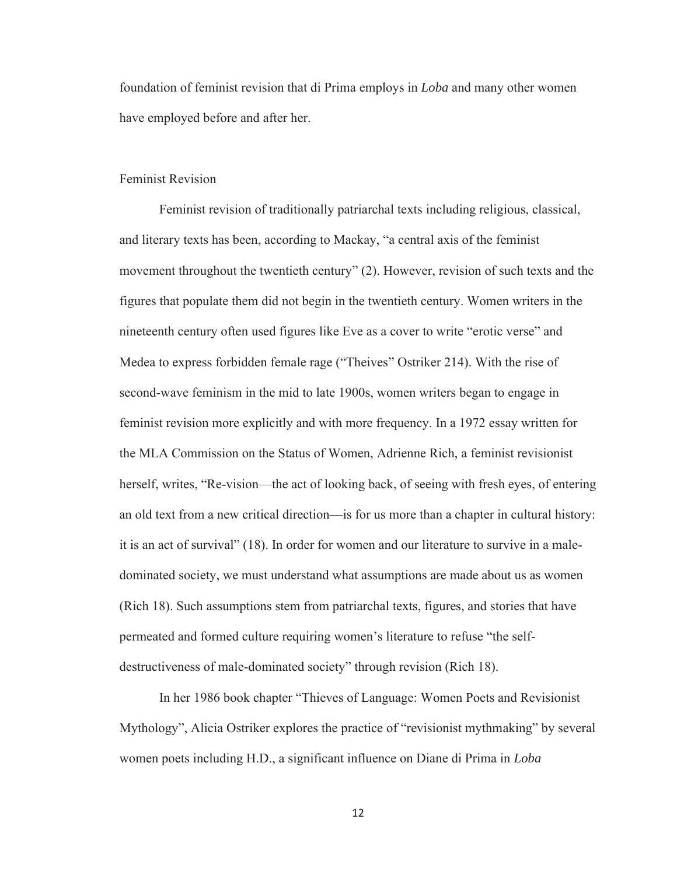foundation of feminist revision that di Prima employs in *Loba* and many other women have employed before and after her.

#### Feminist Revision

Feminist revision of traditionally patriarchal texts including religious, classical, and literary texts has been, according to Mackay, "a central axis of the feminist movement throughout the twentieth century" (2). However, revision of such texts and the figures that populate them did not begin in the twentieth century. Women writers in the nineteenth century often used figures like Eve as a cover to write "erotic verse" and Medea to express forbidden female rage ("Theives" Ostriker 214). With the rise of second-wave feminism in the mid to late 1900s, women writers began to engage in feminist revision more explicitly and with more frequency. In a 1972 essay written for the MLA Commission on the Status of Women, Adrienne Rich, a feminist revisionist herself, writes, "Re-vision—the act of looking back, of seeing with fresh eyes, of entering an old text from a new critical direction—is for us more than a chapter in cultural history: it is an act of survival" (18). In order for women and our literature to survive in a maledominated society, we must understand what assumptions are made about us as women (Rich 18). Such assumptions stem from patriarchal texts, figures, and stories that have permeated and formed culture requiring women's literature to refuse "the selfdestructiveness of male-dominated society" through revision (Rich 18).

In her 1986 book chapter "Thieves of Language: Women Poets and Revisionist Mythology", Alicia Ostriker explores the practice of "revisionist mythmaking" by several women poets including H.D., a significant influence on Diane di Prima in *Loba*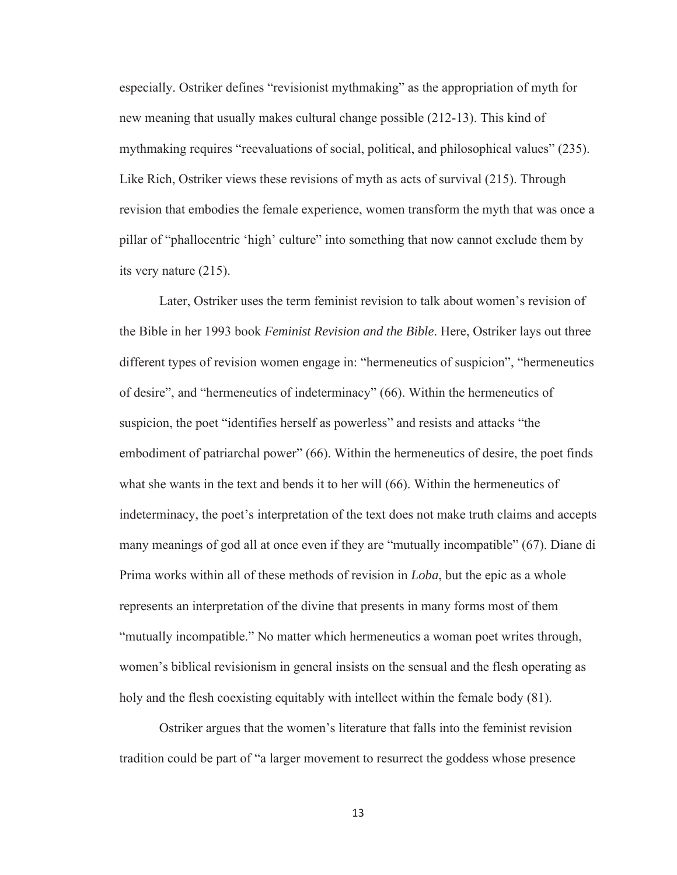especially. Ostriker defines "revisionist mythmaking" as the appropriation of myth for new meaning that usually makes cultural change possible (212-13). This kind of mythmaking requires "reevaluations of social, political, and philosophical values" (235). Like Rich, Ostriker views these revisions of myth as acts of survival (215). Through revision that embodies the female experience, women transform the myth that was once a pillar of "phallocentric 'high' culture" into something that now cannot exclude them by its very nature (215).

Later, Ostriker uses the term feminist revision to talk about women's revision of the Bible in her 1993 book *Feminist Revision and the Bible*. Here, Ostriker lays out three different types of revision women engage in: "hermeneutics of suspicion", "hermeneutics of desire", and "hermeneutics of indeterminacy" (66). Within the hermeneutics of suspicion, the poet "identifies herself as powerless" and resists and attacks "the embodiment of patriarchal power" (66). Within the hermeneutics of desire, the poet finds what she wants in the text and bends it to her will (66). Within the hermeneutics of indeterminacy, the poet's interpretation of the text does not make truth claims and accepts many meanings of god all at once even if they are "mutually incompatible" (67). Diane di Prima works within all of these methods of revision in *Loba*, but the epic as a whole represents an interpretation of the divine that presents in many forms most of them "mutually incompatible." No matter which hermeneutics a woman poet writes through, women's biblical revisionism in general insists on the sensual and the flesh operating as holy and the flesh coexisting equitably with intellect within the female body (81).

Ostriker argues that the women's literature that falls into the feminist revision tradition could be part of "a larger movement to resurrect the goddess whose presence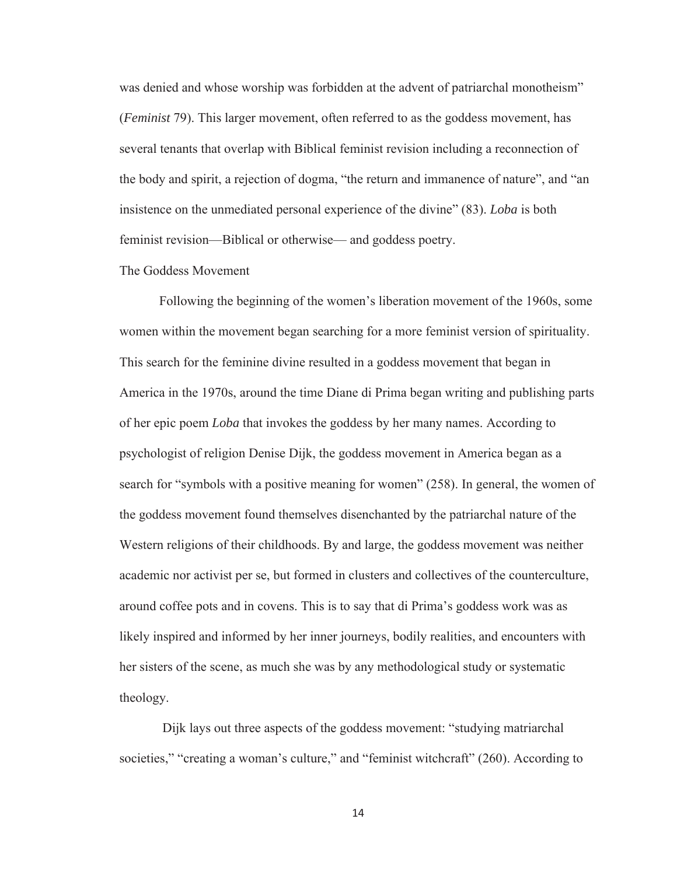was denied and whose worship was forbidden at the advent of patriarchal monotheism" (*Feminist* 79). This larger movement, often referred to as the goddess movement, has several tenants that overlap with Biblical feminist revision including a reconnection of the body and spirit, a rejection of dogma, "the return and immanence of nature", and "an insistence on the unmediated personal experience of the divine" (83). *Loba* is both feminist revision—Biblical or otherwise— and goddess poetry.

## The Goddess Movement

Following the beginning of the women's liberation movement of the 1960s, some women within the movement began searching for a more feminist version of spirituality. This search for the feminine divine resulted in a goddess movement that began in America in the 1970s, around the time Diane di Prima began writing and publishing parts of her epic poem *Loba* that invokes the goddess by her many names. According to psychologist of religion Denise Dijk, the goddess movement in America began as a search for "symbols with a positive meaning for women" (258). In general, the women of the goddess movement found themselves disenchanted by the patriarchal nature of the Western religions of their childhoods. By and large, the goddess movement was neither academic nor activist per se, but formed in clusters and collectives of the counterculture, around coffee pots and in covens. This is to say that di Prima's goddess work was as likely inspired and informed by her inner journeys, bodily realities, and encounters with her sisters of the scene, as much she was by any methodological study or systematic theology.

Dijk lays out three aspects of the goddess movement: "studying matriarchal societies," "creating a woman's culture," and "feminist witchcraft" (260). According to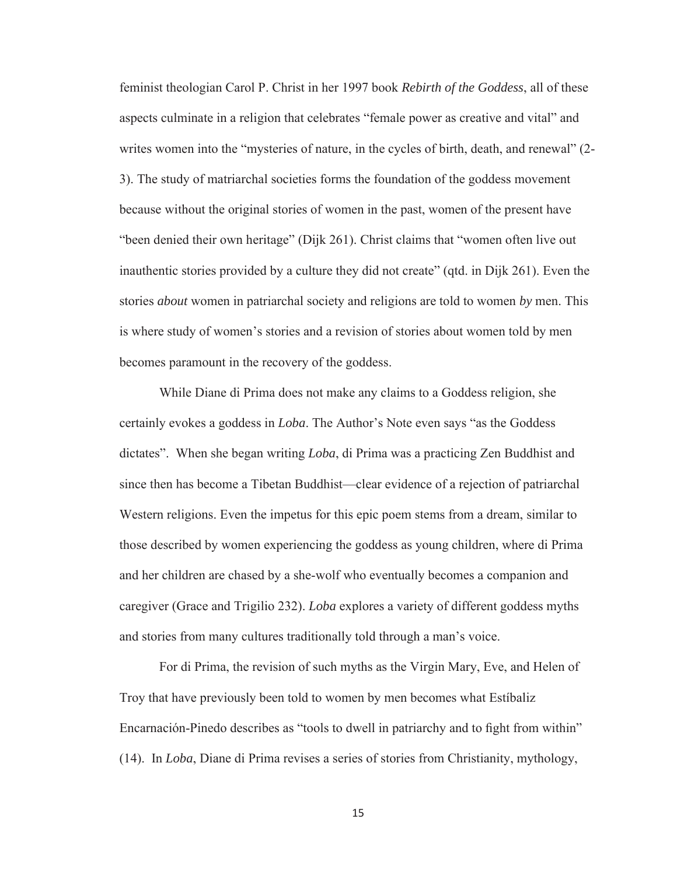feminist theologian Carol P. Christ in her 1997 book *Rebirth of the Goddess*, all of these aspects culminate in a religion that celebrates "female power as creative and vital" and writes women into the "mysteries of nature, in the cycles of birth, death, and renewal" (2- 3). The study of matriarchal societies forms the foundation of the goddess movement because without the original stories of women in the past, women of the present have "been denied their own heritage" (Dijk 261). Christ claims that "women often live out inauthentic stories provided by a culture they did not create" (qtd. in Dijk 261). Even the stories *about* women in patriarchal society and religions are told to women *by* men. This is where study of women's stories and a revision of stories about women told by men becomes paramount in the recovery of the goddess.

While Diane di Prima does not make any claims to a Goddess religion, she certainly evokes a goddess in *Loba*. The Author's Note even says "as the Goddess dictates". When she began writing *Loba*, di Prima was a practicing Zen Buddhist and since then has become a Tibetan Buddhist—clear evidence of a rejection of patriarchal Western religions. Even the impetus for this epic poem stems from a dream, similar to those described by women experiencing the goddess as young children, where di Prima and her children are chased by a she-wolf who eventually becomes a companion and caregiver (Grace and Trigilio 232). *Loba* explores a variety of different goddess myths and stories from many cultures traditionally told through a man's voice.

For di Prima, the revision of such myths as the Virgin Mary, Eve, and Helen of Troy that have previously been told to women by men becomes what Estíbaliz Encarnación-Pinedo describes as "tools to dwell in patriarchy and to fight from within" (14). In *Loba*, Diane di Prima revises a series of stories from Christianity, mythology,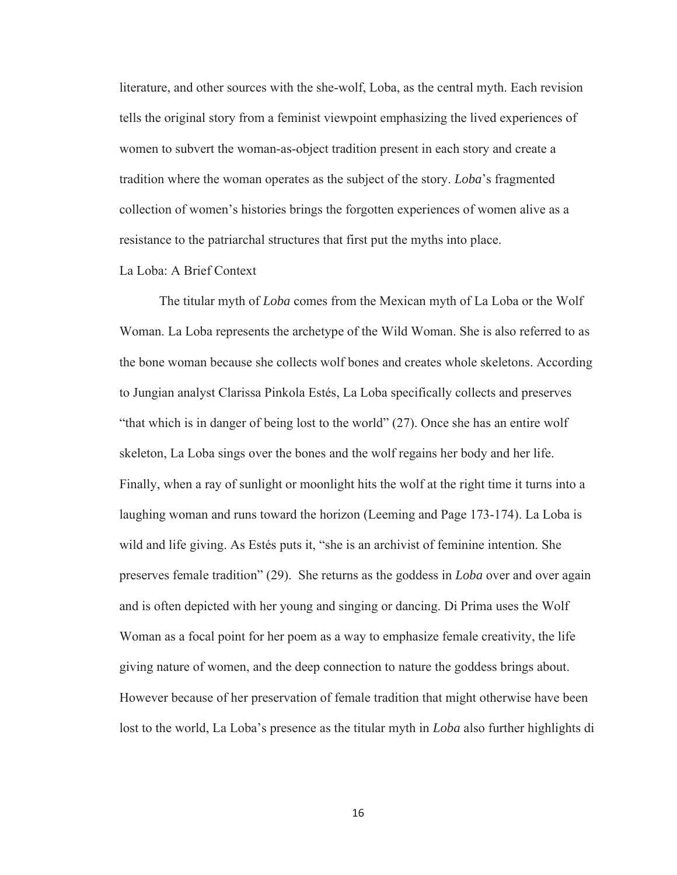literature, and other sources with the she-wolf, Loba, as the central myth. Each revision tells the original story from a feminist viewpoint emphasizing the lived experiences of women to subvert the woman-as-object tradition present in each story and create a tradition where the woman operates as the subject of the story. *Loba*'s fragmented collection of women's histories brings the forgotten experiences of women alive as a resistance to the patriarchal structures that first put the myths into place.

## La Loba: A Brief Context

The titular myth of *Loba* comes from the Mexican myth of La Loba or the Wolf Woman. La Loba represents the archetype of the Wild Woman. She is also referred to as the bone woman because she collects wolf bones and creates whole skeletons. According to Jungian analyst Clarissa Pinkola Estés, La Loba specifically collects and preserves "that which is in danger of being lost to the world" (27). Once she has an entire wolf skeleton, La Loba sings over the bones and the wolf regains her body and her life. Finally, when a ray of sunlight or moonlight hits the wolf at the right time it turns into a laughing woman and runs toward the horizon (Leeming and Page 173-174). La Loba is wild and life giving. As Estés puts it, "she is an archivist of feminine intention. She preserves female tradition" (29). She returns as the goddess in *Loba* over and over again and is often depicted with her young and singing or dancing. Di Prima uses the Wolf Woman as a focal point for her poem as a way to emphasize female creativity, the life giving nature of women, and the deep connection to nature the goddess brings about. However because of her preservation of female tradition that might otherwise have been lost to the world, La Loba's presence as the titular myth in *Loba* also further highlights di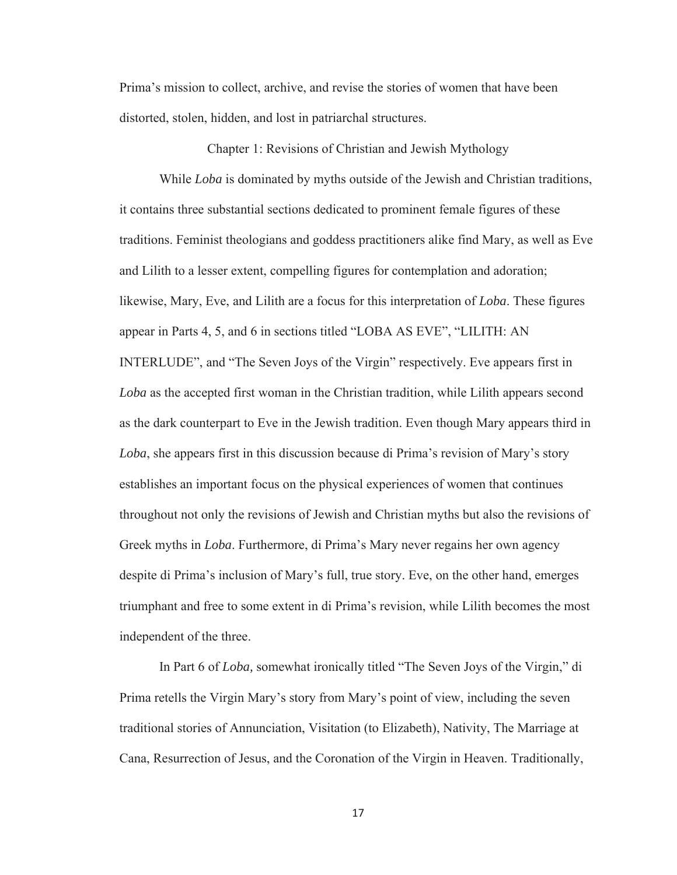Prima's mission to collect, archive, and revise the stories of women that have been distorted, stolen, hidden, and lost in patriarchal structures.

Chapter 1: Revisions of Christian and Jewish Mythology

 While *Loba* is dominated by myths outside of the Jewish and Christian traditions, it contains three substantial sections dedicated to prominent female figures of these traditions. Feminist theologians and goddess practitioners alike find Mary, as well as Eve and Lilith to a lesser extent, compelling figures for contemplation and adoration; likewise, Mary, Eve, and Lilith are a focus for this interpretation of *Loba*. These figures appear in Parts 4, 5, and 6 in sections titled "LOBA AS EVE", "LILITH: AN INTERLUDE", and "The Seven Joys of the Virgin" respectively. Eve appears first in *Loba* as the accepted first woman in the Christian tradition, while Lilith appears second as the dark counterpart to Eve in the Jewish tradition. Even though Mary appears third in *Loba*, she appears first in this discussion because di Prima's revision of Mary's story establishes an important focus on the physical experiences of women that continues throughout not only the revisions of Jewish and Christian myths but also the revisions of Greek myths in *Loba*. Furthermore, di Prima's Mary never regains her own agency despite di Prima's inclusion of Mary's full, true story. Eve, on the other hand, emerges triumphant and free to some extent in di Prima's revision, while Lilith becomes the most independent of the three.

In Part 6 of *Loba,* somewhat ironically titled "The Seven Joys of the Virgin," di Prima retells the Virgin Mary's story from Mary's point of view, including the seven traditional stories of Annunciation, Visitation (to Elizabeth), Nativity, The Marriage at Cana, Resurrection of Jesus, and the Coronation of the Virgin in Heaven. Traditionally,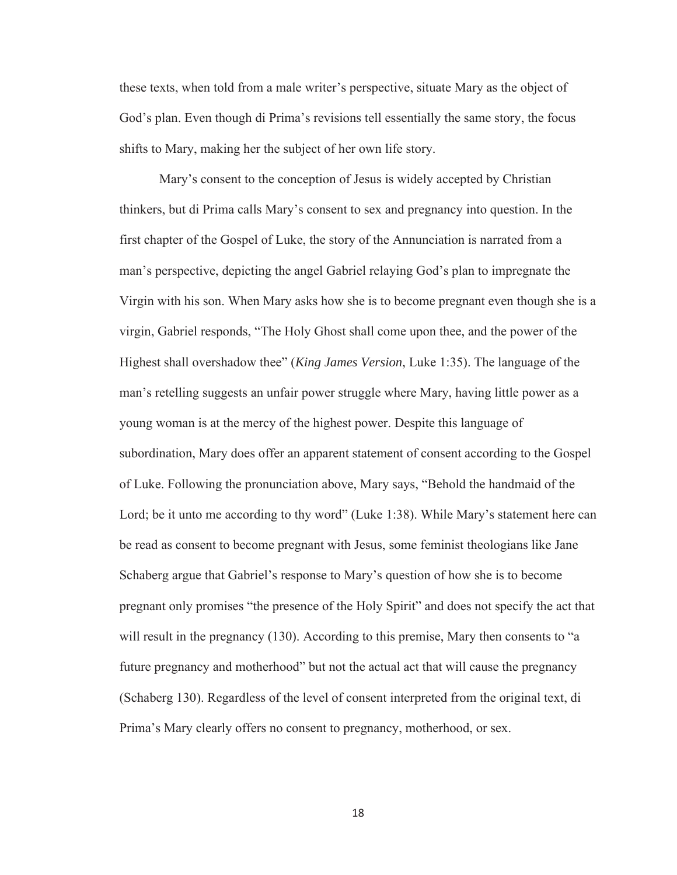these texts, when told from a male writer's perspective, situate Mary as the object of God's plan. Even though di Prima's revisions tell essentially the same story, the focus shifts to Mary, making her the subject of her own life story.

Mary's consent to the conception of Jesus is widely accepted by Christian thinkers, but di Prima calls Mary's consent to sex and pregnancy into question. In the first chapter of the Gospel of Luke, the story of the Annunciation is narrated from a man's perspective, depicting the angel Gabriel relaying God's plan to impregnate the Virgin with his son. When Mary asks how she is to become pregnant even though she is a virgin, Gabriel responds, "The Holy Ghost shall come upon thee, and the power of the Highest shall overshadow thee" (*King James Version*, Luke 1:35). The language of the man's retelling suggests an unfair power struggle where Mary, having little power as a young woman is at the mercy of the highest power. Despite this language of subordination, Mary does offer an apparent statement of consent according to the Gospel of Luke. Following the pronunciation above, Mary says, "Behold the handmaid of the Lord; be it unto me according to thy word" (Luke 1:38). While Mary's statement here can be read as consent to become pregnant with Jesus, some feminist theologians like Jane Schaberg argue that Gabriel's response to Mary's question of how she is to become pregnant only promises "the presence of the Holy Spirit" and does not specify the act that will result in the pregnancy (130). According to this premise, Mary then consents to "a future pregnancy and motherhood" but not the actual act that will cause the pregnancy (Schaberg 130). Regardless of the level of consent interpreted from the original text, di Prima's Mary clearly offers no consent to pregnancy, motherhood, or sex.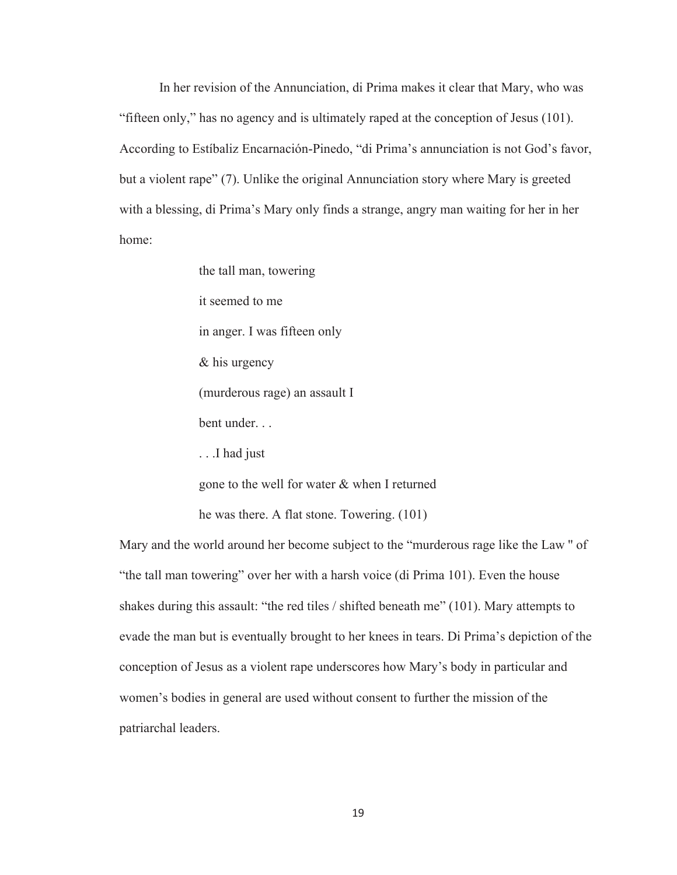In her revision of the Annunciation, di Prima makes it clear that Mary, who was "fifteen only," has no agency and is ultimately raped at the conception of Jesus (101). According to Estíbaliz Encarnación-Pinedo, "di Prima's annunciation is not God's favor, but a violent rape" (7). Unlike the original Annunciation story where Mary is greeted with a blessing, di Prima's Mary only finds a strange, angry man waiting for her in her home:

> the tall man, towering it seemed to me in anger. I was fifteen only & his urgency (murderous rage) an assault I bent under. . . . . .I had just

gone to the well for water & when I returned

he was there. A flat stone. Towering. (101)

Mary and the world around her become subject to the "murderous rage like the Law '' of "the tall man towering" over her with a harsh voice (di Prima 101). Even the house shakes during this assault: "the red tiles / shifted beneath me" (101). Mary attempts to evade the man but is eventually brought to her knees in tears. Di Prima's depiction of the conception of Jesus as a violent rape underscores how Mary's body in particular and women's bodies in general are used without consent to further the mission of the patriarchal leaders.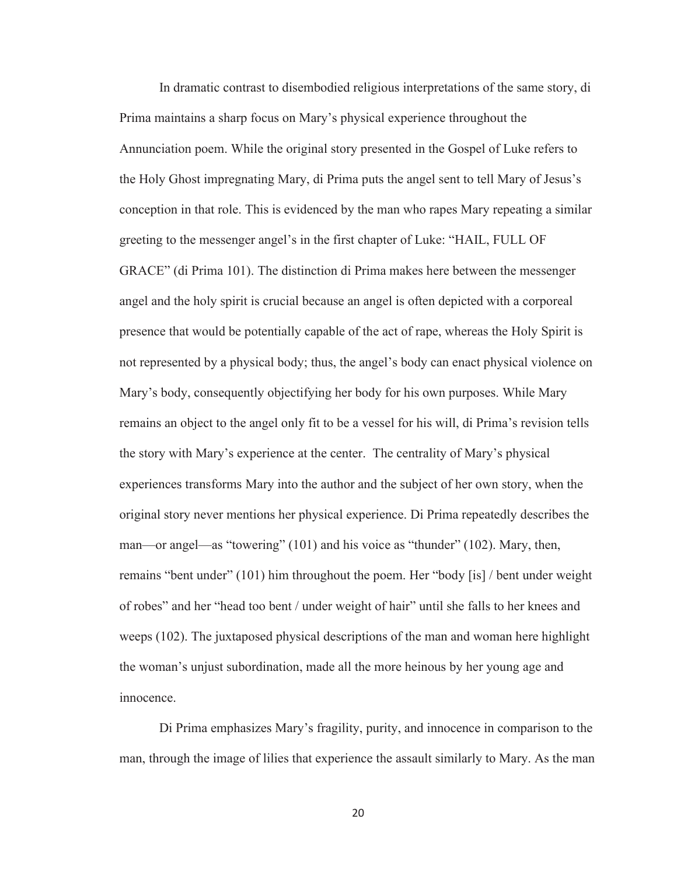In dramatic contrast to disembodied religious interpretations of the same story, di Prima maintains a sharp focus on Mary's physical experience throughout the Annunciation poem. While the original story presented in the Gospel of Luke refers to the Holy Ghost impregnating Mary, di Prima puts the angel sent to tell Mary of Jesus's conception in that role. This is evidenced by the man who rapes Mary repeating a similar greeting to the messenger angel's in the first chapter of Luke: "HAIL, FULL OF GRACE" (di Prima 101). The distinction di Prima makes here between the messenger angel and the holy spirit is crucial because an angel is often depicted with a corporeal presence that would be potentially capable of the act of rape, whereas the Holy Spirit is not represented by a physical body; thus, the angel's body can enact physical violence on Mary's body, consequently objectifying her body for his own purposes. While Mary remains an object to the angel only fit to be a vessel for his will, di Prima's revision tells the story with Mary's experience at the center. The centrality of Mary's physical experiences transforms Mary into the author and the subject of her own story, when the original story never mentions her physical experience. Di Prima repeatedly describes the man—or angel—as "towering" (101) and his voice as "thunder" (102). Mary, then, remains "bent under" (101) him throughout the poem. Her "body [is] / bent under weight of robes" and her "head too bent / under weight of hair" until she falls to her knees and weeps (102). The juxtaposed physical descriptions of the man and woman here highlight the woman's unjust subordination, made all the more heinous by her young age and innocence.

Di Prima emphasizes Mary's fragility, purity, and innocence in comparison to the man, through the image of lilies that experience the assault similarly to Mary. As the man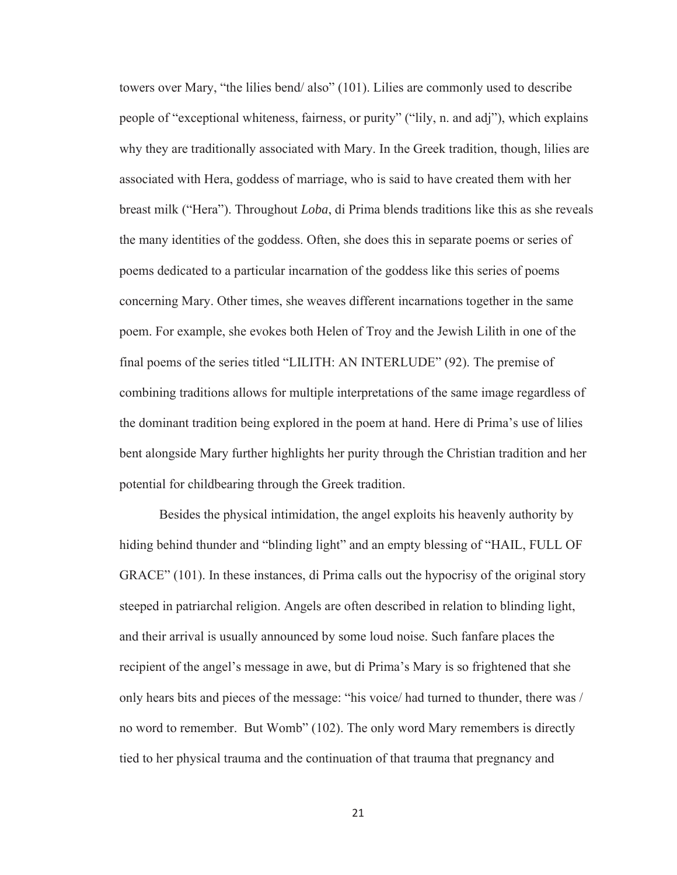towers over Mary, "the lilies bend/ also" (101). Lilies are commonly used to describe people of "exceptional whiteness, fairness, or purity" ("lily, n. and adj"), which explains why they are traditionally associated with Mary. In the Greek tradition, though, lilies are associated with Hera, goddess of marriage, who is said to have created them with her breast milk ("Hera"). Throughout *Loba*, di Prima blends traditions like this as she reveals the many identities of the goddess. Often, she does this in separate poems or series of poems dedicated to a particular incarnation of the goddess like this series of poems concerning Mary. Other times, she weaves different incarnations together in the same poem. For example, she evokes both Helen of Troy and the Jewish Lilith in one of the final poems of the series titled "LILITH: AN INTERLUDE" (92). The premise of combining traditions allows for multiple interpretations of the same image regardless of the dominant tradition being explored in the poem at hand. Here di Prima's use of lilies bent alongside Mary further highlights her purity through the Christian tradition and her potential for childbearing through the Greek tradition.

Besides the physical intimidation, the angel exploits his heavenly authority by hiding behind thunder and "blinding light" and an empty blessing of "HAIL, FULL OF GRACE" (101). In these instances, di Prima calls out the hypocrisy of the original story steeped in patriarchal religion. Angels are often described in relation to blinding light, and their arrival is usually announced by some loud noise. Such fanfare places the recipient of the angel's message in awe, but di Prima's Mary is so frightened that she only hears bits and pieces of the message: "his voice/ had turned to thunder, there was / no word to remember. But Womb" (102). The only word Mary remembers is directly tied to her physical trauma and the continuation of that trauma that pregnancy and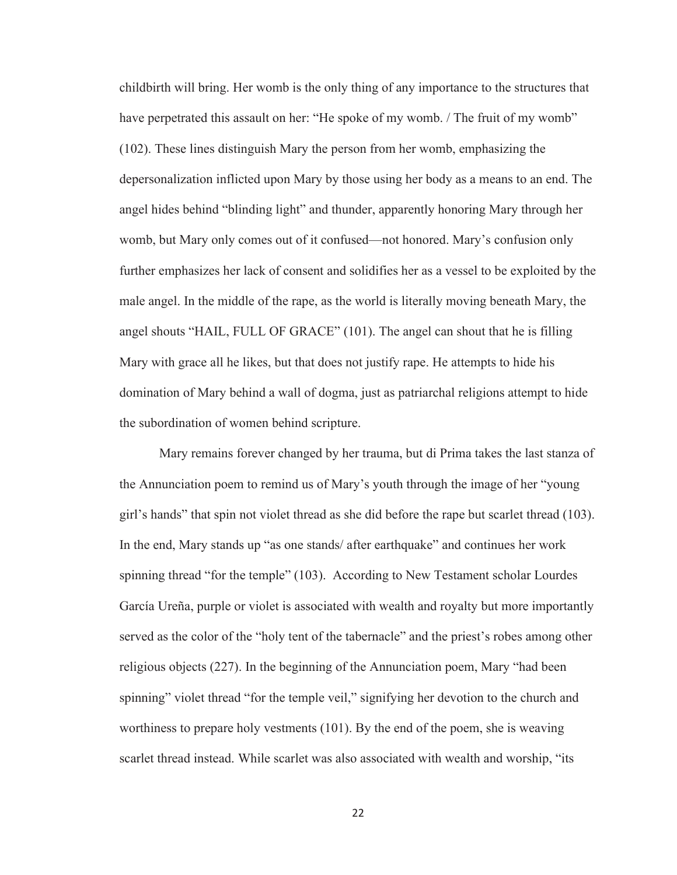childbirth will bring. Her womb is the only thing of any importance to the structures that have perpetrated this assault on her: "He spoke of my womb. / The fruit of my womb" (102). These lines distinguish Mary the person from her womb, emphasizing the depersonalization inflicted upon Mary by those using her body as a means to an end. The angel hides behind "blinding light" and thunder, apparently honoring Mary through her womb, but Mary only comes out of it confused—not honored. Mary's confusion only further emphasizes her lack of consent and solidifies her as a vessel to be exploited by the male angel. In the middle of the rape, as the world is literally moving beneath Mary, the angel shouts "HAIL, FULL OF GRACE" (101). The angel can shout that he is filling Mary with grace all he likes, but that does not justify rape. He attempts to hide his domination of Mary behind a wall of dogma, just as patriarchal religions attempt to hide the subordination of women behind scripture.

Mary remains forever changed by her trauma, but di Prima takes the last stanza of the Annunciation poem to remind us of Mary's youth through the image of her "young girl's hands" that spin not violet thread as she did before the rape but scarlet thread (103). In the end, Mary stands up "as one stands/ after earthquake" and continues her work spinning thread "for the temple" (103). According to New Testament scholar Lourdes García Ureña, purple or violet is associated with wealth and royalty but more importantly served as the color of the "holy tent of the tabernacle" and the priest's robes among other religious objects (227). In the beginning of the Annunciation poem, Mary "had been spinning" violet thread "for the temple veil," signifying her devotion to the church and worthiness to prepare holy vestments (101). By the end of the poem, she is weaving scarlet thread instead. While scarlet was also associated with wealth and worship, "its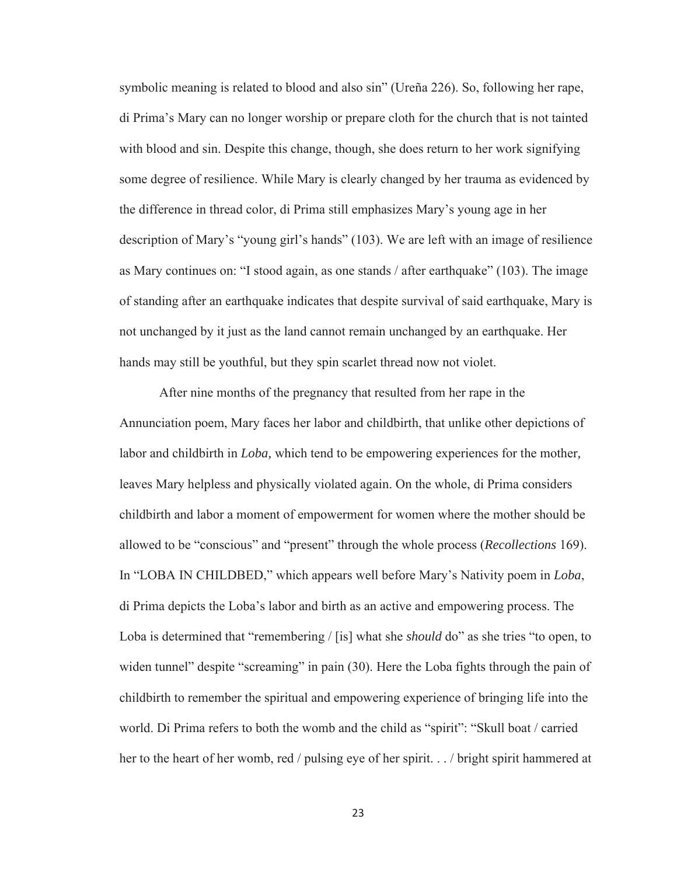symbolic meaning is related to blood and also sin" (Ureña 226). So, following her rape, di Prima's Mary can no longer worship or prepare cloth for the church that is not tainted with blood and sin. Despite this change, though, she does return to her work signifying some degree of resilience. While Mary is clearly changed by her trauma as evidenced by the difference in thread color, di Prima still emphasizes Mary's young age in her description of Mary's "young girl's hands" (103). We are left with an image of resilience as Mary continues on: "I stood again, as one stands / after earthquake" (103). The image of standing after an earthquake indicates that despite survival of said earthquake, Mary is not unchanged by it just as the land cannot remain unchanged by an earthquake. Her hands may still be youthful, but they spin scarlet thread now not violet.

After nine months of the pregnancy that resulted from her rape in the Annunciation poem, Mary faces her labor and childbirth, that unlike other depictions of labor and childbirth in *Loba,* which tend to be empowering experiences for the mother*,*  leaves Mary helpless and physically violated again. On the whole, di Prima considers childbirth and labor a moment of empowerment for women where the mother should be allowed to be "conscious" and "present" through the whole process (*Recollections* 169). In "LOBA IN CHILDBED," which appears well before Mary's Nativity poem in *Loba*, di Prima depicts the Loba's labor and birth as an active and empowering process. The Loba is determined that "remembering / [is] what she *should* do" as she tries "to open, to widen tunnel" despite "screaming" in pain (30). Here the Loba fights through the pain of childbirth to remember the spiritual and empowering experience of bringing life into the world. Di Prima refers to both the womb and the child as "spirit": "Skull boat / carried her to the heart of her womb, red / pulsing eye of her spirit. . . / bright spirit hammered at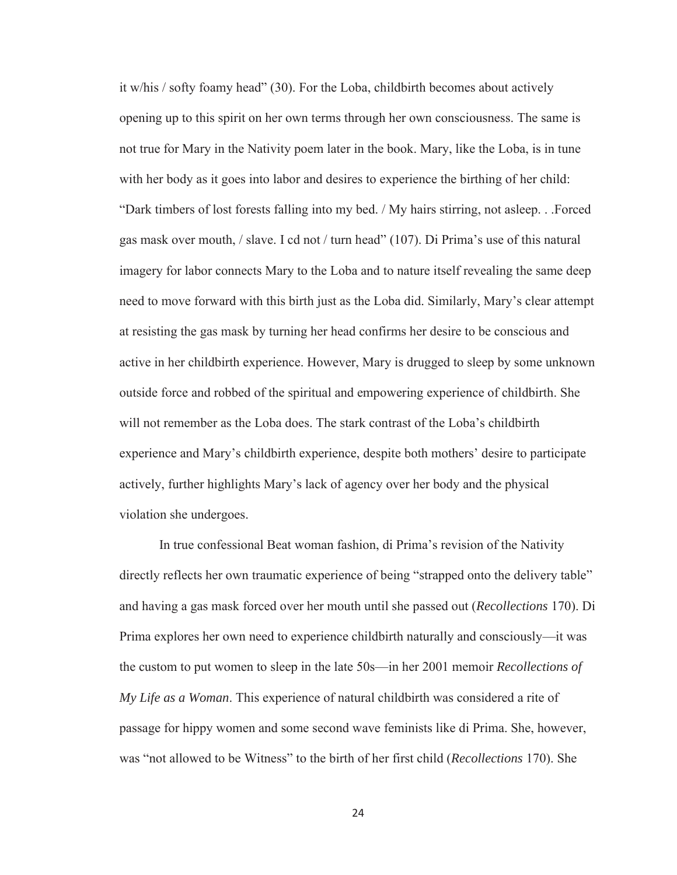it w/his / softy foamy head" (30). For the Loba, childbirth becomes about actively opening up to this spirit on her own terms through her own consciousness. The same is not true for Mary in the Nativity poem later in the book. Mary, like the Loba, is in tune with her body as it goes into labor and desires to experience the birthing of her child: "Dark timbers of lost forests falling into my bed. / My hairs stirring, not asleep. . .Forced gas mask over mouth, / slave. I cd not / turn head" (107). Di Prima's use of this natural imagery for labor connects Mary to the Loba and to nature itself revealing the same deep need to move forward with this birth just as the Loba did. Similarly, Mary's clear attempt at resisting the gas mask by turning her head confirms her desire to be conscious and active in her childbirth experience. However, Mary is drugged to sleep by some unknown outside force and robbed of the spiritual and empowering experience of childbirth. She will not remember as the Loba does. The stark contrast of the Loba's childbirth experience and Mary's childbirth experience, despite both mothers' desire to participate actively, further highlights Mary's lack of agency over her body and the physical violation she undergoes.

In true confessional Beat woman fashion, di Prima's revision of the Nativity directly reflects her own traumatic experience of being "strapped onto the delivery table" and having a gas mask forced over her mouth until she passed out (*Recollections* 170). Di Prima explores her own need to experience childbirth naturally and consciously—it was the custom to put women to sleep in the late 50s—in her 2001 memoir *Recollections of My Life as a Woman*. This experience of natural childbirth was considered a rite of passage for hippy women and some second wave feminists like di Prima. She, however, was "not allowed to be Witness" to the birth of her first child (*Recollections* 170). She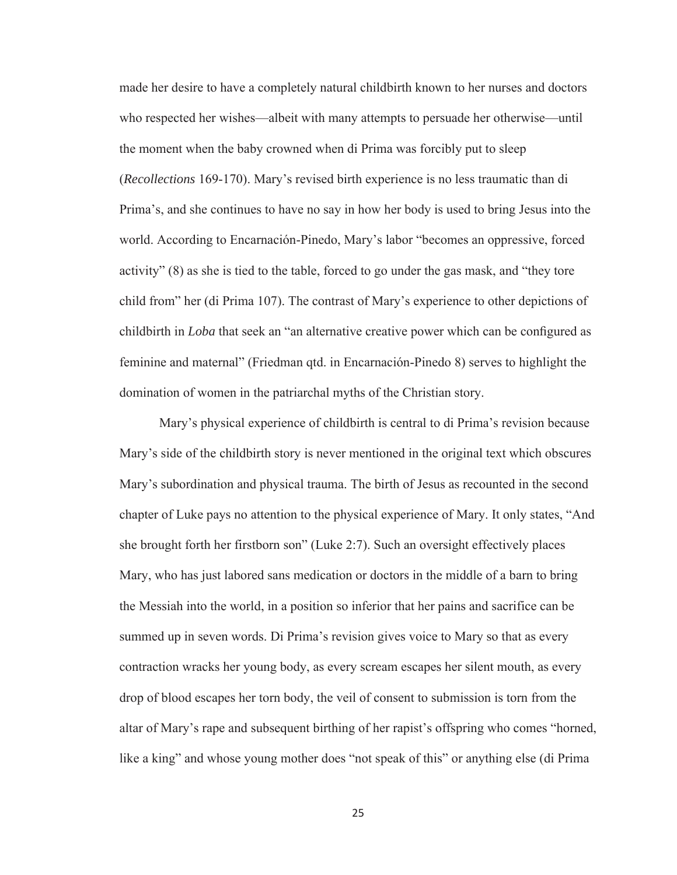made her desire to have a completely natural childbirth known to her nurses and doctors who respected her wishes—albeit with many attempts to persuade her otherwise—until the moment when the baby crowned when di Prima was forcibly put to sleep (*Recollections* 169-170). Mary's revised birth experience is no less traumatic than di Prima's, and she continues to have no say in how her body is used to bring Jesus into the world. According to Encarnación-Pinedo, Mary's labor "becomes an oppressive, forced activity" (8) as she is tied to the table, forced to go under the gas mask, and "they tore child from" her (di Prima 107). The contrast of Mary's experience to other depictions of childbirth in *Loba* that seek an "an alternative creative power which can be configured as feminine and maternal" (Friedman qtd. in Encarnación-Pinedo 8) serves to highlight the domination of women in the patriarchal myths of the Christian story.

Mary's physical experience of childbirth is central to di Prima's revision because Mary's side of the childbirth story is never mentioned in the original text which obscures Mary's subordination and physical trauma. The birth of Jesus as recounted in the second chapter of Luke pays no attention to the physical experience of Mary. It only states, "And she brought forth her firstborn son" (Luke 2:7). Such an oversight effectively places Mary, who has just labored sans medication or doctors in the middle of a barn to bring the Messiah into the world, in a position so inferior that her pains and sacrifice can be summed up in seven words. Di Prima's revision gives voice to Mary so that as every contraction wracks her young body, as every scream escapes her silent mouth, as every drop of blood escapes her torn body, the veil of consent to submission is torn from the altar of Mary's rape and subsequent birthing of her rapist's offspring who comes "horned, like a king" and whose young mother does "not speak of this" or anything else (di Prima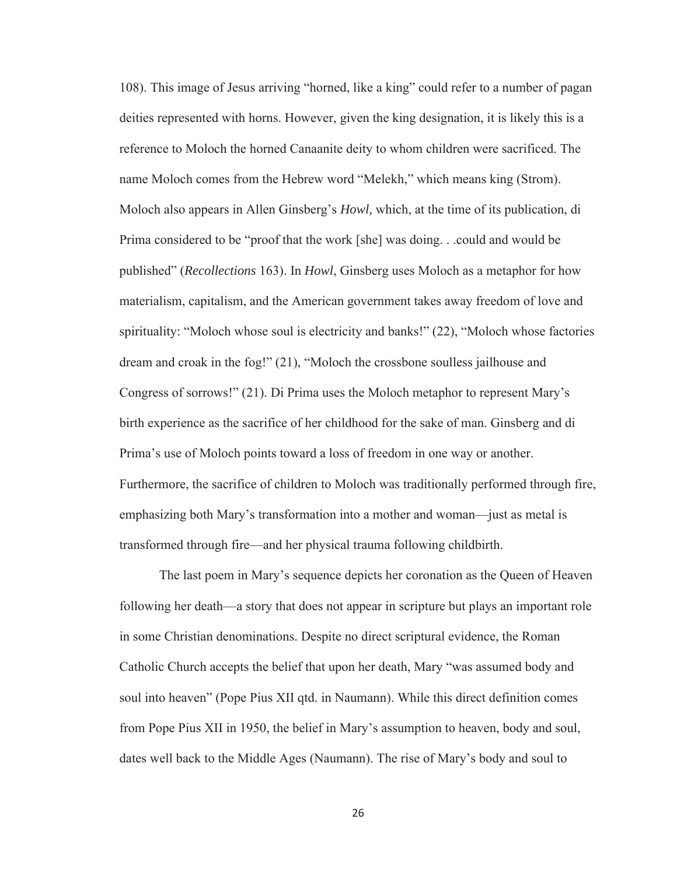108). This image of Jesus arriving "horned, like a king" could refer to a number of pagan deities represented with horns. However, given the king designation, it is likely this is a reference to Moloch the horned Canaanite deity to whom children were sacrificed. The name Moloch comes from the Hebrew word "Melekh," which means king (Strom). Moloch also appears in Allen Ginsberg's *Howl,* which, at the time of its publication, di Prima considered to be "proof that the work [she] was doing. . .could and would be published" (*Recollections* 163). In *Howl*, Ginsberg uses Moloch as a metaphor for how materialism, capitalism, and the American government takes away freedom of love and spirituality: "Moloch whose soul is electricity and banks!" (22), "Moloch whose factories dream and croak in the fog!" (21), "Moloch the crossbone soulless jailhouse and Congress of sorrows!" (21). Di Prima uses the Moloch metaphor to represent Mary's birth experience as the sacrifice of her childhood for the sake of man. Ginsberg and di Prima's use of Moloch points toward a loss of freedom in one way or another. Furthermore, the sacrifice of children to Moloch was traditionally performed through fire, emphasizing both Mary's transformation into a mother and woman—just as metal is transformed through fire—and her physical trauma following childbirth.

The last poem in Mary's sequence depicts her coronation as the Queen of Heaven following her death—a story that does not appear in scripture but plays an important role in some Christian denominations. Despite no direct scriptural evidence, the Roman Catholic Church accepts the belief that upon her death, Mary "was assumed body and soul into heaven" (Pope Pius XII qtd. in Naumann). While this direct definition comes from Pope Pius XII in 1950, the belief in Mary's assumption to heaven, body and soul, dates well back to the Middle Ages (Naumann). The rise of Mary's body and soul to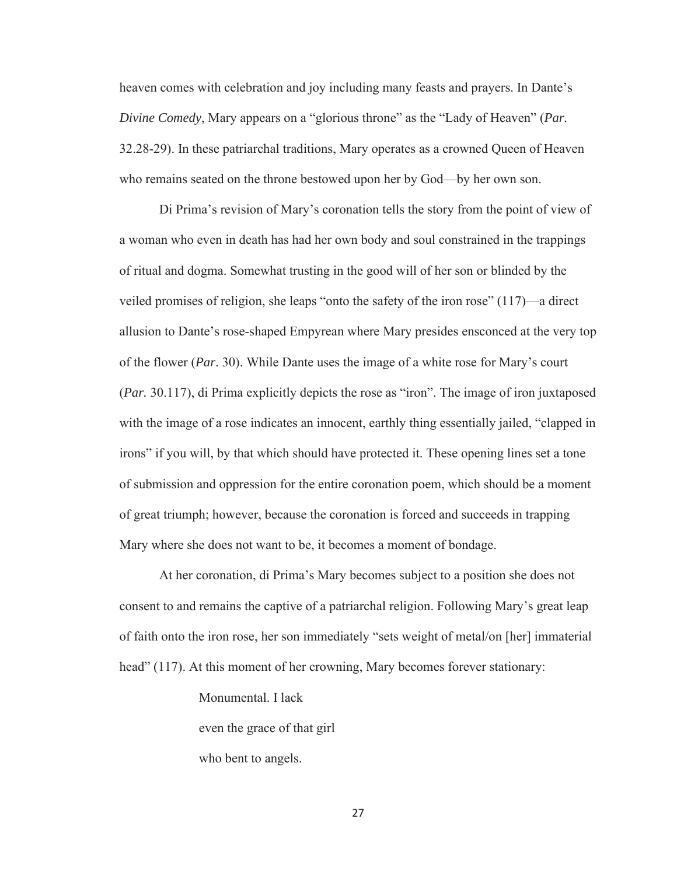heaven comes with celebration and joy including many feasts and prayers. In Dante's *Divine Comedy*, Mary appears on a "glorious throne" as the "Lady of Heaven" (*Par.* 32.28-29). In these patriarchal traditions, Mary operates as a crowned Queen of Heaven who remains seated on the throne bestowed upon her by God—by her own son.

Di Prima's revision of Mary's coronation tells the story from the point of view of a woman who even in death has had her own body and soul constrained in the trappings of ritual and dogma. Somewhat trusting in the good will of her son or blinded by the veiled promises of religion, she leaps "onto the safety of the iron rose" (117)—a direct allusion to Dante's rose-shaped Empyrean where Mary presides ensconced at the very top of the flower (*Par*. 30). While Dante uses the image of a white rose for Mary's court (*Par.* 30.117), di Prima explicitly depicts the rose as "iron". The image of iron juxtaposed with the image of a rose indicates an innocent, earthly thing essentially jailed, "clapped in irons" if you will, by that which should have protected it. These opening lines set a tone of submission and oppression for the entire coronation poem, which should be a moment of great triumph; however, because the coronation is forced and succeeds in trapping Mary where she does not want to be, it becomes a moment of bondage.

At her coronation, di Prima's Mary becomes subject to a position she does not consent to and remains the captive of a patriarchal religion. Following Mary's great leap of faith onto the iron rose, her son immediately "sets weight of metal/on [her] immaterial head" (117). At this moment of her crowning, Mary becomes forever stationary:

Monumental. I lack

even the grace of that girl

who bent to angels.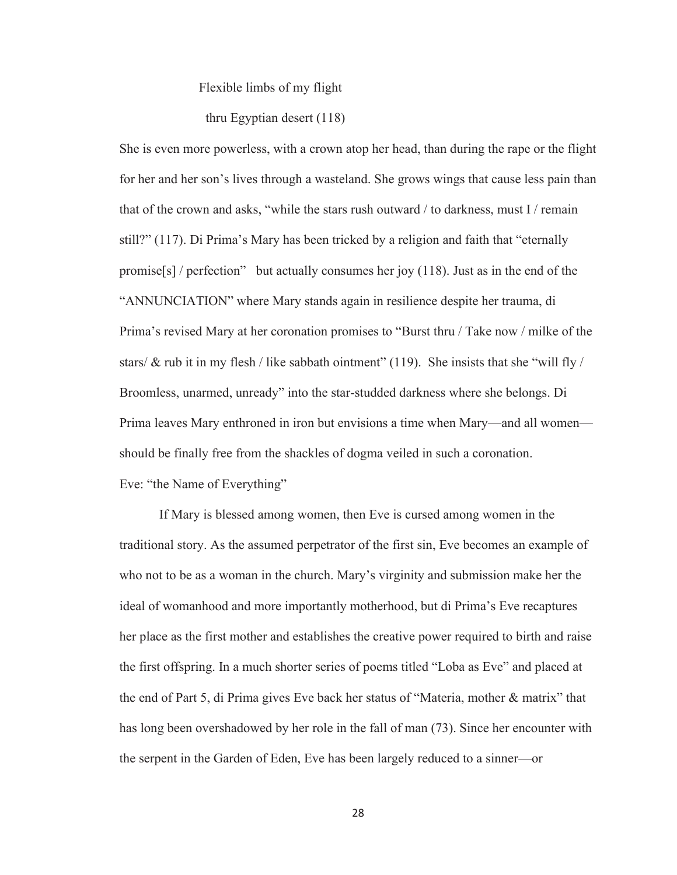Flexible limbs of my flight

thru Egyptian desert (118)

She is even more powerless, with a crown atop her head, than during the rape or the flight for her and her son's lives through a wasteland. She grows wings that cause less pain than that of the crown and asks, "while the stars rush outward / to darkness, must I / remain still?" (117). Di Prima's Mary has been tricked by a religion and faith that "eternally promise[s] / perfection" but actually consumes her joy  $(118)$ . Just as in the end of the "ANNUNCIATION" where Mary stands again in resilience despite her trauma, di Prima's revised Mary at her coronation promises to "Burst thru / Take now / milke of the stars/  $\&$  rub it in my flesh / like sabbath ointment" (119). She insists that she "will fly / Broomless, unarmed, unready" into the star-studded darkness where she belongs. Di Prima leaves Mary enthroned in iron but envisions a time when Mary—and all women should be finally free from the shackles of dogma veiled in such a coronation. Eve: "the Name of Everything"

 If Mary is blessed among women, then Eve is cursed among women in the traditional story. As the assumed perpetrator of the first sin, Eve becomes an example of who not to be as a woman in the church. Mary's virginity and submission make her the ideal of womanhood and more importantly motherhood, but di Prima's Eve recaptures her place as the first mother and establishes the creative power required to birth and raise the first offspring. In a much shorter series of poems titled "Loba as Eve" and placed at the end of Part 5, di Prima gives Eve back her status of "Materia, mother & matrix" that has long been overshadowed by her role in the fall of man (73). Since her encounter with the serpent in the Garden of Eden, Eve has been largely reduced to a sinner—or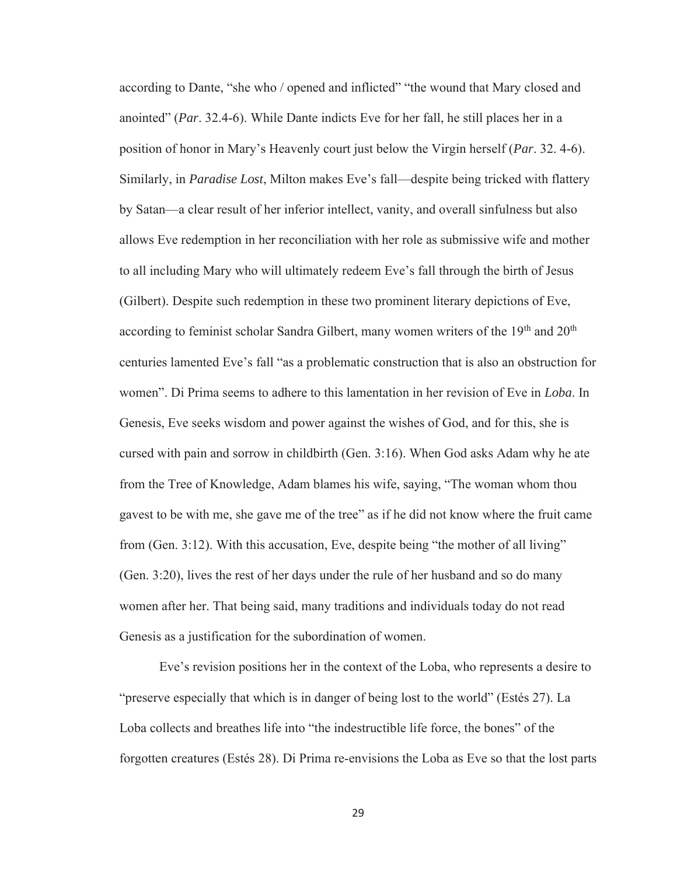according to Dante, "she who / opened and inflicted" "the wound that Mary closed and anointed" (*Par*. 32.4-6). While Dante indicts Eve for her fall, he still places her in a position of honor in Mary's Heavenly court just below the Virgin herself (*Par*. 32. 4-6). Similarly, in *Paradise Lost*, Milton makes Eve's fall—despite being tricked with flattery by Satan—a clear result of her inferior intellect, vanity, and overall sinfulness but also allows Eve redemption in her reconciliation with her role as submissive wife and mother to all including Mary who will ultimately redeem Eve's fall through the birth of Jesus (Gilbert). Despite such redemption in these two prominent literary depictions of Eve, according to feminist scholar Sandra Gilbert, many women writers of the 19<sup>th</sup> and 20<sup>th</sup> centuries lamented Eve's fall "as a problematic construction that is also an obstruction for women". Di Prima seems to adhere to this lamentation in her revision of Eve in *Loba*. In Genesis, Eve seeks wisdom and power against the wishes of God, and for this, she is cursed with pain and sorrow in childbirth (Gen. 3:16). When God asks Adam why he ate from the Tree of Knowledge, Adam blames his wife, saying, "The woman whom thou gavest to be with me, she gave me of the tree" as if he did not know where the fruit came from (Gen. 3:12). With this accusation, Eve, despite being "the mother of all living" (Gen. 3:20), lives the rest of her days under the rule of her husband and so do many women after her. That being said, many traditions and individuals today do not read Genesis as a justification for the subordination of women.

Eve's revision positions her in the context of the Loba, who represents a desire to "preserve especially that which is in danger of being lost to the world" (Estés 27). La Loba collects and breathes life into "the indestructible life force, the bones" of the forgotten creatures (Estés 28). Di Prima re-envisions the Loba as Eve so that the lost parts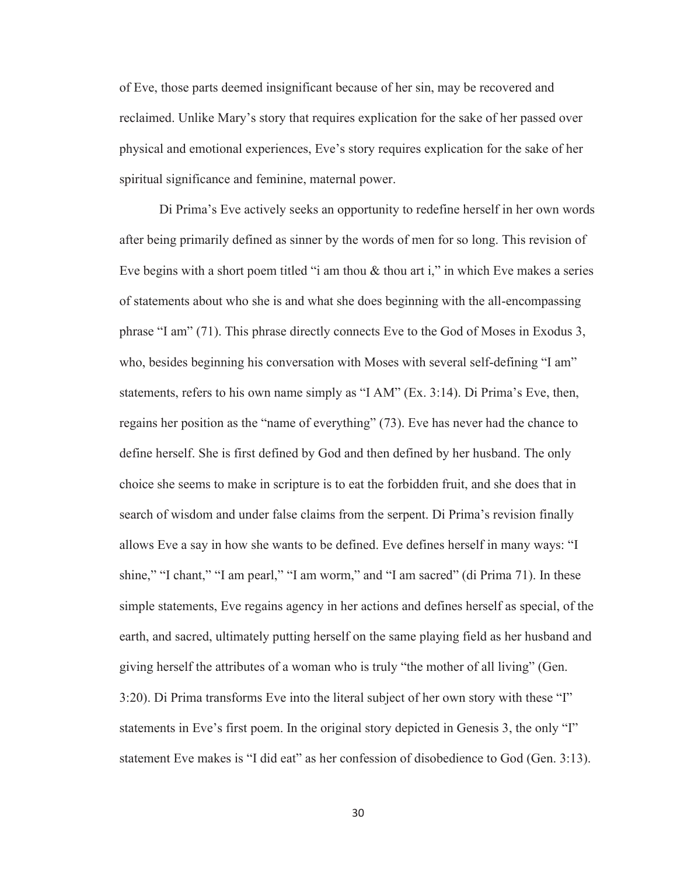of Eve, those parts deemed insignificant because of her sin, may be recovered and reclaimed. Unlike Mary's story that requires explication for the sake of her passed over physical and emotional experiences, Eve's story requires explication for the sake of her spiritual significance and feminine, maternal power.

Di Prima's Eve actively seeks an opportunity to redefine herself in her own words after being primarily defined as sinner by the words of men for so long. This revision of Eve begins with a short poem titled "i am thou  $\&$  thou art i," in which Eve makes a series of statements about who she is and what she does beginning with the all-encompassing phrase "I am" (71). This phrase directly connects Eve to the God of Moses in Exodus 3, who, besides beginning his conversation with Moses with several self-defining "I am" statements, refers to his own name simply as "I AM" (Ex. 3:14). Di Prima's Eve, then, regains her position as the "name of everything" (73). Eve has never had the chance to define herself. She is first defined by God and then defined by her husband. The only choice she seems to make in scripture is to eat the forbidden fruit, and she does that in search of wisdom and under false claims from the serpent. Di Prima's revision finally allows Eve a say in how she wants to be defined. Eve defines herself in many ways: "I shine," "I chant," "I am pearl," "I am worm," and "I am sacred" (di Prima 71). In these simple statements, Eve regains agency in her actions and defines herself as special, of the earth, and sacred, ultimately putting herself on the same playing field as her husband and giving herself the attributes of a woman who is truly "the mother of all living" (Gen. 3:20). Di Prima transforms Eve into the literal subject of her own story with these "I" statements in Eve's first poem. In the original story depicted in Genesis 3, the only "I" statement Eve makes is "I did eat" as her confession of disobedience to God (Gen. 3:13).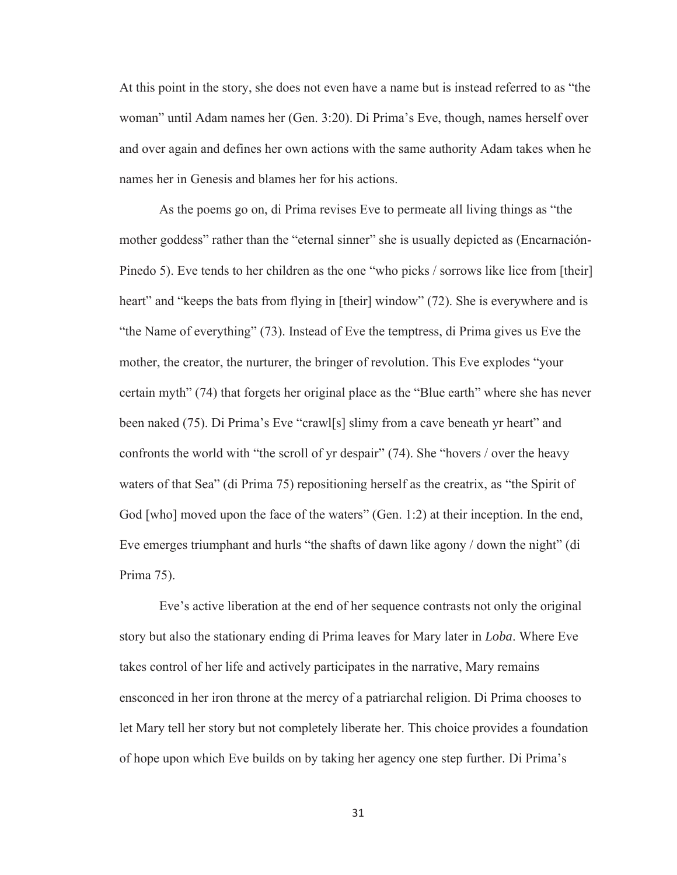At this point in the story, she does not even have a name but is instead referred to as "the woman" until Adam names her (Gen. 3:20). Di Prima's Eve, though, names herself over and over again and defines her own actions with the same authority Adam takes when he names her in Genesis and blames her for his actions.

As the poems go on, di Prima revises Eve to permeate all living things as "the mother goddess" rather than the "eternal sinner" she is usually depicted as (Encarnación-Pinedo 5). Eve tends to her children as the one "who picks / sorrows like lice from [their] heart" and "keeps the bats from flying in [their] window" (72). She is everywhere and is "the Name of everything" (73). Instead of Eve the temptress, di Prima gives us Eve the mother, the creator, the nurturer, the bringer of revolution. This Eve explodes "your certain myth" (74) that forgets her original place as the "Blue earth" where she has never been naked (75). Di Prima's Eve "crawl[s] slimy from a cave beneath yr heart" and confronts the world with "the scroll of yr despair" (74). She "hovers / over the heavy waters of that Sea" (di Prima 75) repositioning herself as the creatrix, as "the Spirit of God [who] moved upon the face of the waters" (Gen. 1:2) at their inception. In the end, Eve emerges triumphant and hurls "the shafts of dawn like agony / down the night" (di Prima 75).

Eve's active liberation at the end of her sequence contrasts not only the original story but also the stationary ending di Prima leaves for Mary later in *Loba*. Where Eve takes control of her life and actively participates in the narrative, Mary remains ensconced in her iron throne at the mercy of a patriarchal religion. Di Prima chooses to let Mary tell her story but not completely liberate her. This choice provides a foundation of hope upon which Eve builds on by taking her agency one step further. Di Prima's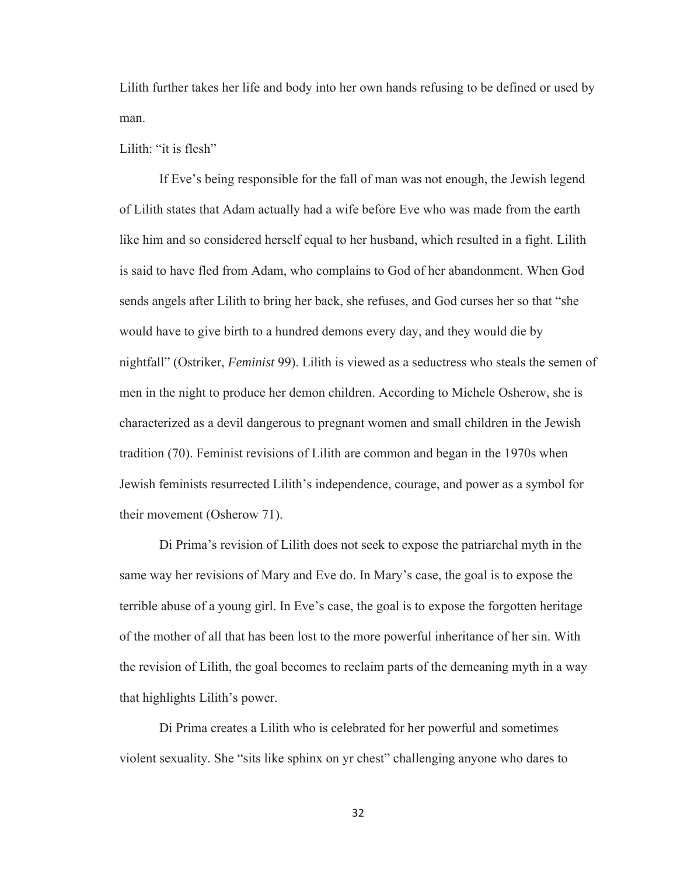Lilith further takes her life and body into her own hands refusing to be defined or used by man.

Lilith: "it is flesh"

If Eve's being responsible for the fall of man was not enough, the Jewish legend of Lilith states that Adam actually had a wife before Eve who was made from the earth like him and so considered herself equal to her husband, which resulted in a fight. Lilith is said to have fled from Adam, who complains to God of her abandonment. When God sends angels after Lilith to bring her back, she refuses, and God curses her so that "she would have to give birth to a hundred demons every day, and they would die by nightfall" (Ostriker, *Feminist* 99). Lilith is viewed as a seductress who steals the semen of men in the night to produce her demon children. According to Michele Osherow, she is characterized as a devil dangerous to pregnant women and small children in the Jewish tradition (70). Feminist revisions of Lilith are common and began in the 1970s when Jewish feminists resurrected Lilith's independence, courage, and power as a symbol for their movement (Osherow 71).

Di Prima's revision of Lilith does not seek to expose the patriarchal myth in the same way her revisions of Mary and Eve do. In Mary's case, the goal is to expose the terrible abuse of a young girl. In Eve's case, the goal is to expose the forgotten heritage of the mother of all that has been lost to the more powerful inheritance of her sin. With the revision of Lilith, the goal becomes to reclaim parts of the demeaning myth in a way that highlights Lilith's power.

Di Prima creates a Lilith who is celebrated for her powerful and sometimes violent sexuality. She "sits like sphinx on yr chest" challenging anyone who dares to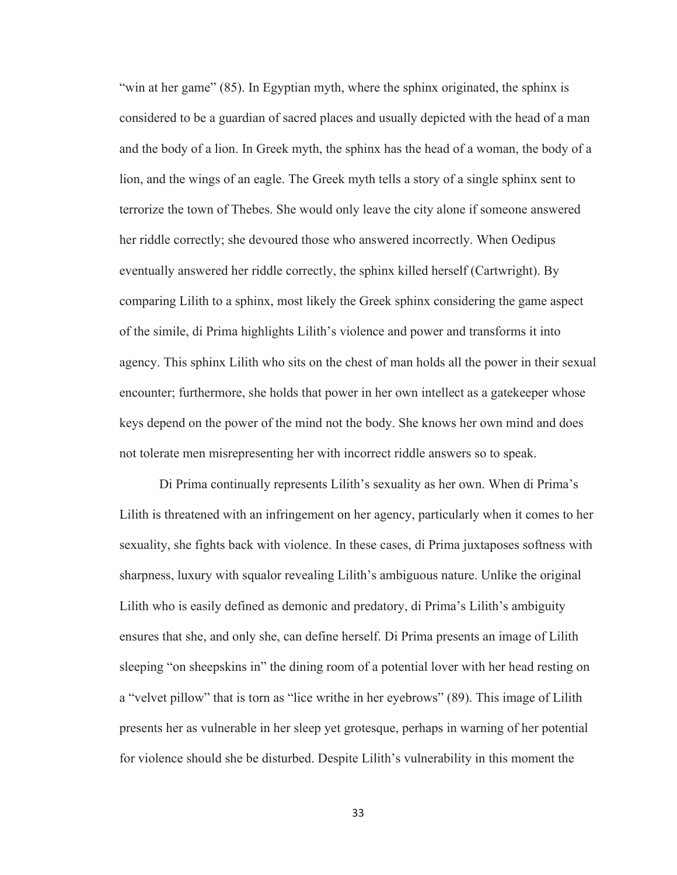"win at her game" (85). In Egyptian myth, where the sphinx originated, the sphinx is considered to be a guardian of sacred places and usually depicted with the head of a man and the body of a lion. In Greek myth, the sphinx has the head of a woman, the body of a lion, and the wings of an eagle. The Greek myth tells a story of a single sphinx sent to terrorize the town of Thebes. She would only leave the city alone if someone answered her riddle correctly; she devoured those who answered incorrectly. When Oedipus eventually answered her riddle correctly, the sphinx killed herself (Cartwright). By comparing Lilith to a sphinx, most likely the Greek sphinx considering the game aspect of the simile, di Prima highlights Lilith's violence and power and transforms it into agency. This sphinx Lilith who sits on the chest of man holds all the power in their sexual encounter; furthermore, she holds that power in her own intellect as a gatekeeper whose keys depend on the power of the mind not the body. She knows her own mind and does not tolerate men misrepresenting her with incorrect riddle answers so to speak.

Di Prima continually represents Lilith's sexuality as her own. When di Prima's Lilith is threatened with an infringement on her agency, particularly when it comes to her sexuality, she fights back with violence. In these cases, di Prima juxtaposes softness with sharpness, luxury with squalor revealing Lilith's ambiguous nature. Unlike the original Lilith who is easily defined as demonic and predatory, di Prima's Lilith's ambiguity ensures that she, and only she, can define herself. Di Prima presents an image of Lilith sleeping "on sheepskins in" the dining room of a potential lover with her head resting on a "velvet pillow" that is torn as "lice writhe in her eyebrows" (89). This image of Lilith presents her as vulnerable in her sleep yet grotesque, perhaps in warning of her potential for violence should she be disturbed. Despite Lilith's vulnerability in this moment the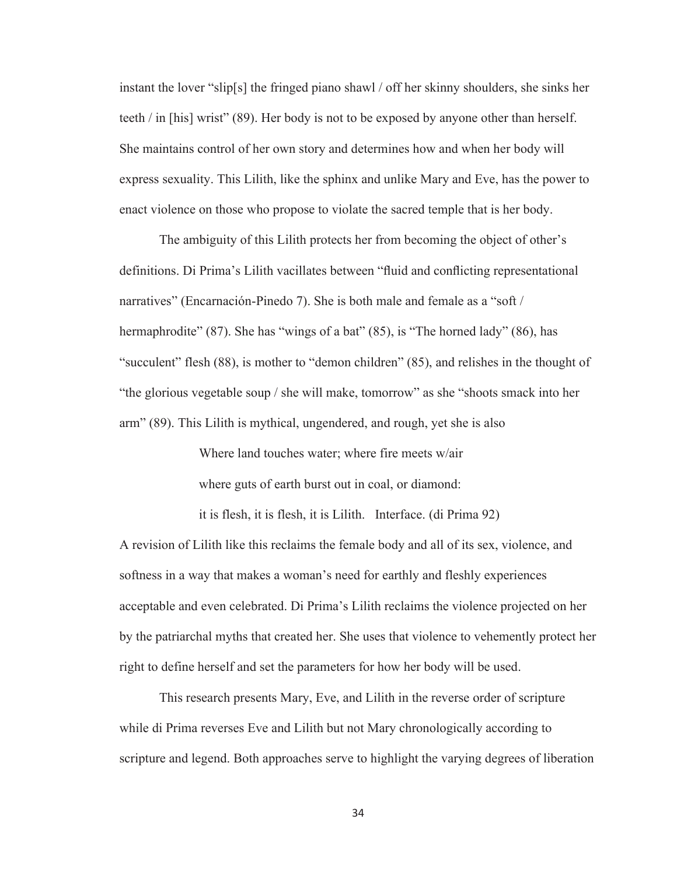instant the lover "slip[s] the fringed piano shawl / off her skinny shoulders, she sinks her teeth / in [his] wrist" (89). Her body is not to be exposed by anyone other than herself. She maintains control of her own story and determines how and when her body will express sexuality. This Lilith, like the sphinx and unlike Mary and Eve, has the power to enact violence on those who propose to violate the sacred temple that is her body.

The ambiguity of this Lilith protects her from becoming the object of other's definitions. Di Prima's Lilith vacillates between "fluid and conflicting representational narratives" (Encarnación-Pinedo 7). She is both male and female as a "soft / hermaphrodite" (87). She has "wings of a bat" (85), is "The horned lady" (86), has "succulent" flesh (88), is mother to "demon children" (85), and relishes in the thought of "the glorious vegetable soup / she will make, tomorrow" as she "shoots smack into her arm" (89). This Lilith is mythical, ungendered, and rough, yet she is also

> Where land touches water; where fire meets w/air where guts of earth burst out in coal, or diamond:

it is flesh, it is flesh, it is Lilith. Interface. (di Prima 92)

A revision of Lilith like this reclaims the female body and all of its sex, violence, and softness in a way that makes a woman's need for earthly and fleshly experiences acceptable and even celebrated. Di Prima's Lilith reclaims the violence projected on her by the patriarchal myths that created her. She uses that violence to vehemently protect her right to define herself and set the parameters for how her body will be used.

This research presents Mary, Eve, and Lilith in the reverse order of scripture while di Prima reverses Eve and Lilith but not Mary chronologically according to scripture and legend. Both approaches serve to highlight the varying degrees of liberation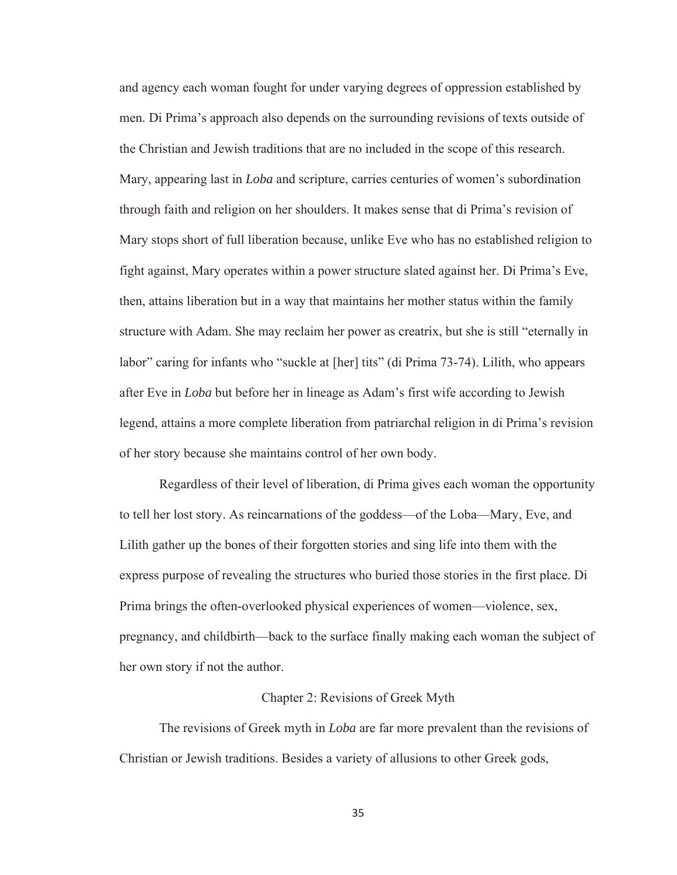and agency each woman fought for under varying degrees of oppression established by men. Di Prima's approach also depends on the surrounding revisions of texts outside of the Christian and Jewish traditions that are no included in the scope of this research. Mary, appearing last in *Loba* and scripture, carries centuries of women's subordination through faith and religion on her shoulders. It makes sense that di Prima's revision of Mary stops short of full liberation because, unlike Eve who has no established religion to fight against, Mary operates within a power structure slated against her. Di Prima's Eve, then, attains liberation but in a way that maintains her mother status within the family structure with Adam. She may reclaim her power as creatrix, but she is still "eternally in labor" caring for infants who "suckle at [her] tits" (di Prima 73-74). Lilith, who appears after Eve in *Loba* but before her in lineage as Adam's first wife according to Jewish legend, attains a more complete liberation from patriarchal religion in di Prima's revision of her story because she maintains control of her own body.

Regardless of their level of liberation, di Prima gives each woman the opportunity to tell her lost story. As reincarnations of the goddess—of the Loba—Mary, Eve, and Lilith gather up the bones of their forgotten stories and sing life into them with the express purpose of revealing the structures who buried those stories in the first place. Di Prima brings the often-overlooked physical experiences of women—violence, sex, pregnancy, and childbirth—back to the surface finally making each woman the subject of her own story if not the author.

#### Chapter 2: Revisions of Greek Myth

 The revisions of Greek myth in *Loba* are far more prevalent than the revisions of Christian or Jewish traditions. Besides a variety of allusions to other Greek gods,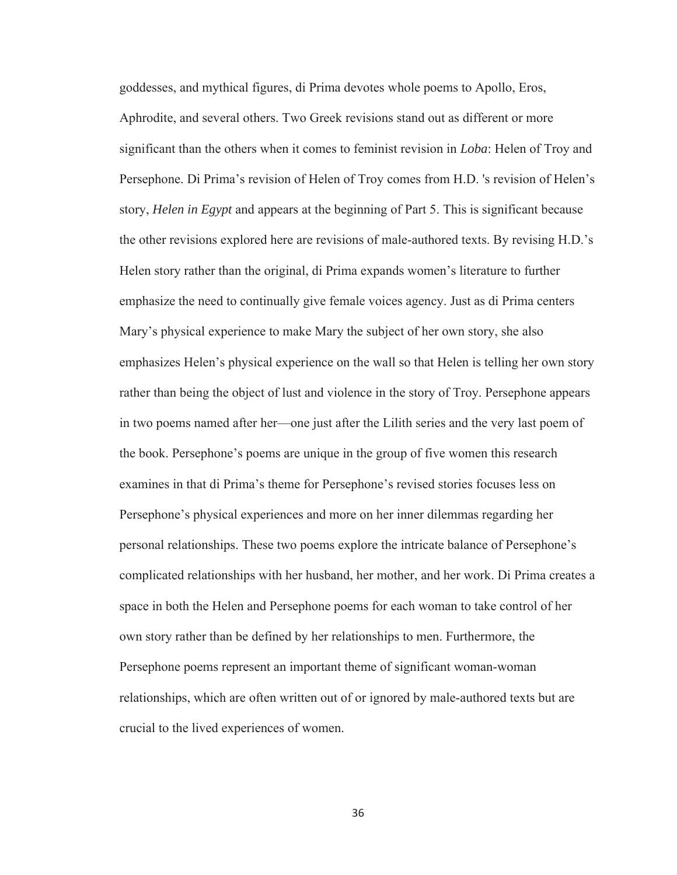goddesses, and mythical figures, di Prima devotes whole poems to Apollo, Eros, Aphrodite, and several others. Two Greek revisions stand out as different or more significant than the others when it comes to feminist revision in *Loba*: Helen of Troy and Persephone. Di Prima's revision of Helen of Troy comes from H.D. 's revision of Helen's story, *Helen in Egypt* and appears at the beginning of Part 5. This is significant because the other revisions explored here are revisions of male-authored texts. By revising H.D.'s Helen story rather than the original, di Prima expands women's literature to further emphasize the need to continually give female voices agency. Just as di Prima centers Mary's physical experience to make Mary the subject of her own story, she also emphasizes Helen's physical experience on the wall so that Helen is telling her own story rather than being the object of lust and violence in the story of Troy. Persephone appears in two poems named after her—one just after the Lilith series and the very last poem of the book. Persephone's poems are unique in the group of five women this research examines in that di Prima's theme for Persephone's revised stories focuses less on Persephone's physical experiences and more on her inner dilemmas regarding her personal relationships. These two poems explore the intricate balance of Persephone's complicated relationships with her husband, her mother, and her work. Di Prima creates a space in both the Helen and Persephone poems for each woman to take control of her own story rather than be defined by her relationships to men. Furthermore, the Persephone poems represent an important theme of significant woman-woman relationships, which are often written out of or ignored by male-authored texts but are crucial to the lived experiences of women.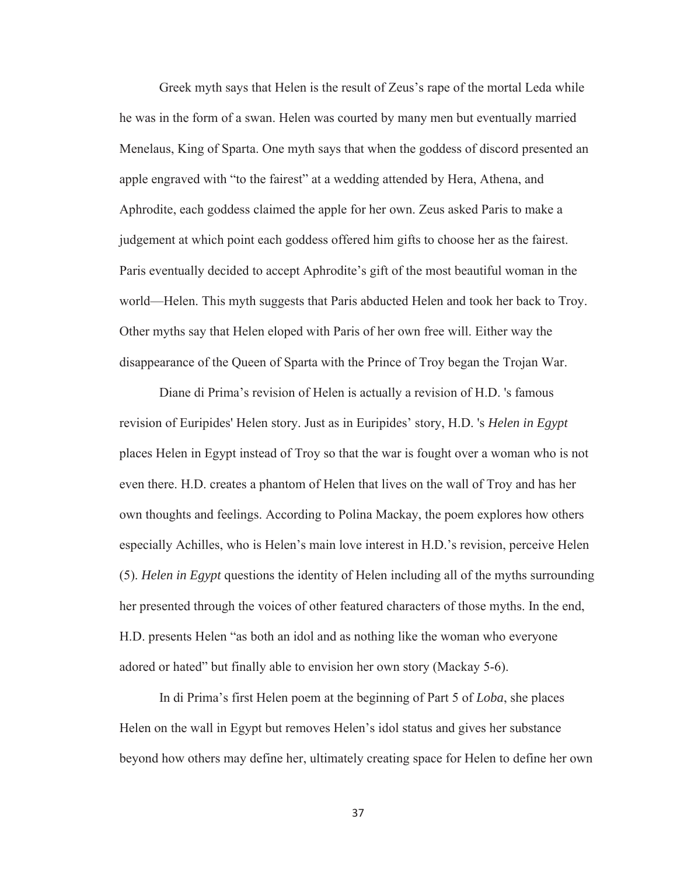Greek myth says that Helen is the result of Zeus's rape of the mortal Leda while he was in the form of a swan. Helen was courted by many men but eventually married Menelaus, King of Sparta. One myth says that when the goddess of discord presented an apple engraved with "to the fairest" at a wedding attended by Hera, Athena, and Aphrodite, each goddess claimed the apple for her own. Zeus asked Paris to make a judgement at which point each goddess offered him gifts to choose her as the fairest. Paris eventually decided to accept Aphrodite's gift of the most beautiful woman in the world—Helen. This myth suggests that Paris abducted Helen and took her back to Troy. Other myths say that Helen eloped with Paris of her own free will. Either way the disappearance of the Queen of Sparta with the Prince of Troy began the Trojan War.

Diane di Prima's revision of Helen is actually a revision of H.D. 's famous revision of Euripides' Helen story. Just as in Euripides' story, H.D. 's *Helen in Egypt*  places Helen in Egypt instead of Troy so that the war is fought over a woman who is not even there. H.D. creates a phantom of Helen that lives on the wall of Troy and has her own thoughts and feelings. According to Polina Mackay, the poem explores how others especially Achilles, who is Helen's main love interest in H.D.'s revision, perceive Helen (5). *Helen in Egypt* questions the identity of Helen including all of the myths surrounding her presented through the voices of other featured characters of those myths. In the end, H.D. presents Helen "as both an idol and as nothing like the woman who everyone adored or hated" but finally able to envision her own story (Mackay 5-6).

In di Prima's first Helen poem at the beginning of Part 5 of *Loba*, she places Helen on the wall in Egypt but removes Helen's idol status and gives her substance beyond how others may define her, ultimately creating space for Helen to define her own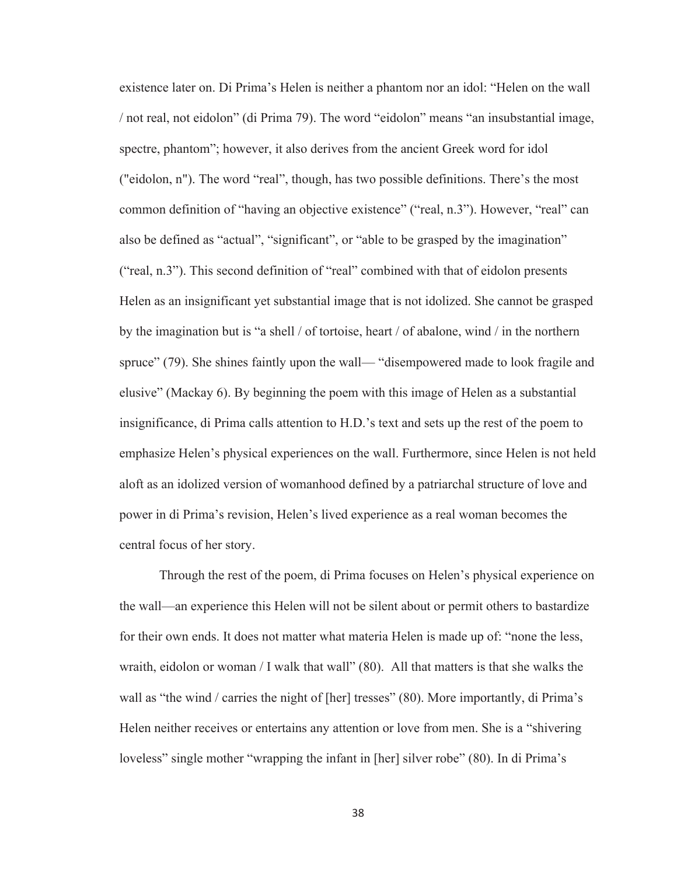existence later on. Di Prima's Helen is neither a phantom nor an idol: "Helen on the wall / not real, not eidolon" (di Prima 79). The word "eidolon" means "an insubstantial image, spectre, phantom"; however, it also derives from the ancient Greek word for idol ("eidolon, n"). The word "real", though, has two possible definitions. There's the most common definition of "having an objective existence" ("real, n.3"). However, "real" can also be defined as "actual", "significant", or "able to be grasped by the imagination" ("real, n.3"). This second definition of "real" combined with that of eidolon presents Helen as an insignificant yet substantial image that is not idolized. She cannot be grasped by the imagination but is "a shell / of tortoise, heart / of abalone, wind / in the northern spruce" (79). She shines faintly upon the wall— "disempowered made to look fragile and elusive" (Mackay 6). By beginning the poem with this image of Helen as a substantial insignificance, di Prima calls attention to H.D.'s text and sets up the rest of the poem to emphasize Helen's physical experiences on the wall. Furthermore, since Helen is not held aloft as an idolized version of womanhood defined by a patriarchal structure of love and power in di Prima's revision, Helen's lived experience as a real woman becomes the central focus of her story.

Through the rest of the poem, di Prima focuses on Helen's physical experience on the wall—an experience this Helen will not be silent about or permit others to bastardize for their own ends. It does not matter what materia Helen is made up of: "none the less, wraith, eidolon or woman / I walk that wall" (80). All that matters is that she walks the wall as "the wind / carries the night of [her] tresses" (80). More importantly, di Prima's Helen neither receives or entertains any attention or love from men. She is a "shivering loveless" single mother "wrapping the infant in [her] silver robe" (80). In di Prima's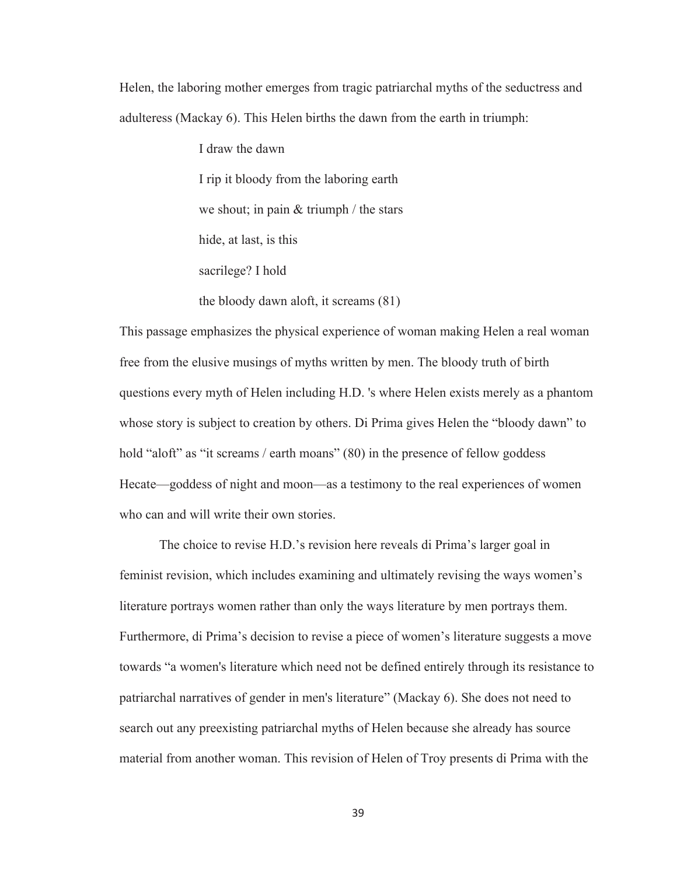Helen, the laboring mother emerges from tragic patriarchal myths of the seductress and adulteress (Mackay 6). This Helen births the dawn from the earth in triumph:

> I draw the dawn I rip it bloody from the laboring earth we shout; in pain & triumph / the stars hide, at last, is this sacrilege? I hold

the bloody dawn aloft, it screams (81)

This passage emphasizes the physical experience of woman making Helen a real woman free from the elusive musings of myths written by men. The bloody truth of birth questions every myth of Helen including H.D. 's where Helen exists merely as a phantom whose story is subject to creation by others. Di Prima gives Helen the "bloody dawn" to hold "aloft" as "it screams / earth moans" (80) in the presence of fellow goddess Hecate—goddess of night and moon—as a testimony to the real experiences of women who can and will write their own stories.

The choice to revise H.D.'s revision here reveals di Prima's larger goal in feminist revision, which includes examining and ultimately revising the ways women's literature portrays women rather than only the ways literature by men portrays them. Furthermore, di Prima's decision to revise a piece of women's literature suggests a move towards "a women's literature which need not be defined entirely through its resistance to patriarchal narratives of gender in men's literature" (Mackay 6). She does not need to search out any preexisting patriarchal myths of Helen because she already has source material from another woman. This revision of Helen of Troy presents di Prima with the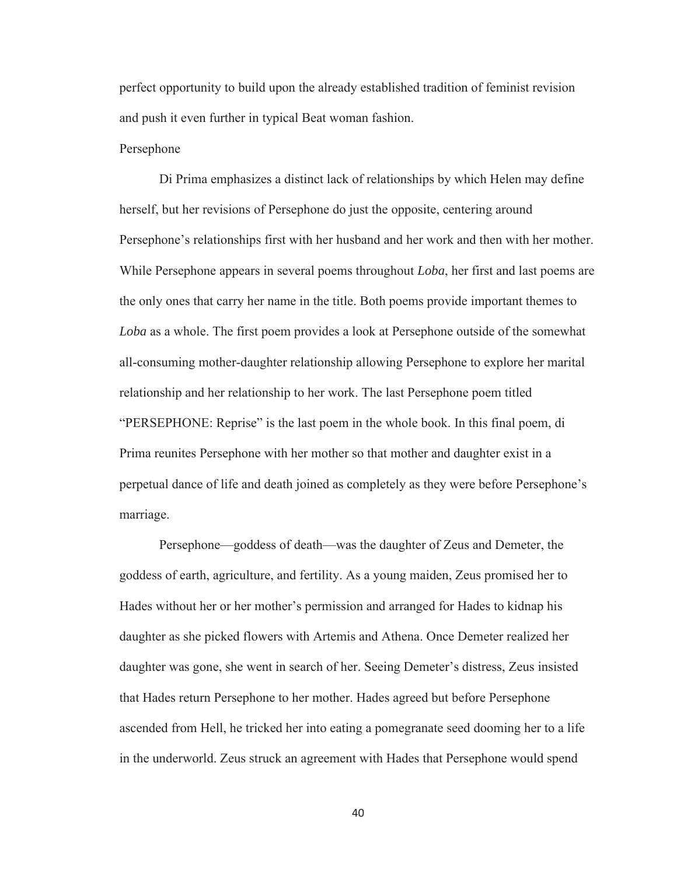perfect opportunity to build upon the already established tradition of feminist revision and push it even further in typical Beat woman fashion.

#### Persephone

 Di Prima emphasizes a distinct lack of relationships by which Helen may define herself, but her revisions of Persephone do just the opposite, centering around Persephone's relationships first with her husband and her work and then with her mother. While Persephone appears in several poems throughout *Loba*, her first and last poems are the only ones that carry her name in the title. Both poems provide important themes to *Loba* as a whole. The first poem provides a look at Persephone outside of the somewhat all-consuming mother-daughter relationship allowing Persephone to explore her marital relationship and her relationship to her work. The last Persephone poem titled "PERSEPHONE: Reprise" is the last poem in the whole book. In this final poem, di Prima reunites Persephone with her mother so that mother and daughter exist in a perpetual dance of life and death joined as completely as they were before Persephone's marriage.

Persephone—goddess of death—was the daughter of Zeus and Demeter, the goddess of earth, agriculture, and fertility. As a young maiden, Zeus promised her to Hades without her or her mother's permission and arranged for Hades to kidnap his daughter as she picked flowers with Artemis and Athena. Once Demeter realized her daughter was gone, she went in search of her. Seeing Demeter's distress, Zeus insisted that Hades return Persephone to her mother. Hades agreed but before Persephone ascended from Hell, he tricked her into eating a pomegranate seed dooming her to a life in the underworld. Zeus struck an agreement with Hades that Persephone would spend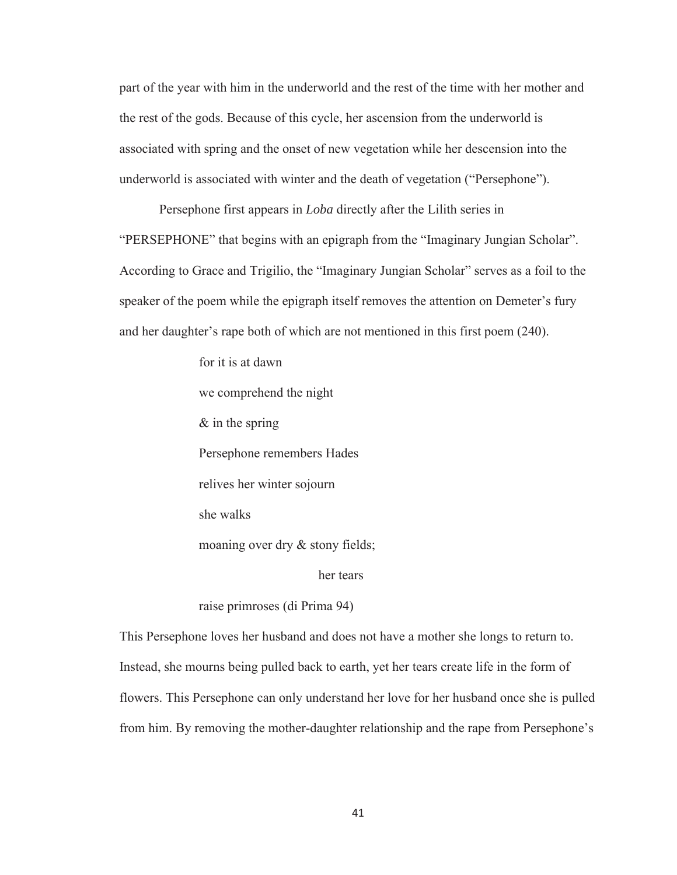part of the year with him in the underworld and the rest of the time with her mother and the rest of the gods. Because of this cycle, her ascension from the underworld is associated with spring and the onset of new vegetation while her descension into the underworld is associated with winter and the death of vegetation ("Persephone").

 Persephone first appears in *Loba* directly after the Lilith series in "PERSEPHONE" that begins with an epigraph from the "Imaginary Jungian Scholar". According to Grace and Trigilio, the "Imaginary Jungian Scholar" serves as a foil to the speaker of the poem while the epigraph itself removes the attention on Demeter's fury and her daughter's rape both of which are not mentioned in this first poem (240).

> for it is at dawn we comprehend the night & in the spring Persephone remembers Hades relives her winter sojourn she walks moaning over dry & stony fields; her tears

raise primroses (di Prima 94)

This Persephone loves her husband and does not have a mother she longs to return to. Instead, she mourns being pulled back to earth, yet her tears create life in the form of flowers. This Persephone can only understand her love for her husband once she is pulled from him. By removing the mother-daughter relationship and the rape from Persephone's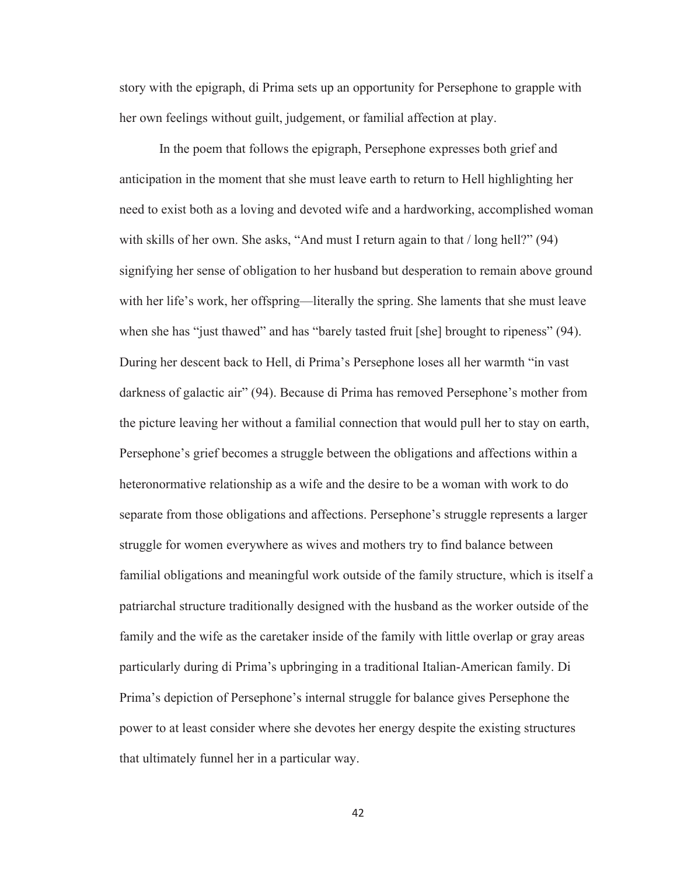story with the epigraph, di Prima sets up an opportunity for Persephone to grapple with her own feelings without guilt, judgement, or familial affection at play.

 In the poem that follows the epigraph, Persephone expresses both grief and anticipation in the moment that she must leave earth to return to Hell highlighting her need to exist both as a loving and devoted wife and a hardworking, accomplished woman with skills of her own. She asks, "And must I return again to that / long hell?" (94) signifying her sense of obligation to her husband but desperation to remain above ground with her life's work, her offspring—literally the spring. She laments that she must leave when she has "just thawed" and has "barely tasted fruit [she] brought to ripeness" (94). During her descent back to Hell, di Prima's Persephone loses all her warmth "in vast darkness of galactic air" (94). Because di Prima has removed Persephone's mother from the picture leaving her without a familial connection that would pull her to stay on earth, Persephone's grief becomes a struggle between the obligations and affections within a heteronormative relationship as a wife and the desire to be a woman with work to do separate from those obligations and affections. Persephone's struggle represents a larger struggle for women everywhere as wives and mothers try to find balance between familial obligations and meaningful work outside of the family structure, which is itself a patriarchal structure traditionally designed with the husband as the worker outside of the family and the wife as the caretaker inside of the family with little overlap or gray areas particularly during di Prima's upbringing in a traditional Italian-American family. Di Prima's depiction of Persephone's internal struggle for balance gives Persephone the power to at least consider where she devotes her energy despite the existing structures that ultimately funnel her in a particular way.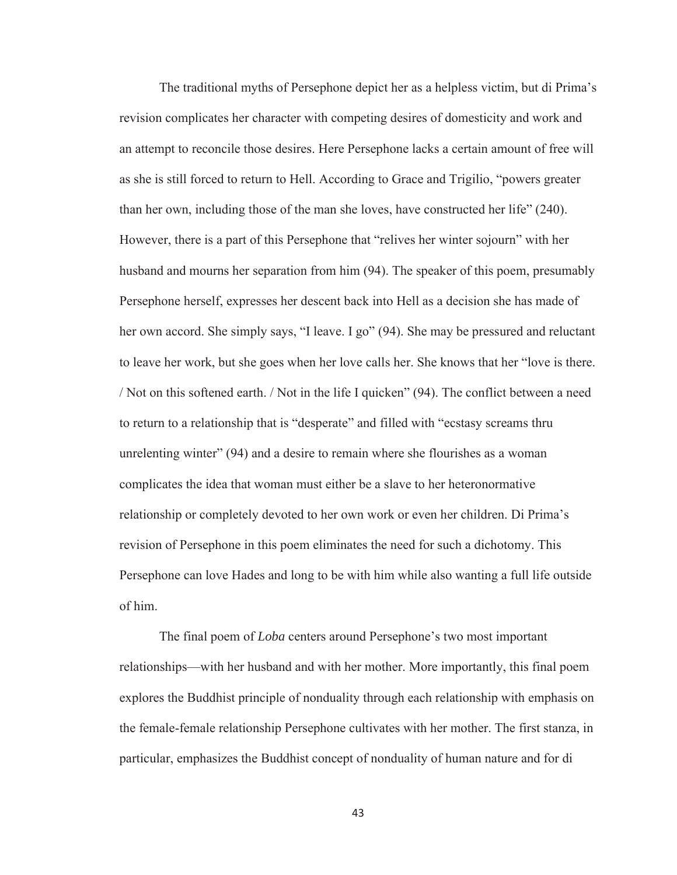The traditional myths of Persephone depict her as a helpless victim, but di Prima's revision complicates her character with competing desires of domesticity and work and an attempt to reconcile those desires. Here Persephone lacks a certain amount of free will as she is still forced to return to Hell. According to Grace and Trigilio, "powers greater than her own, including those of the man she loves, have constructed her life" (240). However, there is a part of this Persephone that "relives her winter sojourn" with her husband and mourns her separation from him (94). The speaker of this poem, presumably Persephone herself, expresses her descent back into Hell as a decision she has made of her own accord. She simply says, "I leave. I go" (94). She may be pressured and reluctant to leave her work, but she goes when her love calls her. She knows that her "love is there. / Not on this softened earth. / Not in the life I quicken" (94). The conflict between a need to return to a relationship that is "desperate" and filled with "ecstasy screams thru unrelenting winter" (94) and a desire to remain where she flourishes as a woman complicates the idea that woman must either be a slave to her heteronormative relationship or completely devoted to her own work or even her children. Di Prima's revision of Persephone in this poem eliminates the need for such a dichotomy. This Persephone can love Hades and long to be with him while also wanting a full life outside of him.

The final poem of *Loba* centers around Persephone's two most important relationships—with her husband and with her mother. More importantly, this final poem explores the Buddhist principle of nonduality through each relationship with emphasis on the female-female relationship Persephone cultivates with her mother. The first stanza, in particular, emphasizes the Buddhist concept of nonduality of human nature and for di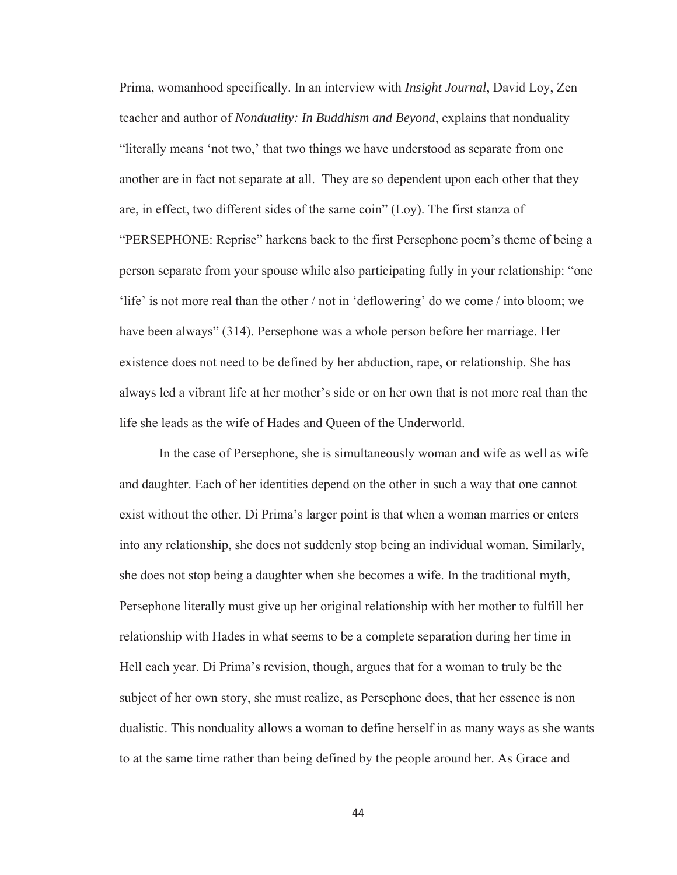Prima, womanhood specifically. In an interview with *Insight Journal*, David Loy, Zen teacher and author of *Nonduality: In Buddhism and Beyond*, explains that nonduality "literally means 'not two,' that two things we have understood as separate from one another are in fact not separate at all. They are so dependent upon each other that they are, in effect, two different sides of the same coin" (Loy). The first stanza of "PERSEPHONE: Reprise" harkens back to the first Persephone poem's theme of being a person separate from your spouse while also participating fully in your relationship: "one 'life' is not more real than the other / not in 'deflowering' do we come / into bloom; we have been always" (314). Persephone was a whole person before her marriage. Her existence does not need to be defined by her abduction, rape, or relationship. She has always led a vibrant life at her mother's side or on her own that is not more real than the life she leads as the wife of Hades and Queen of the Underworld.

In the case of Persephone, she is simultaneously woman and wife as well as wife and daughter. Each of her identities depend on the other in such a way that one cannot exist without the other. Di Prima's larger point is that when a woman marries or enters into any relationship, she does not suddenly stop being an individual woman. Similarly, she does not stop being a daughter when she becomes a wife. In the traditional myth, Persephone literally must give up her original relationship with her mother to fulfill her relationship with Hades in what seems to be a complete separation during her time in Hell each year. Di Prima's revision, though, argues that for a woman to truly be the subject of her own story, she must realize, as Persephone does, that her essence is non dualistic. This nonduality allows a woman to define herself in as many ways as she wants to at the same time rather than being defined by the people around her. As Grace and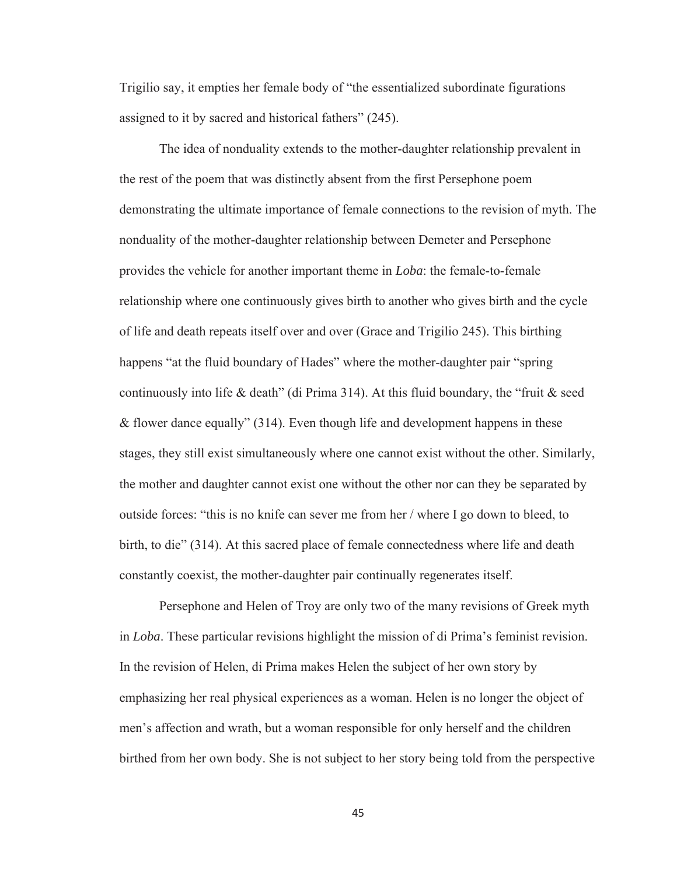Trigilio say, it empties her female body of "the essentialized subordinate figurations assigned to it by sacred and historical fathers" (245).

The idea of nonduality extends to the mother-daughter relationship prevalent in the rest of the poem that was distinctly absent from the first Persephone poem demonstrating the ultimate importance of female connections to the revision of myth. The nonduality of the mother-daughter relationship between Demeter and Persephone provides the vehicle for another important theme in *Loba*: the female-to-female relationship where one continuously gives birth to another who gives birth and the cycle of life and death repeats itself over and over (Grace and Trigilio 245). This birthing happens "at the fluid boundary of Hades" where the mother-daughter pair "spring continuously into life & death" (di Prima 314). At this fluid boundary, the "fruit  $\&$  seed & flower dance equally" (314). Even though life and development happens in these stages, they still exist simultaneously where one cannot exist without the other. Similarly, the mother and daughter cannot exist one without the other nor can they be separated by outside forces: "this is no knife can sever me from her / where I go down to bleed, to birth, to die" (314). At this sacred place of female connectedness where life and death constantly coexist, the mother-daughter pair continually regenerates itself.

Persephone and Helen of Troy are only two of the many revisions of Greek myth in *Loba*. These particular revisions highlight the mission of di Prima's feminist revision. In the revision of Helen, di Prima makes Helen the subject of her own story by emphasizing her real physical experiences as a woman. Helen is no longer the object of men's affection and wrath, but a woman responsible for only herself and the children birthed from her own body. She is not subject to her story being told from the perspective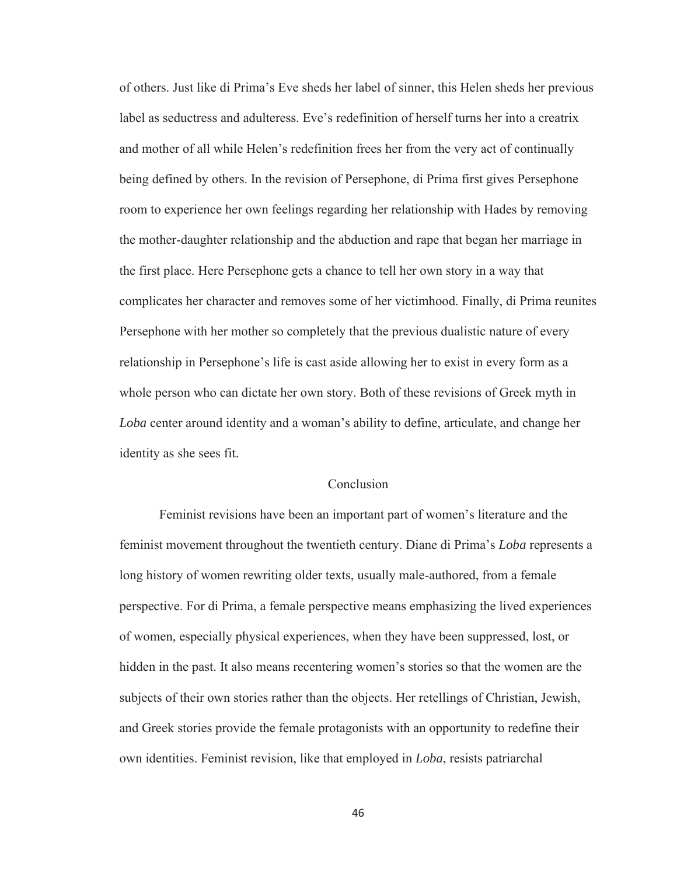of others. Just like di Prima's Eve sheds her label of sinner, this Helen sheds her previous label as seductress and adulteress. Eve's redefinition of herself turns her into a creatrix and mother of all while Helen's redefinition frees her from the very act of continually being defined by others. In the revision of Persephone, di Prima first gives Persephone room to experience her own feelings regarding her relationship with Hades by removing the mother-daughter relationship and the abduction and rape that began her marriage in the first place. Here Persephone gets a chance to tell her own story in a way that complicates her character and removes some of her victimhood. Finally, di Prima reunites Persephone with her mother so completely that the previous dualistic nature of every relationship in Persephone's life is cast aside allowing her to exist in every form as a whole person who can dictate her own story. Both of these revisions of Greek myth in *Loba* center around identity and a woman's ability to define, articulate, and change her identity as she sees fit.

## Conclusion

Feminist revisions have been an important part of women's literature and the feminist movement throughout the twentieth century. Diane di Prima's *Loba* represents a long history of women rewriting older texts, usually male-authored, from a female perspective. For di Prima, a female perspective means emphasizing the lived experiences of women, especially physical experiences, when they have been suppressed, lost, or hidden in the past. It also means recentering women's stories so that the women are the subjects of their own stories rather than the objects. Her retellings of Christian, Jewish, and Greek stories provide the female protagonists with an opportunity to redefine their own identities. Feminist revision, like that employed in *Loba*, resists patriarchal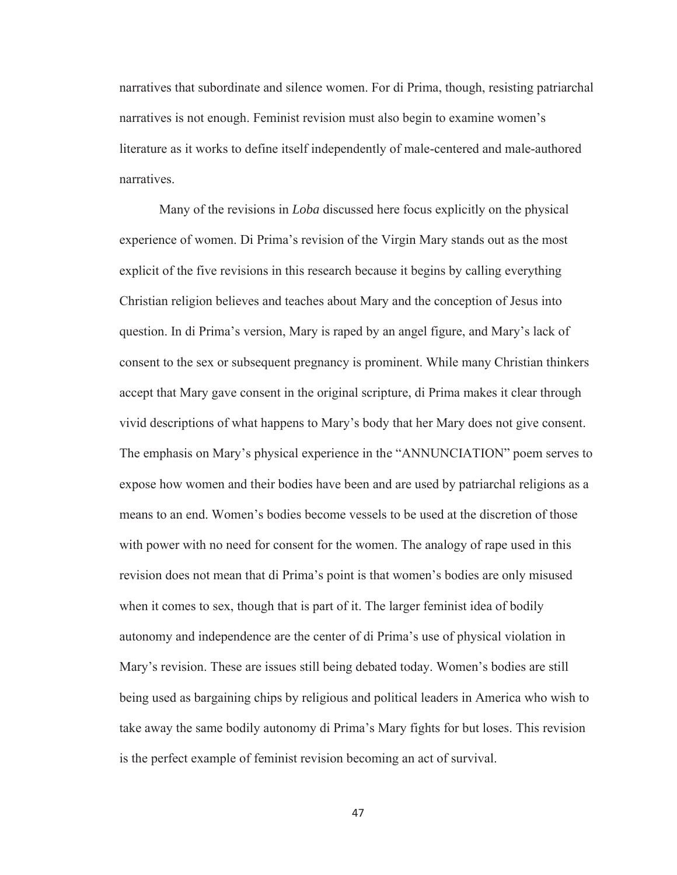narratives that subordinate and silence women. For di Prima, though, resisting patriarchal narratives is not enough. Feminist revision must also begin to examine women's literature as it works to define itself independently of male-centered and male-authored narratives.

Many of the revisions in *Loba* discussed here focus explicitly on the physical experience of women. Di Prima's revision of the Virgin Mary stands out as the most explicit of the five revisions in this research because it begins by calling everything Christian religion believes and teaches about Mary and the conception of Jesus into question. In di Prima's version, Mary is raped by an angel figure, and Mary's lack of consent to the sex or subsequent pregnancy is prominent. While many Christian thinkers accept that Mary gave consent in the original scripture, di Prima makes it clear through vivid descriptions of what happens to Mary's body that her Mary does not give consent. The emphasis on Mary's physical experience in the "ANNUNCIATION" poem serves to expose how women and their bodies have been and are used by patriarchal religions as a means to an end. Women's bodies become vessels to be used at the discretion of those with power with no need for consent for the women. The analogy of rape used in this revision does not mean that di Prima's point is that women's bodies are only misused when it comes to sex, though that is part of it. The larger feminist idea of bodily autonomy and independence are the center of di Prima's use of physical violation in Mary's revision. These are issues still being debated today. Women's bodies are still being used as bargaining chips by religious and political leaders in America who wish to take away the same bodily autonomy di Prima's Mary fights for but loses. This revision is the perfect example of feminist revision becoming an act of survival.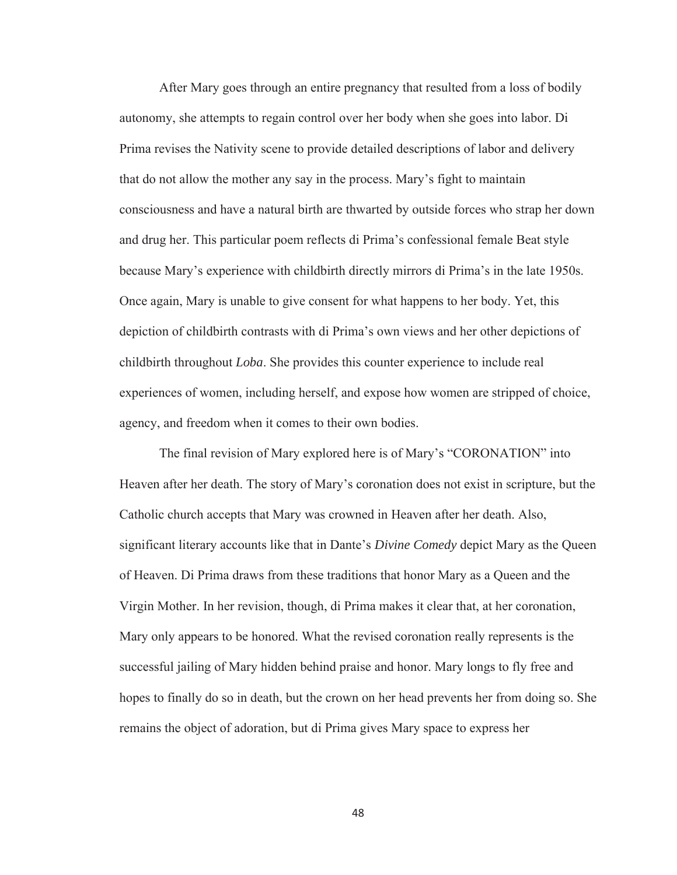After Mary goes through an entire pregnancy that resulted from a loss of bodily autonomy, she attempts to regain control over her body when she goes into labor. Di Prima revises the Nativity scene to provide detailed descriptions of labor and delivery that do not allow the mother any say in the process. Mary's fight to maintain consciousness and have a natural birth are thwarted by outside forces who strap her down and drug her. This particular poem reflects di Prima's confessional female Beat style because Mary's experience with childbirth directly mirrors di Prima's in the late 1950s. Once again, Mary is unable to give consent for what happens to her body. Yet, this depiction of childbirth contrasts with di Prima's own views and her other depictions of childbirth throughout *Loba*. She provides this counter experience to include real experiences of women, including herself, and expose how women are stripped of choice, agency, and freedom when it comes to their own bodies.

The final revision of Mary explored here is of Mary's "CORONATION" into Heaven after her death. The story of Mary's coronation does not exist in scripture, but the Catholic church accepts that Mary was crowned in Heaven after her death. Also, significant literary accounts like that in Dante's *Divine Comedy* depict Mary as the Queen of Heaven. Di Prima draws from these traditions that honor Mary as a Queen and the Virgin Mother. In her revision, though, di Prima makes it clear that, at her coronation, Mary only appears to be honored. What the revised coronation really represents is the successful jailing of Mary hidden behind praise and honor. Mary longs to fly free and hopes to finally do so in death, but the crown on her head prevents her from doing so. She remains the object of adoration, but di Prima gives Mary space to express her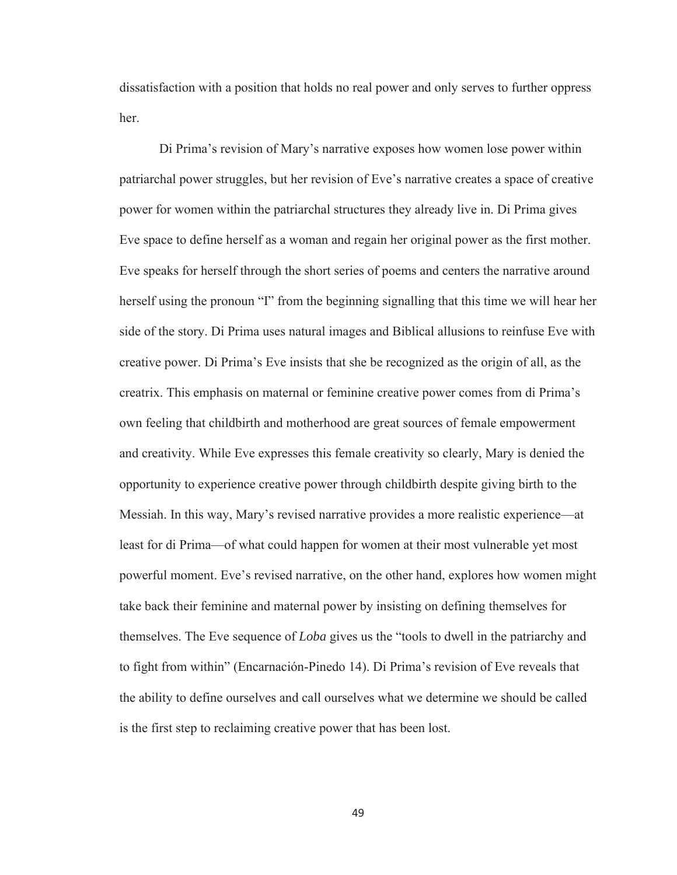dissatisfaction with a position that holds no real power and only serves to further oppress her.

Di Prima's revision of Mary's narrative exposes how women lose power within patriarchal power struggles, but her revision of Eve's narrative creates a space of creative power for women within the patriarchal structures they already live in. Di Prima gives Eve space to define herself as a woman and regain her original power as the first mother. Eve speaks for herself through the short series of poems and centers the narrative around herself using the pronoun "I" from the beginning signalling that this time we will hear her side of the story. Di Prima uses natural images and Biblical allusions to reinfuse Eve with creative power. Di Prima's Eve insists that she be recognized as the origin of all, as the creatrix. This emphasis on maternal or feminine creative power comes from di Prima's own feeling that childbirth and motherhood are great sources of female empowerment and creativity. While Eve expresses this female creativity so clearly, Mary is denied the opportunity to experience creative power through childbirth despite giving birth to the Messiah. In this way, Mary's revised narrative provides a more realistic experience—at least for di Prima—of what could happen for women at their most vulnerable yet most powerful moment. Eve's revised narrative, on the other hand, explores how women might take back their feminine and maternal power by insisting on defining themselves for themselves. The Eve sequence of *Loba* gives us the "tools to dwell in the patriarchy and to fight from within" (Encarnación-Pinedo 14). Di Prima's revision of Eve reveals that the ability to define ourselves and call ourselves what we determine we should be called is the first step to reclaiming creative power that has been lost.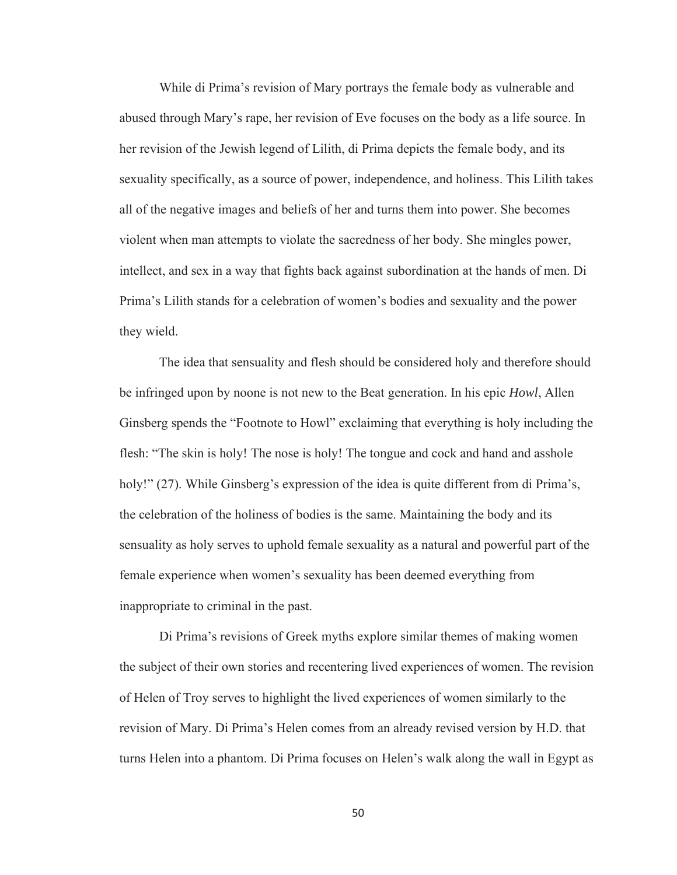While di Prima's revision of Mary portrays the female body as vulnerable and abused through Mary's rape, her revision of Eve focuses on the body as a life source. In her revision of the Jewish legend of Lilith, di Prima depicts the female body, and its sexuality specifically, as a source of power, independence, and holiness. This Lilith takes all of the negative images and beliefs of her and turns them into power. She becomes violent when man attempts to violate the sacredness of her body. She mingles power, intellect, and sex in a way that fights back against subordination at the hands of men. Di Prima's Lilith stands for a celebration of women's bodies and sexuality and the power they wield.

The idea that sensuality and flesh should be considered holy and therefore should be infringed upon by noone is not new to the Beat generation. In his epic *Howl*, Allen Ginsberg spends the "Footnote to Howl" exclaiming that everything is holy including the flesh: "The skin is holy! The nose is holy! The tongue and cock and hand and asshole holy!" (27). While Ginsberg's expression of the idea is quite different from di Prima's, the celebration of the holiness of bodies is the same. Maintaining the body and its sensuality as holy serves to uphold female sexuality as a natural and powerful part of the female experience when women's sexuality has been deemed everything from inappropriate to criminal in the past.

Di Prima's revisions of Greek myths explore similar themes of making women the subject of their own stories and recentering lived experiences of women. The revision of Helen of Troy serves to highlight the lived experiences of women similarly to the revision of Mary. Di Prima's Helen comes from an already revised version by H.D. that turns Helen into a phantom. Di Prima focuses on Helen's walk along the wall in Egypt as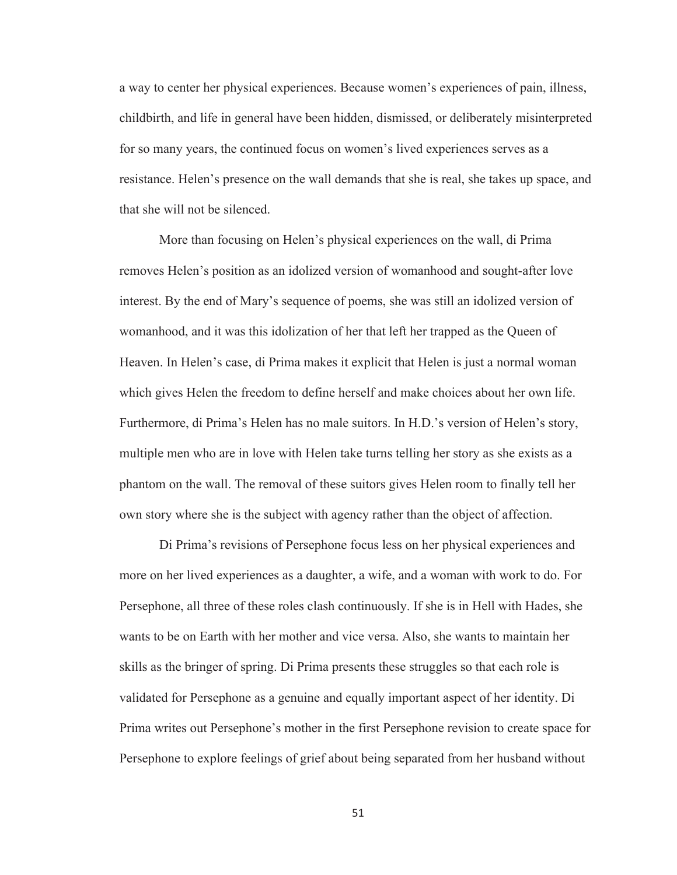a way to center her physical experiences. Because women's experiences of pain, illness, childbirth, and life in general have been hidden, dismissed, or deliberately misinterpreted for so many years, the continued focus on women's lived experiences serves as a resistance. Helen's presence on the wall demands that she is real, she takes up space, and that she will not be silenced.

More than focusing on Helen's physical experiences on the wall, di Prima removes Helen's position as an idolized version of womanhood and sought-after love interest. By the end of Mary's sequence of poems, she was still an idolized version of womanhood, and it was this idolization of her that left her trapped as the Queen of Heaven. In Helen's case, di Prima makes it explicit that Helen is just a normal woman which gives Helen the freedom to define herself and make choices about her own life. Furthermore, di Prima's Helen has no male suitors. In H.D.'s version of Helen's story, multiple men who are in love with Helen take turns telling her story as she exists as a phantom on the wall. The removal of these suitors gives Helen room to finally tell her own story where she is the subject with agency rather than the object of affection.

Di Prima's revisions of Persephone focus less on her physical experiences and more on her lived experiences as a daughter, a wife, and a woman with work to do. For Persephone, all three of these roles clash continuously. If she is in Hell with Hades, she wants to be on Earth with her mother and vice versa. Also, she wants to maintain her skills as the bringer of spring. Di Prima presents these struggles so that each role is validated for Persephone as a genuine and equally important aspect of her identity. Di Prima writes out Persephone's mother in the first Persephone revision to create space for Persephone to explore feelings of grief about being separated from her husband without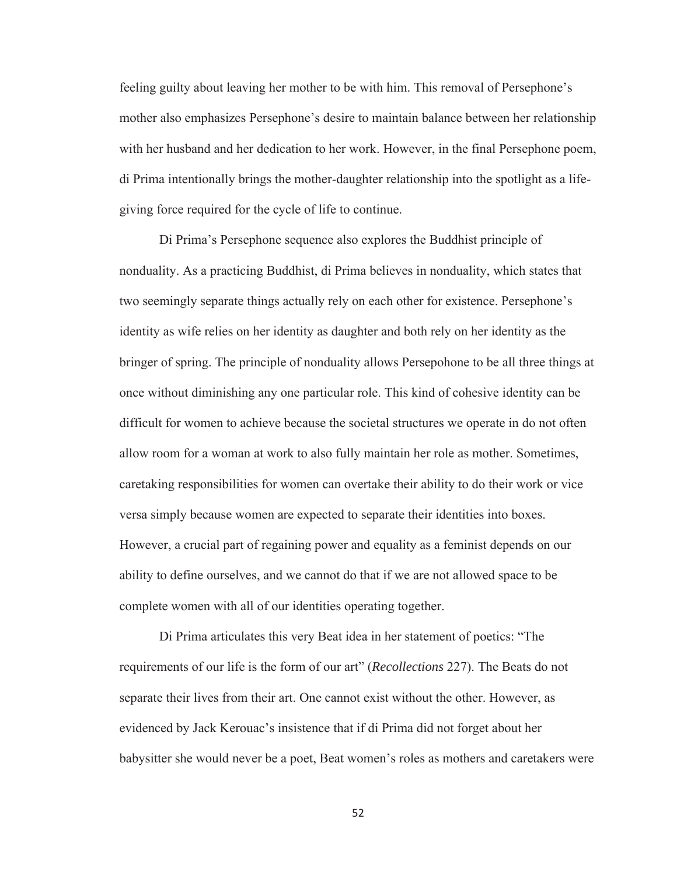feeling guilty about leaving her mother to be with him. This removal of Persephone's mother also emphasizes Persephone's desire to maintain balance between her relationship with her husband and her dedication to her work. However, in the final Persephone poem, di Prima intentionally brings the mother-daughter relationship into the spotlight as a lifegiving force required for the cycle of life to continue.

Di Prima's Persephone sequence also explores the Buddhist principle of nonduality. As a practicing Buddhist, di Prima believes in nonduality, which states that two seemingly separate things actually rely on each other for existence. Persephone's identity as wife relies on her identity as daughter and both rely on her identity as the bringer of spring. The principle of nonduality allows Persepohone to be all three things at once without diminishing any one particular role. This kind of cohesive identity can be difficult for women to achieve because the societal structures we operate in do not often allow room for a woman at work to also fully maintain her role as mother. Sometimes, caretaking responsibilities for women can overtake their ability to do their work or vice versa simply because women are expected to separate their identities into boxes. However, a crucial part of regaining power and equality as a feminist depends on our ability to define ourselves, and we cannot do that if we are not allowed space to be complete women with all of our identities operating together.

Di Prima articulates this very Beat idea in her statement of poetics: "The requirements of our life is the form of our art" (*Recollections* 227). The Beats do not separate their lives from their art. One cannot exist without the other. However, as evidenced by Jack Kerouac's insistence that if di Prima did not forget about her babysitter she would never be a poet, Beat women's roles as mothers and caretakers were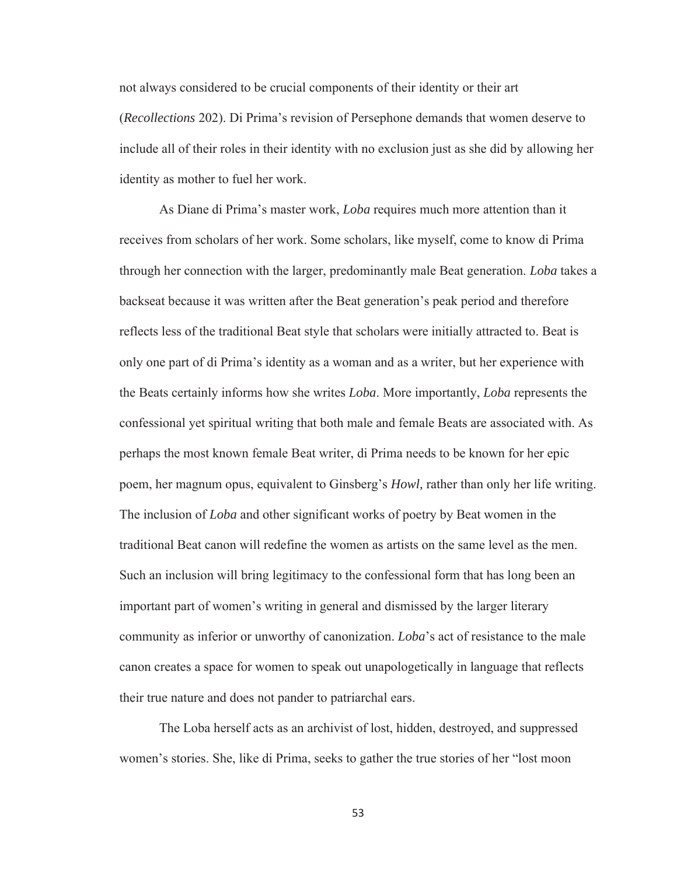not always considered to be crucial components of their identity or their art (*Recollections* 202). Di Prima's revision of Persephone demands that women deserve to include all of their roles in their identity with no exclusion just as she did by allowing her identity as mother to fuel her work.

As Diane di Prima's master work, *Loba* requires much more attention than it receives from scholars of her work. Some scholars, like myself, come to know di Prima through her connection with the larger, predominantly male Beat generation. *Loba* takes a backseat because it was written after the Beat generation's peak period and therefore reflects less of the traditional Beat style that scholars were initially attracted to. Beat is only one part of di Prima's identity as a woman and as a writer, but her experience with the Beats certainly informs how she writes *Loba*. More importantly, *Loba* represents the confessional yet spiritual writing that both male and female Beats are associated with. As perhaps the most known female Beat writer, di Prima needs to be known for her epic poem, her magnum opus, equivalent to Ginsberg's *Howl,* rather than only her life writing. The inclusion of *Loba* and other significant works of poetry by Beat women in the traditional Beat canon will redefine the women as artists on the same level as the men. Such an inclusion will bring legitimacy to the confessional form that has long been an important part of women's writing in general and dismissed by the larger literary community as inferior or unworthy of canonization. *Loba*'s act of resistance to the male canon creates a space for women to speak out unapologetically in language that reflects their true nature and does not pander to patriarchal ears.

The Loba herself acts as an archivist of lost, hidden, destroyed, and suppressed women's stories. She, like di Prima, seeks to gather the true stories of her "lost moon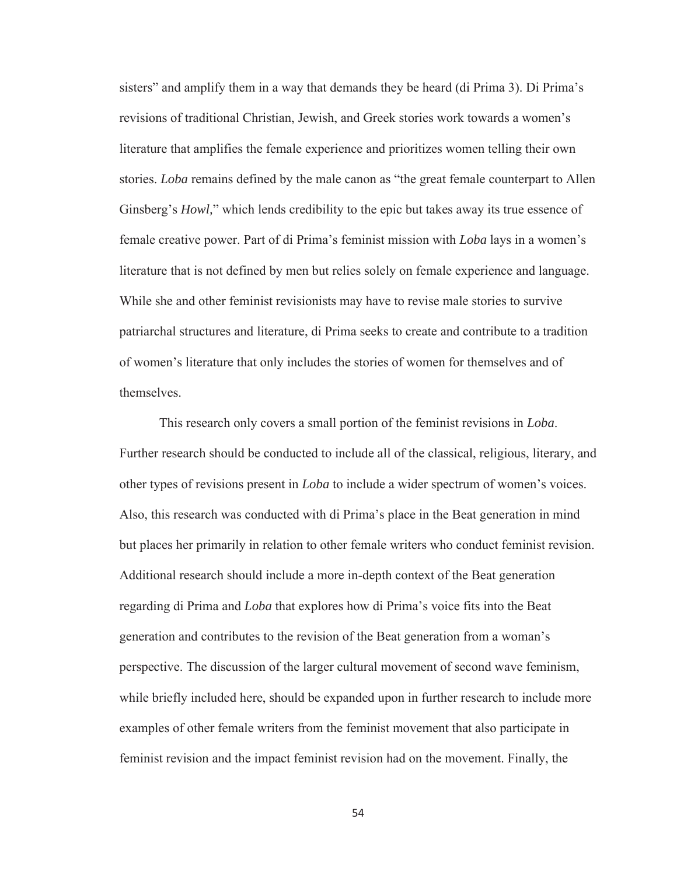sisters" and amplify them in a way that demands they be heard (di Prima 3). Di Prima's revisions of traditional Christian, Jewish, and Greek stories work towards a women's literature that amplifies the female experience and prioritizes women telling their own stories. *Loba* remains defined by the male canon as "the great female counterpart to Allen Ginsberg's *Howl,*" which lends credibility to the epic but takes away its true essence of female creative power. Part of di Prima's feminist mission with *Loba* lays in a women's literature that is not defined by men but relies solely on female experience and language. While she and other feminist revisionists may have to revise male stories to survive patriarchal structures and literature, di Prima seeks to create and contribute to a tradition of women's literature that only includes the stories of women for themselves and of themselves.

This research only covers a small portion of the feminist revisions in *Loba*. Further research should be conducted to include all of the classical, religious, literary, and other types of revisions present in *Loba* to include a wider spectrum of women's voices. Also, this research was conducted with di Prima's place in the Beat generation in mind but places her primarily in relation to other female writers who conduct feminist revision. Additional research should include a more in-depth context of the Beat generation regarding di Prima and *Loba* that explores how di Prima's voice fits into the Beat generation and contributes to the revision of the Beat generation from a woman's perspective. The discussion of the larger cultural movement of second wave feminism, while briefly included here, should be expanded upon in further research to include more examples of other female writers from the feminist movement that also participate in feminist revision and the impact feminist revision had on the movement. Finally, the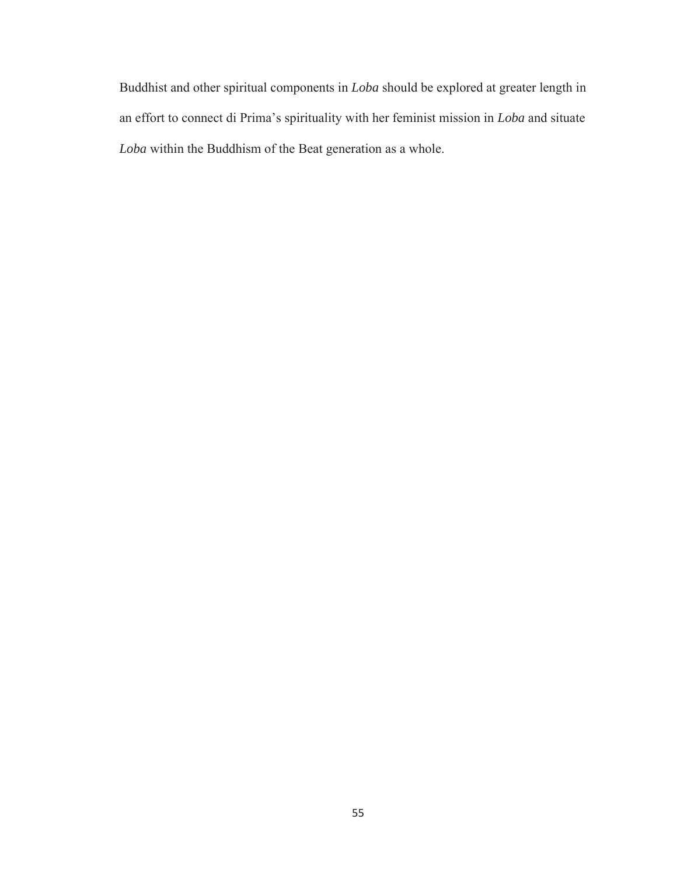Buddhist and other spiritual components in *Loba* should be explored at greater length in an effort to connect di Prima's spirituality with her feminist mission in *Loba* and situate *Loba* within the Buddhism of the Beat generation as a whole.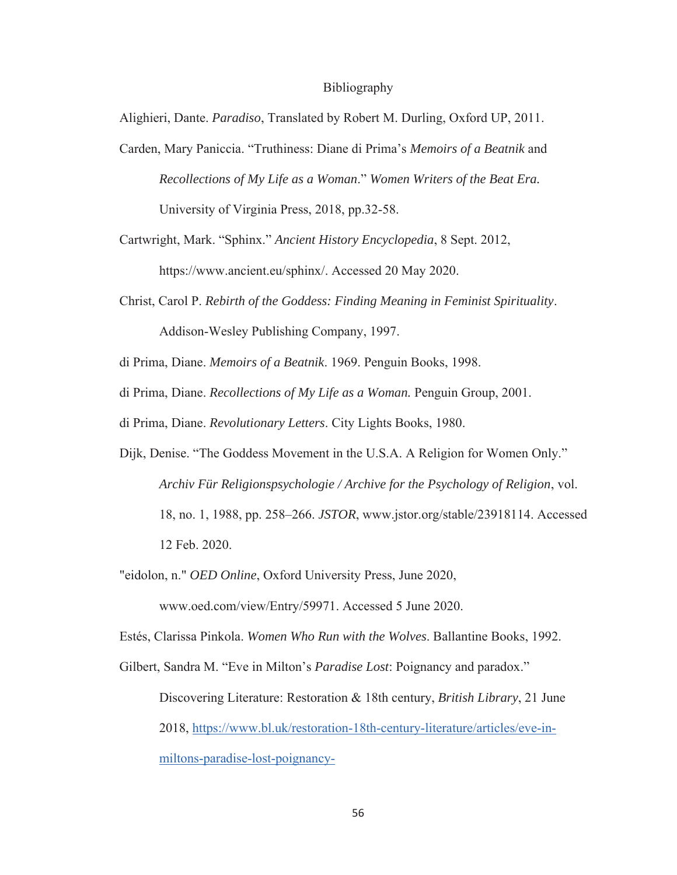#### Bibliography

Alighieri, Dante. *Paradiso*, Translated by Robert M. Durling, Oxford UP, 2011.

Carden, Mary Paniccia. "Truthiness: Diane di Prima's *Memoirs of a Beatnik* and *Recollections of My Life as a Woman*." *Women Writers of the Beat Era.* University of Virginia Press, 2018, pp.32-58.

Cartwright, Mark. "Sphinx." *Ancient History Encyclopedia*, 8 Sept. 2012, https://www.ancient.eu/sphinx/. Accessed 20 May 2020.

Christ, Carol P. *Rebirth of the Goddess: Finding Meaning in Feminist Spirituality*. Addison-Wesley Publishing Company, 1997.

di Prima, Diane. *Memoirs of a Beatnik*. 1969. Penguin Books, 1998.

di Prima, Diane. *Recollections of My Life as a Woman.* Penguin Group, 2001.

di Prima, Diane. *Revolutionary Letters*. City Lights Books, 1980.

- Dijk, Denise. "The Goddess Movement in the U.S.A. A Religion for Women Only." *Archiv Für Religionspsychologie / Archive for the Psychology of Religion*, vol. 18, no. 1, 1988, pp. 258–266. *JSTOR*, www.jstor.org/stable/23918114. Accessed 12 Feb. 2020.
- "eidolon, n." *OED Online*, Oxford University Press, June 2020, www.oed.com/view/Entry/59971. Accessed 5 June 2020.

Estés, Clarissa Pinkola. *Women Who Run with the Wolves*. Ballantine Books, 1992.

Gilbert, Sandra M. "Eve in Milton's *Paradise Lost*: Poignancy and paradox." Discovering Literature: Restoration & 18th century, *British Library*, 21 June 2018, https://www.bl.uk/restoration-18th-century-literature/articles/eve-inmiltons-paradise-lost-poignancy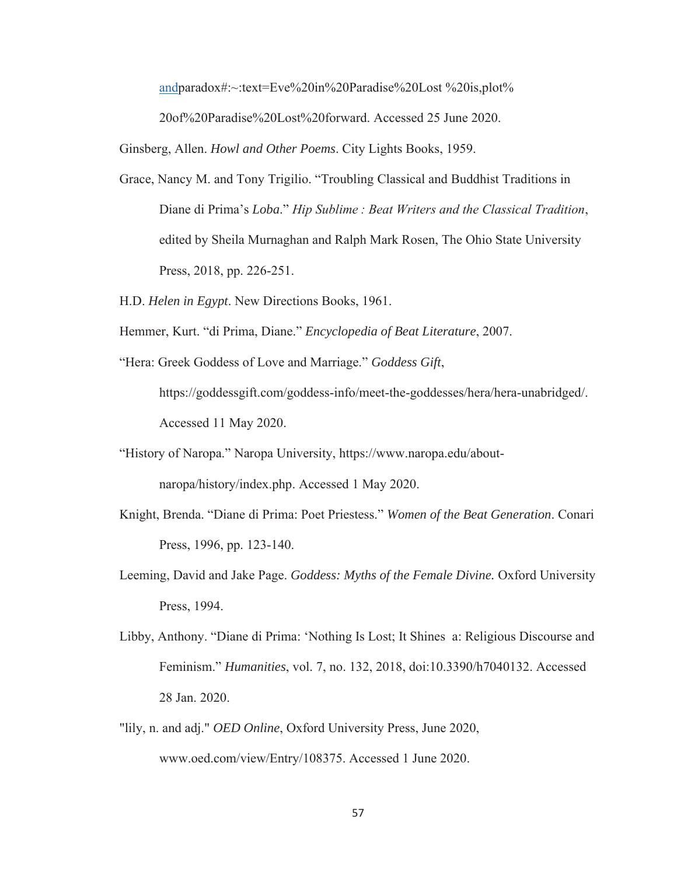andparadox#:~:text=Eve%20in%20Paradise%20Lost %20is,plot%

20of%20Paradise%20Lost%20forward. Accessed 25 June 2020.

Ginsberg, Allen. *Howl and Other Poems*. City Lights Books, 1959.

- Grace, Nancy M. and Tony Trigilio. "Troubling Classical and Buddhist Traditions in Diane di Prima's *Loba*." *Hip Sublime : Beat Writers and the Classical Tradition*, edited by Sheila Murnaghan and Ralph Mark Rosen, The Ohio State University Press, 2018, pp. 226-251.
- H.D. *Helen in Egypt*. New Directions Books, 1961.
- Hemmer, Kurt. "di Prima, Diane." *Encyclopedia of Beat Literature*, 2007.
- "Hera: Greek Goddess of Love and Marriage." *Goddess Gift*, https://goddessgift.com/goddess-info/meet-the-goddesses/hera/hera-unabridged/. Accessed 11 May 2020.
- "History of Naropa." Naropa University, https://www.naropa.edu/aboutnaropa/history/index.php. Accessed 1 May 2020.
- Knight, Brenda. "Diane di Prima: Poet Priestess." *Women of the Beat Generation*. Conari Press, 1996, pp. 123-140.
- Leeming, David and Jake Page. *Goddess: Myths of the Female Divine.* Oxford University Press, 1994.
- Libby, Anthony. "Diane di Prima: 'Nothing Is Lost; It Shines a: Religious Discourse and Feminism." *Humanities*, vol. 7, no. 132, 2018, doi:10.3390/h7040132. Accessed 28 Jan. 2020.
- "lily, n. and adj." *OED Online*, Oxford University Press, June 2020, www.oed.com/view/Entry/108375. Accessed 1 June 2020.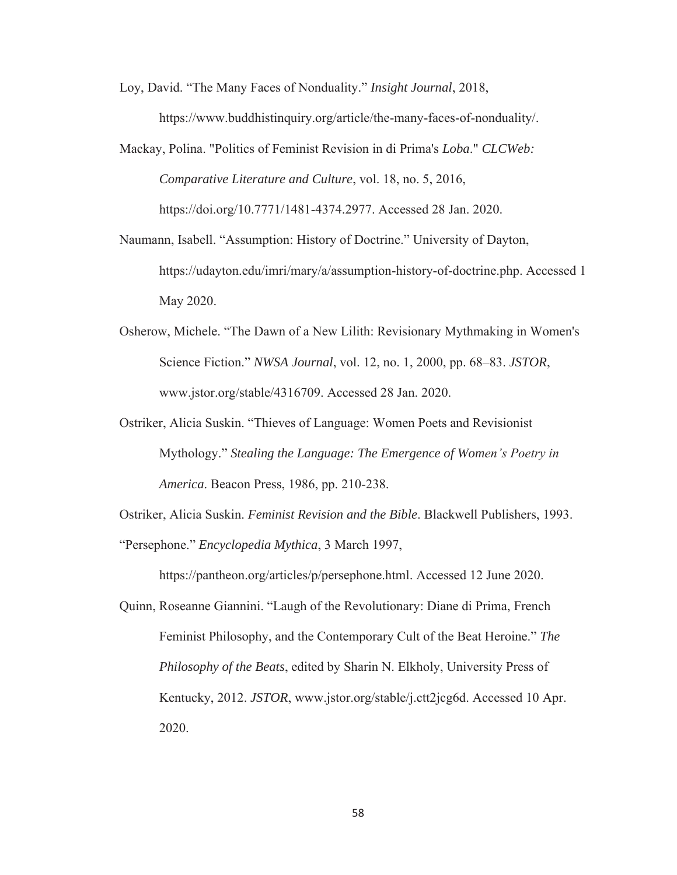Loy, David. "The Many Faces of Nonduality." *Insight Journal*, 2018,

https://www.buddhistinquiry.org/article/the-many-faces-of-nonduality/.

- Mackay, Polina. "Politics of Feminist Revision in di Prima's *Loba*." *CLCWeb: Comparative Literature and Culture*, vol. 18, no. 5, 2016, https://doi.org/10.7771/1481-4374.2977. Accessed 28 Jan. 2020.
- Naumann, Isabell. "Assumption: History of Doctrine." University of Dayton, https://udayton.edu/imri/mary/a/assumption-history-of-doctrine.php. Accessed 1 May 2020.
- Osherow, Michele. "The Dawn of a New Lilith: Revisionary Mythmaking in Women's Science Fiction." *NWSA Journal*, vol. 12, no. 1, 2000, pp. 68–83. *JSTOR*, www.jstor.org/stable/4316709. Accessed 28 Jan. 2020.
- Ostriker, Alicia Suskin. "Thieves of Language: Women Poets and Revisionist Mythology." *Stealing the Language: The Emergence of Women's Poetry in America*. Beacon Press, 1986, pp. 210-238.

Ostriker, Alicia Suskin. *Feminist Revision and the Bible*. Blackwell Publishers, 1993.

"Persephone." *Encyclopedia Mythica*, 3 March 1997,

https://pantheon.org/articles/p/persephone.html. Accessed 12 June 2020.

Quinn, Roseanne Giannini. "Laugh of the Revolutionary: Diane di Prima, French Feminist Philosophy, and the Contemporary Cult of the Beat Heroine." *The Philosophy of the Beats*, edited by Sharin N. Elkholy, University Press of Kentucky, 2012. *JSTOR*, www.jstor.org/stable/j.ctt2jcg6d. Accessed 10 Apr. 2020.